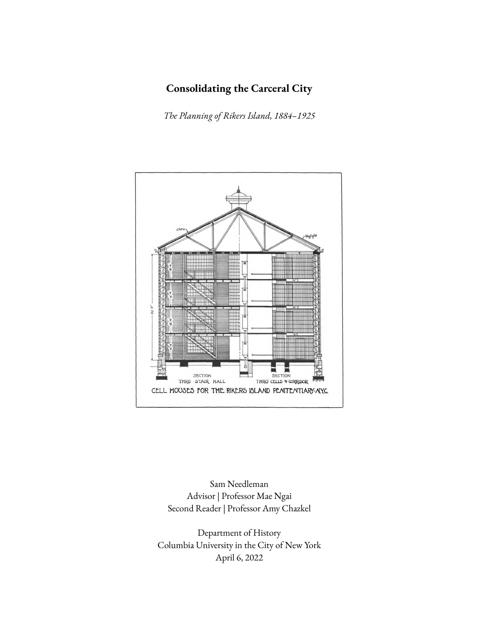# **Consolidating the Carceral City**

*The Planning of Rikers Island, 1884–1925*



Sam Needleman Advisor | Professor Mae Ngai Second Reader | Professor Amy Chazkel

Department of History Columbia University in the City of New York April 6, 2022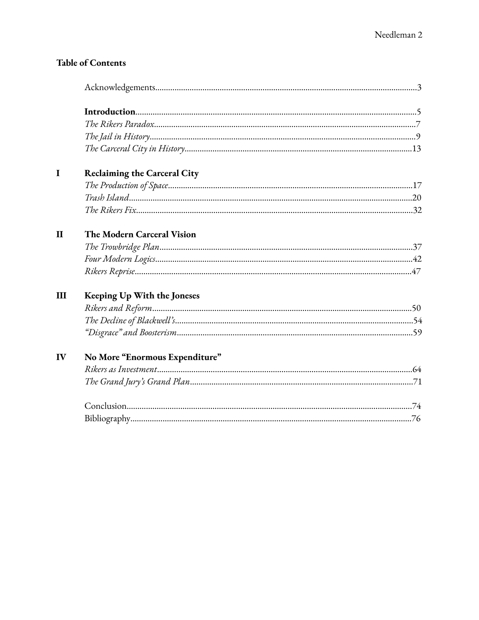# **Table of Contents**

| I            | <b>Reclaiming the Carceral City</b> |
|--------------|-------------------------------------|
|              |                                     |
|              |                                     |
|              |                                     |
| $\mathbf{I}$ | The Modern Carceral Vision          |
|              |                                     |
|              |                                     |
|              |                                     |
| Ш            | Keeping Up With the Joneses         |
|              |                                     |
|              |                                     |
|              |                                     |
| IV           | No More "Enormous Expenditure"      |
|              |                                     |
|              |                                     |
|              |                                     |
|              |                                     |
|              |                                     |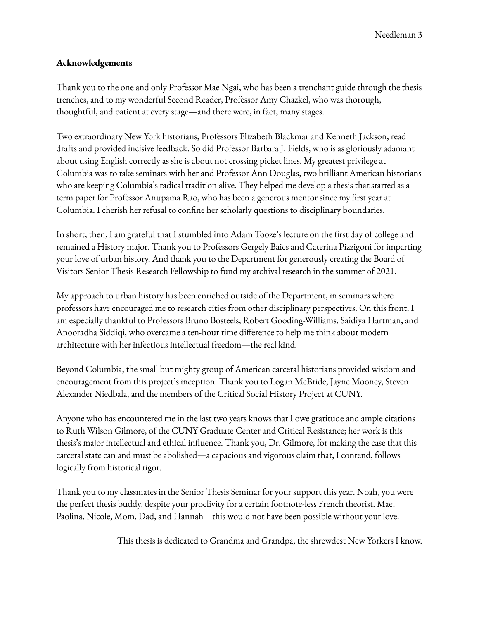## **Acknowledgements**

Thank you to the one and only Professor Mae Ngai, who has been a trenchant guide through the thesis trenches, and to my wonderful Second Reader, Professor Amy Chazkel, who was thorough, thoughtful, and patient at every stage—and there were, in fact, many stages.

Two extraordinary New York historians, Professors Elizabeth Blackmar and Kenneth Jackson, read drafts and provided incisive feedback. So did Professor Barbara J. Fields, who is as gloriously adamant about using English correctly as she is about not crossing picket lines. My greatest privilege at Columbia was to take seminars with her and Professor Ann Douglas, two brilliant American historians who are keeping Columbia's radical tradition alive. They helped me develop a thesis that started as a term paper for Professor Anupama Rao, who has been a generous mentor since my first year at Columbia. I cherish her refusal to confine her scholarly questions to disciplinary boundaries.

In short, then, I am grateful that I stumbled into Adam Tooze's lecture on the first day of college and remained a History major. Thank you to Professors Gergely Baics and Caterina Pizzigoni for imparting your love of urban history. And thank you to the Department for generously creating the Board of Visitors Senior Thesis Research Fellowship to fund my archival research in the summer of 2021.

My approach to urban history has been enriched outside of the Department, in seminars where professors have encouraged me to research cities from other disciplinary perspectives. On this front, I am especially thankful to Professors Bruno Bosteels, Robert Gooding-Williams, Saidiya Hartman, and Anooradha Siddiqi, who overcame a ten-hour time difference to help me think about modern architecture with her infectious intellectual freedom—the real kind.

Beyond Columbia, the small but mighty group of American carceral historians provided wisdom and encouragement from this project's inception. Thank you to Logan McBride, Jayne Mooney, Steven Alexander Niedbala, and the members of the Critical Social History Project at CUNY.

Anyone who has encountered me in the last two years knows that I owe gratitude and ample citations to Ruth Wilson Gilmore, of the CUNY Graduate Center and Critical Resistance; her work is this thesis's major intellectual and ethical influence. Thank you, Dr. Gilmore, for making the case that this carceral state can and must be abolished—a capacious and vigorous claim that, I contend, follows logically from historical rigor.

Thank you to my classmates in the Senior Thesis Seminar for your support this year. Noah, you were the perfect thesis buddy, despite your proclivity for a certain footnote-less French theorist. Mae, Paolina, Nicole, Mom, Dad, and Hannah—this would not have been possible without your love.

This thesis is dedicated to Grandma and Grandpa, the shrewdest New Yorkers I know.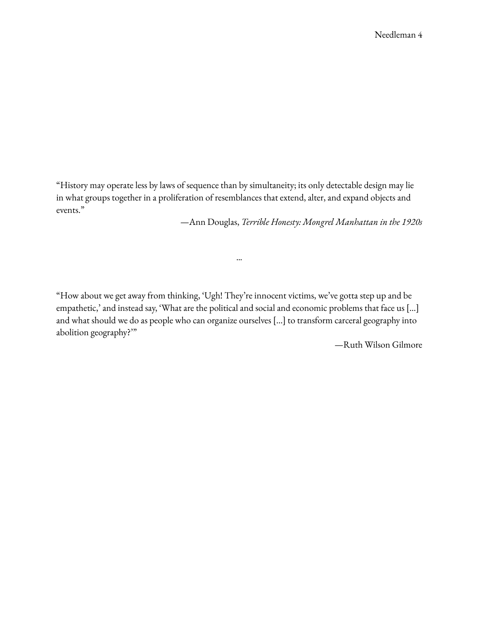"History may operate less by laws of sequence than by simultaneity; its only detectable design may lie in what groups together in a proliferation of resemblances that extend, alter, and expand objects and events."

—Ann Douglas, *Terrible Honesty: Mongrel Manhattan in the 1920s*

"How about we get away from thinking, 'Ugh! They're innocent victims, we've gotta step up and be empathetic,' and instead say, 'What are the political and social and economic problems that face us […] and what should we do as people who can organize ourselves […] to transform carceral geography into abolition geography?'"

···

—Ruth Wilson Gilmore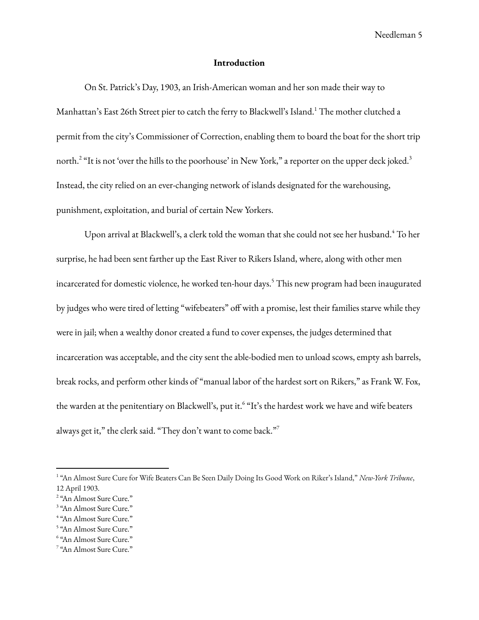### **Introduction**

On St. Patrick's Day, 1903, an Irish-American woman and her son made their way to Manhattan's East 26th Street pier to catch the ferry to Blackwell's Island. <sup>1</sup> The mother clutched a permit from the city's Commissioner of Correction, enabling them to board the boat for the short trip north.<sup>2</sup> "It is not 'over the hills to the poorhouse' in New York," a reporter on the upper deck joked.<sup>3</sup> Instead, the city relied on an ever-changing network of islands designated for the warehousing, punishment, exploitation, and burial of certain New Yorkers.

Upon arrival at Blackwell's, a clerk told the woman that she could not see her husband. <sup>4</sup> To her surprise, he had been sent farther up the East River to Rikers Island, where, along with other men incarcerated for domestic violence, he worked ten-hour days. <sup>5</sup> This new program had been inaugurated by judges who were tired of letting "wifebeaters" off with a promise, lest their families starve while they were in jail; when a wealthy donor created a fund to cover expenses, the judges determined that incarceration was acceptable, and the city sent the able-bodied men to unload scows, empty ash barrels, break rocks, and perform other kinds of "manual labor of the hardest sort on Rikers," as Frank W. Fox, the warden at the penitentiary on Blackwell's, put it.<sup>6</sup> "It's the hardest work we have and wife beaters always get it," the clerk said. "They don't want to come back."<sup>7</sup>

<sup>1</sup> "An Almost Sure Cure for Wife Beaters Can Be Seen Daily Doing Its Good Work on Riker's Island," *New-York Tribune*, 12 April 1903.

<sup>&</sup>lt;sup>2</sup> "An Almost Sure Cure."

<sup>&</sup>lt;sup>3</sup> "An Almost Sure Cure."

<sup>4</sup> "An Almost Sure Cure."

<sup>5</sup> "An Almost Sure Cure."

<sup>6</sup> "An Almost Sure Cure."

<sup>&</sup>lt;sup>7</sup> "An Almost Sure Cure."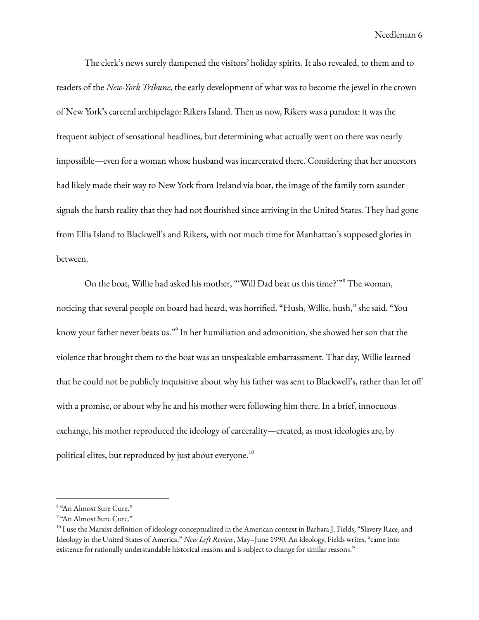The clerk's news surely dampened the visitors' holiday spirits. It also revealed, to them and to readers of the *New-York Tribune*, the early development of what was to become the jewel in the crown of New York's carceral archipelago: Rikers Island. Then as now, Rikers was a paradox: it was the frequent subject of sensational headlines, but determining what actually went on there was nearly impossible—even for a woman whose husband was incarcerated there. Considering that her ancestors had likely made their way to New York from Ireland via boat, the image of the family torn asunder signals the harsh reality that they had not flourished since arriving in the United States. They had gone from Ellis Island to Blackwell's and Rikers, with not much time for Manhattan's supposed glories in between.

On the boat, Willie had asked his mother, "'Will Dad beat us this time?'" <sup>8</sup> The woman, noticing that several people on board had heard, was horrified. "Hush, Willie, hush," she said. "You know your father never beats us." 9 In her humiliation and admonition, she showed her son that the violence that brought them to the boat was an unspeakable embarrassment. That day, Willie learned that he could not be publicly inquisitive about why his father was sent to Blackwell's, rather than let off with a promise, or about why he and his mother were following him there. In a brief, innocuous exchange, his mother reproduced the ideology of carcerality—created, as most ideologies are, by political elites, but reproduced by just about everyone. $^{10}$ 

<sup>8</sup> "An Almost Sure Cure."

<sup>9</sup> "An Almost Sure Cure."

<sup>&</sup>lt;sup>10</sup> I use the Marxist definition of ideology conceptualized in the American context in Barbara J. Fields, "Slavery Race, and Ideology in the United States of America," *New Left Review*, May–June 1990. An ideology, Fields writes, "came into existence for rationally understandable historical reasons and is subject to change for similar reasons."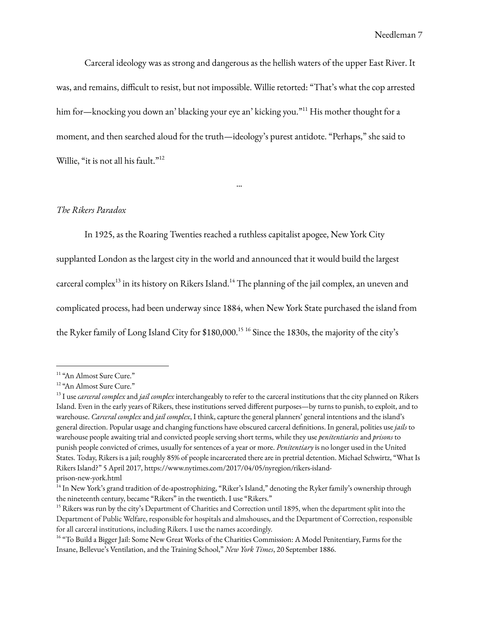Carceral ideology was as strong and dangerous as the hellish waters of the upper East River. It was, and remains, difficult to resist, but not impossible. Willie retorted: "That's what the cop arrested him for—knocking you down an' blacking your eye an' kicking you."<sup>11</sup> His mother thought for a moment, and then searched aloud for the truth—ideology's purest antidote. "Perhaps," she said to Willie, "it is not all his fault."<sup>12</sup>

···

#### *The Rikers Paradox*

In 1925, as the Roaring Twenties reached a ruthless capitalist apogee, New York City supplanted London as the largest city in the world and announced that it would build the largest carceral complex<sup>13</sup> in its history on Rikers Island.<sup>14</sup> The planning of the jail complex, an uneven and complicated process, had been underway since 1884, when New York State purchased the island from

the Ryker family of Long Island City for \$180,000. <sup>15</sup> <sup>16</sup> Since the 1830s, the majority of the city's

<sup>&</sup>lt;sup>11</sup> "An Almost Sure Cure."

<sup>&</sup>lt;sup>12</sup> "An Almost Sure Cure."

<sup>13</sup> I use *carceral complex* and *jail complex* interchangeably to refer to the carceral institutions that the city planned on Rikers Island. Even in the early years of Rikers, these institutions served different purposes—by turns to punish, to exploit, and to warehouse. *Carceral complex* and *jail complex*, I think, capture the general planners' general intentions and the island's general direction. Popular usage and changing functions have obscured carceral definitions. In general, polities use *jails* to warehouse people awaiting trial and convicted people serving short terms, while they use *penitentiaries* and *prisons* to punish people convicted of crimes, usually for sentences of a year or more. *Penitentiary* is no longer used in the United States. Today, Rikers is a jail; roughly 85% of people incarcerated there are in pretrial detention. Michael Schwirtz, "What Is Rikers Island?" 5 April 2017, https://www.nytimes.com/2017/04/05/nyregion/rikers-island-

prison-new-york.html

<sup>&</sup>lt;sup>14</sup> In New York's grand tradition of de-apostrophizing, "Riker's Island," denoting the Ryker family's ownership through the nineteenth century, became "Rikers" in the twentieth. I use "Rikers."

 $15$  Rikers was run by the city's Department of Charities and Correction until 1895, when the department split into the Department of Public Welfare, responsible for hospitals and almshouses, and the Department of Correction, responsible for all carceral institutions, including Rikers. I use the names accordingly.

<sup>&</sup>lt;sup>16</sup> "To Build a Bigger Jail: Some New Great Works of the Charities Commission: A Model Penitentiary, Farms for the Insane, Bellevue's Ventilation, and the Training School," *New York Times*, 20 September 1886.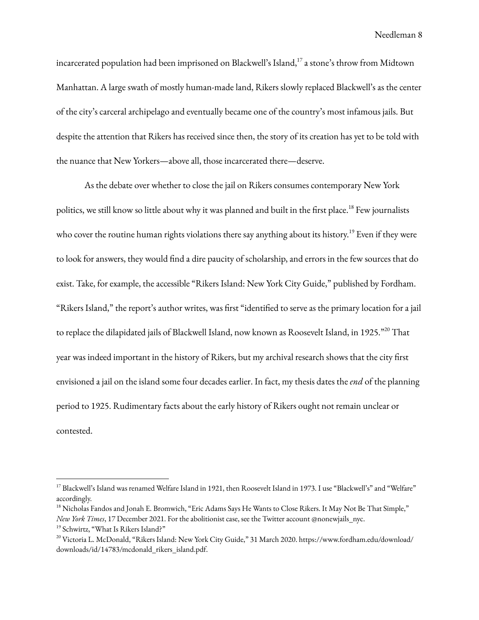incarcerated population had been imprisoned on Blackwell's Island, $^{17}$  a stone's throw from Midtown Manhattan. A large swath of mostly human-made land, Rikers slowly replaced Blackwell's as the center of the city's carceral archipelago and eventually became one of the country's most infamous jails. But despite the attention that Rikers has received since then, the story of its creation has yet to be told with the nuance that New Yorkers—above all, those incarcerated there—deserve.

As the debate over whether to close the jail on Rikers consumes contemporary New York politics, we still know so little about why it was planned and built in the first place. <sup>18</sup> Few journalists who cover the routine human rights violations there say anything about its history. <sup>19</sup> Even if they were to look for answers, they would find a dire paucity of scholarship, and errors in the few sources that do exist. Take, for example, the accessible "Rikers Island: New York City Guide," published by Fordham. "Rikers Island," the report's author writes, was first "identified to serve as the primary location for a jail to replace the dilapidated jails of Blackwell Island, now known as Roosevelt Island, in 1925." <sup>20</sup> That year was indeed important in the history of Rikers, but my archival research shows that the city first envisioned a jail on the island some four decades earlier. In fact, my thesis dates the *end* of the planning period to 1925. Rudimentary facts about the early history of Rikers ought not remain unclear or contested.

<sup>&</sup>lt;sup>17</sup> Blackwell's Island was renamed Welfare Island in 1921, then Roosevelt Island in 1973. I use "Blackwell's" and "Welfare" accordingly.

<sup>&</sup>lt;sup>18</sup> Nicholas Fandos and Jonah E. Bromwich, "Eric Adams Says He Wants to Close Rikers. It May Not Be That Simple," *New York Times*, 17 December 2021. For the abolitionist case, see the Twitter account @nonewjails\_nyc.

<sup>19</sup> Schwirtz, "What Is Rikers Island?"

<sup>20</sup> Victoria L. McDonald, "Rikers Island: New York City Guide," 31 March 2020. https://www.fordham.edu/download/ downloads/id/14783/mcdonald\_rikers\_island.pdf.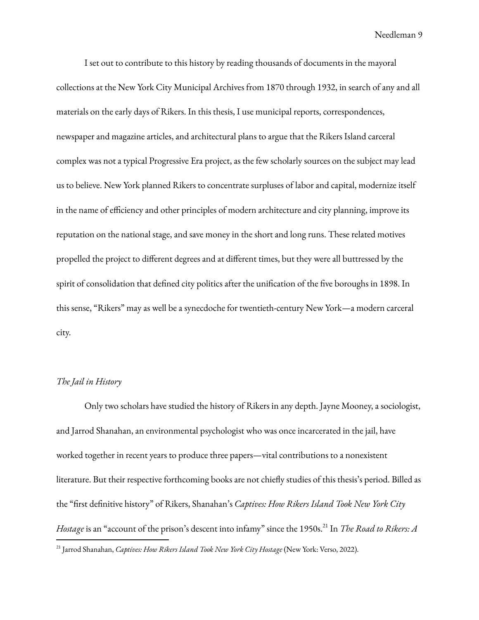I set out to contribute to this history by reading thousands of documents in the mayoral collections at the New York City Municipal Archives from 1870 through 1932, in search of any and all materials on the early days of Rikers. In this thesis, I use municipal reports, correspondences, newspaper and magazine articles, and architectural plans to argue that the Rikers Island carceral complex was not a typical Progressive Era project, as the few scholarly sources on the subject may lead us to believe. New York planned Rikers to concentrate surpluses of labor and capital, modernize itself in the name of efficiency and other principles of modern architecture and city planning, improve its reputation on the national stage, and save money in the short and long runs. These related motives propelled the project to different degrees and at different times, but they were all buttressed by the spirit of consolidation that defined city politics after the unification of the five boroughs in 1898. In this sense, "Rikers" may as well be a synecdoche for twentieth-century New York—a modern carceral city.

#### *The Jail in History*

Only two scholars have studied the history of Rikers in any depth. Jayne Mooney, a sociologist, and Jarrod Shanahan, an environmental psychologist who was once incarcerated in the jail, have worked together in recent years to produce three papers—vital contributions to a nonexistent literature. But their respective forthcoming books are not chiefly studies of this thesis's period. Billed as the "first definitive history" of Rikers, Shanahan's *Captives: How Rikers Island Took New York City Hostage* is an "account of the prison's descent into infamy" since the 1950s. 21 In *The Road to Rikers: A* 21 Jarrod Shanahan, *Captives: How Rikers Island Took New York City Hostage* (New York: Verso, 2022).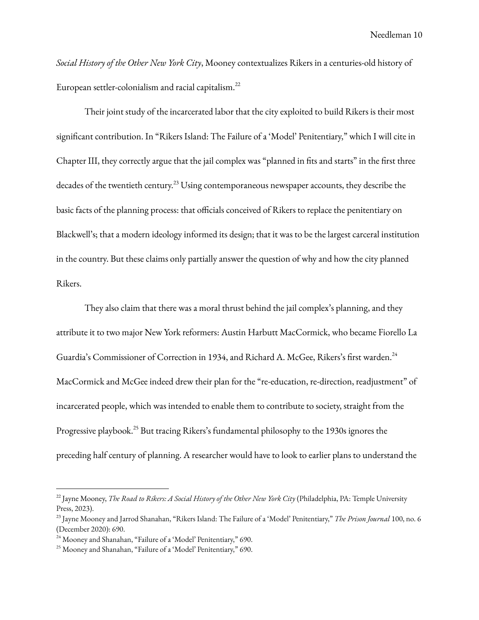*Social History of the Other New York City*, Mooney contextualizes Rikers in a centuries-old history of European settler-colonialism and racial capitalism. 22

Their joint study of the incarcerated labor that the city exploited to build Rikers is their most significant contribution. In "Rikers Island: The Failure of a 'Model' Penitentiary," which I will cite in Chapter III, they correctly argue that the jail complex was "planned in fits and starts" in the first three decades of the twentieth century. $^{23}$  Using contemporaneous newspaper accounts, they describe the basic facts of the planning process: that officials conceived of Rikers to replace the penitentiary on Blackwell's; that a modern ideology informed its design; that it was to be the largest carceral institution in the country. But these claims only partially answer the question of why and how the city planned Rikers.

They also claim that there was a moral thrust behind the jail complex's planning, and they attribute it to two major New York reformers: Austin Harbutt MacCormick, who became Fiorello La Guardia's Commissioner of Correction in 1934, and Richard A. McGee, Rikers's first warden.<sup>24</sup> MacCormick and McGee indeed drew their plan for the "re-education, re-direction, readjustment" of incarcerated people, which was intended to enable them to contribute to society, straight from the Progressive playbook.<sup>25</sup> But tracing Rikers's fundamental philosophy to the 1930s ignores the preceding half century of planning. A researcher would have to look to earlier plans to understand the

<sup>22</sup> Jayne Mooney, *The Road to Rikers: A Social History of the Other New York City* (Philadelphia, PA: Temple University Press, 2023).

<sup>23</sup> Jayne Mooney and Jarrod Shanahan, "Rikers Island: The Failure of a 'Model' Penitentiary," *The Prison Journal* 100, no. 6 (December 2020): 690.

<sup>&</sup>lt;sup>24</sup> Mooney and Shanahan, "Failure of a 'Model' Penitentiary," 690.

<sup>25</sup> Mooney and Shanahan, "Failure of a 'Model' Penitentiary," 690.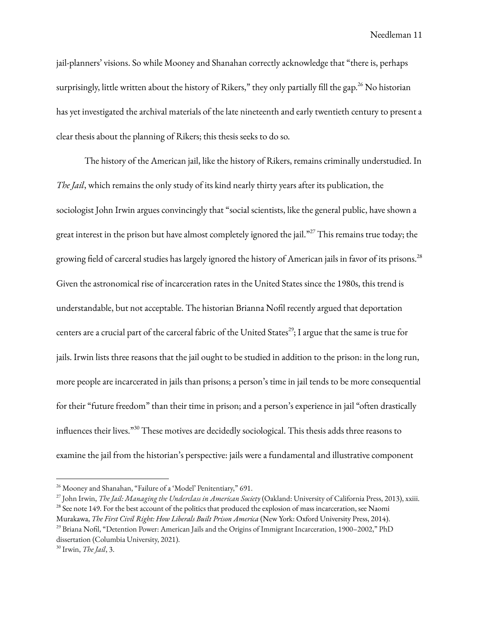jail-planners' visions. So while Mooney and Shanahan correctly acknowledge that "there is, perhaps surprisingly, little written about the history of Rikers," they only partially fill the gap. $^{26}$  No historian has yet investigated the archival materials of the late nineteenth and early twentieth century to present a clear thesis about the planning of Rikers; this thesis seeks to do so.

The history of the American jail, like the history of Rikers, remains criminally understudied. In *The Jail*, which remains the only study of its kind nearly thirty years after its publication, the sociologist John Irwin argues convincingly that "social scientists, like the general public, have shown a great interest in the prison but have almost completely ignored the jail." $^{27}$  This remains true today; the growing field of carceral studies has largely ignored the history of American jails in favor of its prisons. 28 Given the astronomical rise of incarceration rates in the United States since the 1980s, this trend is understandable, but not acceptable. The historian Brianna Nofil recently argued that deportation centers are a crucial part of the carceral fabric of the United States $^{29}$ ; I argue that the same is true for jails. Irwin lists three reasons that the jail ought to be studied in addition to the prison: in the long run, more people are incarcerated in jails than prisons; a person's time in jail tends to be more consequential for their "future freedom" than their time in prison; and a person's experience in jail "often drastically influences their lives." <sup>30</sup> These motives are decidedly sociological. This thesis adds three reasons to examine the jail from the historian's perspective: jails were a fundamental and illustrative component

<sup>&</sup>lt;sup>26</sup> Mooney and Shanahan, "Failure of a 'Model' Penitentiary," 691.

<sup>&</sup>lt;sup>28</sup> See note 149. For the best account of the politics that produced the explosion of mass incarceration, see Naomi 27 John Irwin, *The Jail: Managing the Underclass in American Society* (Oakland: University of California Press, 2013), xxiii.

Murakawa, *The First Civil Right: How Liberals Built Prison America* (New York: Oxford University Press, 2014).

<sup>&</sup>lt;sup>29</sup> Briana Nofil, "Detention Power: American Jails and the Origins of Immigrant Incarceration, 1900–2002," PhD dissertation (Columbia University, 2021).

<sup>30</sup> Irwin, *The Jail*, 3.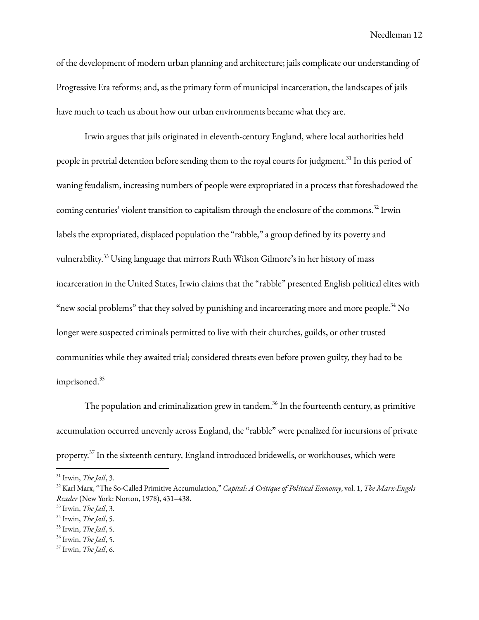of the development of modern urban planning and architecture; jails complicate our understanding of Progressive Era reforms; and, as the primary form of municipal incarceration, the landscapes of jails have much to teach us about how our urban environments became what they are.

Irwin argues that jails originated in eleventh-century England, where local authorities held people in pretrial detention before sending them to the royal courts for judgment.<sup>31</sup> In this period of waning feudalism, increasing numbers of people were expropriated in a process that foreshadowed the coming centuries' violent transition to capitalism through the enclosure of the commons.<sup>32</sup> Irwin labels the expropriated, displaced population the "rabble," a group defined by its poverty and vulnerability. <sup>33</sup> Using language that mirrors Ruth Wilson Gilmore's in her history of mass incarceration in the United States, Irwin claims that the "rabble" presented English political elites with "new social problems" that they solved by punishing and incarcerating more and more people. $^{34}$  No longer were suspected criminals permitted to live with their churches, guilds, or other trusted communities while they awaited trial; considered threats even before proven guilty, they had to be imprisoned. 35

The population and criminalization grew in tandem. $^{36}$  In the fourteenth century, as primitive accumulation occurred unevenly across England, the "rabble" were penalized for incursions of private property.<sup>37</sup> In the sixteenth century, England introduced bridewells, or workhouses, which were

<sup>31</sup> Irwin, *The Jail*, 3.

<sup>32</sup> Karl Marx, "The So-Called Primitive Accumulation," *Capital: A Critique of Political Economy*, vol. 1, *The Marx-Engels Reader* (New York: Norton, 1978), 431–438.

<sup>33</sup> Irwin, *The Jail*, 3.

<sup>34</sup> Irwin, *The Jail*, 5.

<sup>35</sup> Irwin, *The Jail*, 5.

<sup>36</sup> Irwin, *The Jail*, 5.

<sup>37</sup> Irwin, *The Jail*, 6.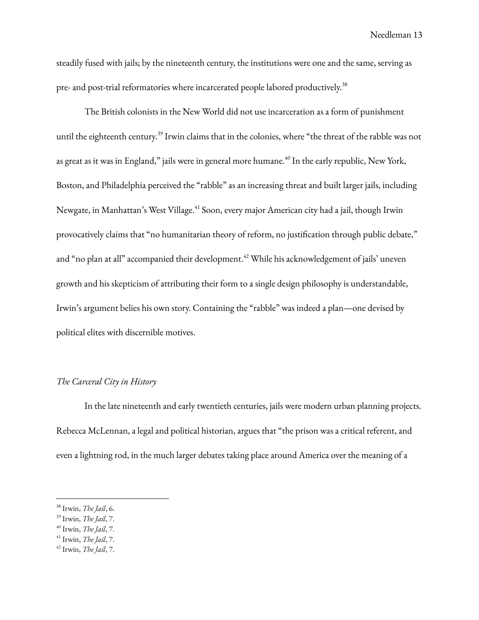steadily fused with jails; by the nineteenth century, the institutions were one and the same, serving as pre- and post-trial reformatories where incarcerated people labored productively.<sup>38</sup>

The British colonists in the New World did not use incarceration as a form of punishment until the eighteenth century.<sup>39</sup> Irwin claims that in the colonies, where "the threat of the rabble was not as great as it was in England," jails were in general more humane. $^{40}$  In the early republic, New York, Boston, and Philadelphia perceived the "rabble" as an increasing threat and built larger jails, including Newgate, in Manhattan's West Village.<sup>41</sup> Soon, every major American city had a jail, though Irwin provocatively claims that "no humanitarian theory of reform, no justification through public debate," and "no plan at all" accompanied their development. <sup>42</sup> While his acknowledgement of jails' uneven growth and his skepticism of attributing their form to a single design philosophy is understandable, Irwin's argument belies his own story. Containing the "rabble" was indeed a plan—one devised by political elites with discernible motives.

#### *The Carceral City in History*

In the late nineteenth and early twentieth centuries, jails were modern urban planning projects. Rebecca McLennan, a legal and political historian, argues that "the prison was a critical referent, and even a lightning rod, in the much larger debates taking place around America over the meaning of a

<sup>38</sup> Irwin, *The Jail*, 6.

<sup>39</sup> Irwin, *The Jail*, 7.

<sup>40</sup> Irwin, *The Jail*, 7.

<sup>41</sup> Irwin, *The Jail*, 7.

<sup>42</sup> Irwin, *The Jail*, 7.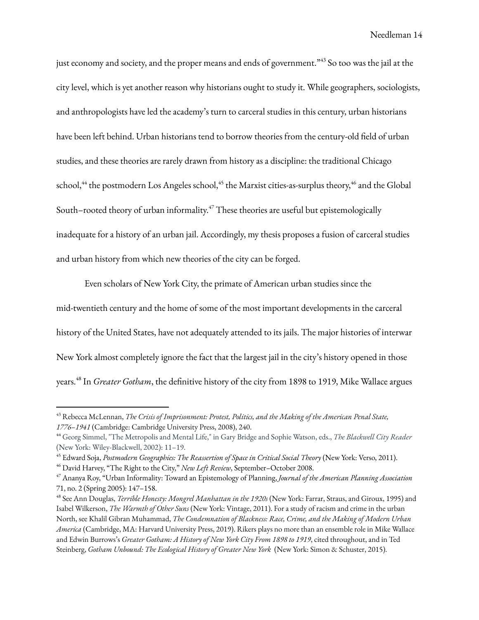just economy and society, and the proper means and ends of government." $^{43}$  So too was the jail at the city level, which is yet another reason why historians ought to study it. While geographers, sociologists, and anthropologists have led the academy's turn to carceral studies in this century, urban historians have been left behind. Urban historians tend to borrow theories from the century-old field of urban studies, and these theories are rarely drawn from history as a discipline: the traditional Chicago school, $^{44}$  the postmodern Los Angeles school, $^{45}$  the Marxist cities-as-surplus theory, $^{46}$  and the Global South–rooted theory of urban informality. <sup>47</sup> These theories are useful but epistemologically inadequate for a history of an urban jail. Accordingly, my thesis proposes a fusion of carceral studies and urban history from which new theories of the city can be forged.

Even scholars of New York City, the primate of American urban studies since the mid-twentieth century and the home of some of the most important developments in the carceral history of the United States, have not adequately attended to its jails. The major histories of interwar New York almost completely ignore the fact that the largest jail in the city's history opened in those years. 48 In *Greater Gotham*, the definitive history of the city from 1898 to 1919, Mike Wallace argues

<sup>43</sup> Rebecca McLennan, *The Crisis of Imprisonment: Protest, Politics, and the Making of the American Penal State, 1776–1941* (Cambridge: Cambridge University Press, 2008), 240.

<sup>44</sup> Georg Simmel, "The Metropolis and Mental Life," in Gary Bridge and Sophie Watson, eds., *The Blackwell City Reader* (New York: Wiley-Blackwell, 2002): 11–19.

<sup>45</sup> Edward Soja, *Postmodern Geographies: The Reassertion of Space in Critical Social Theory* (New York: Verso, 2011).

<sup>46</sup> David Harvey, "The Right to the City," *New Left Review*, September–October 2008.

<sup>47</sup> Ananya Roy, "Urban Informality: Toward an Epistemology of Planning, *Journal of the American Planning Association* 71, no. 2 (Spring 2005): 147–158.

<sup>48</sup> See Ann Douglas, *Terrible Honesty: Mongrel Manhattan in the 1920s* (New York: Farrar, Straus, and Giroux, 1995) and Isabel Wilkerson, *The Warmth of Other Suns* (New York: Vintage, 2011). For a study of racism and crime in the urban North, see Khalil Gibran Muhammad, *The Condemnation of Blackness: Race, Crime, and the Making of Modern Urban America* (Cambridge, MA: Harvard University Press, 2019). Rikers plays no more than an ensemble role in Mike Wallace and Edwin Burrows's *Greater Gotham: A History of New York City From 1898 to 1919*, cited throughout, and in Ted Steinberg, *Gotham Unbound: The Ecological History of Greater New York* (New York: Simon & Schuster, 2015).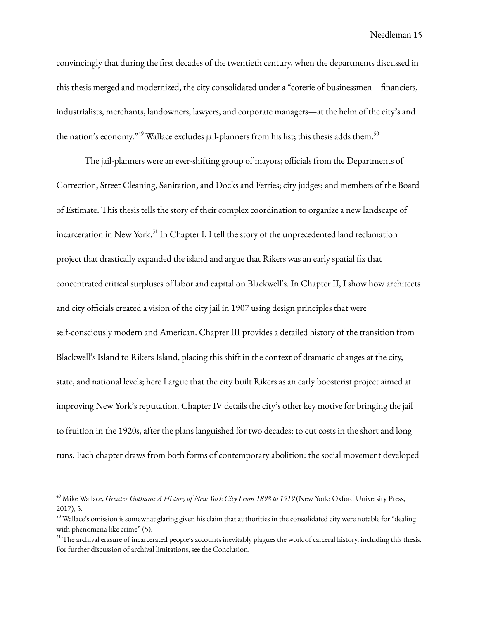convincingly that during the first decades of the twentieth century, when the departments discussed in this thesis merged and modernized, the city consolidated under a "coterie of businessmen—financiers, industrialists, merchants, landowners, lawyers, and corporate managers—at the helm of the city's and the nation's economy."<sup>49</sup> Wallace excludes jail-planners from his list; this thesis adds them.<sup>50</sup>

The jail-planners were an ever-shifting group of mayors; officials from the Departments of Correction, Street Cleaning, Sanitation, and Docks and Ferries; city judges; and members of the Board of Estimate. This thesis tells the story of their complex coordination to organize a new landscape of incarceration in New York.<sup>51</sup> In Chapter I, I tell the story of the unprecedented land reclamation project that drastically expanded the island and argue that Rikers was an early spatial fix that concentrated critical surpluses of labor and capital on Blackwell's. In Chapter II, I show how architects and city officials created a vision of the city jail in 1907 using design principles that were self-consciously modern and American. Chapter III provides a detailed history of the transition from Blackwell's Island to Rikers Island, placing this shift in the context of dramatic changes at the city, state, and national levels; here I argue that the city built Rikers as an early boosterist project aimed at improving New York's reputation. Chapter IV details the city's other key motive for bringing the jail to fruition in the 1920s, after the plans languished for two decades: to cut costs in the short and long runs. Each chapter draws from both forms of contemporary abolition: the social movement developed

<sup>49</sup> Mike Wallace, *Greater Gotham: A History of New York City From 1898 to 1919* (New York: Oxford University Press, 2017), 5.

 $50$  Wallace's omission is somewhat glaring given his claim that authorities in the consolidated city were notable for "dealing with phenomena like crime" (5).

<sup>&</sup>lt;sup>51</sup> The archival erasure of incarcerated people's accounts inevitably plagues the work of carceral history, including this thesis. For further discussion of archival limitations, see the Conclusion.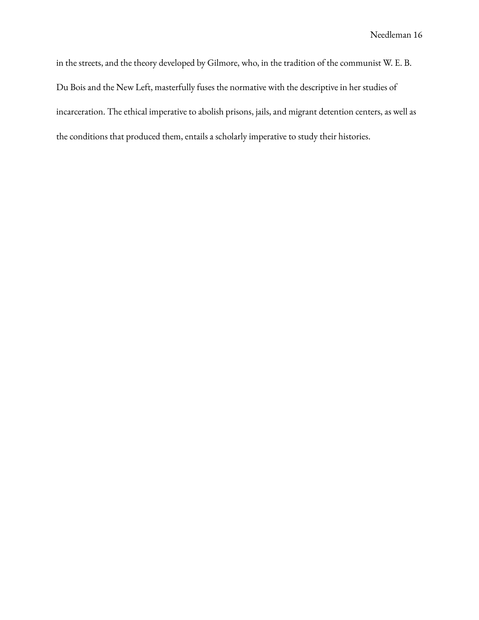in the streets, and the theory developed by Gilmore, who, in the tradition of the communist W. E. B. Du Bois and the New Left, masterfully fuses the normative with the descriptive in her studies of incarceration. The ethical imperative to abolish prisons, jails, and migrant detention centers, as well as the conditions that produced them, entails a scholarly imperative to study their histories.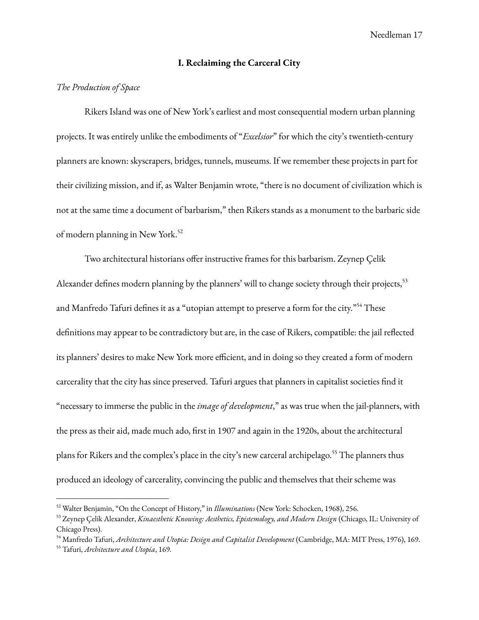### **I. Reclaiming the Carceral City**

### *The Production of Space*

Rikers Island was one of New York's earliest and most consequential modern urban planning projects. It was entirely unlike the embodiments of "*Excelsior*" for which the city's twentieth-century planners are known: skyscrapers, bridges, tunnels, museums. If we remember these projects in part for their civilizing mission, and if, as Walter Benjamin wrote, "there is no document of civilization which is not at the same time a document of barbarism," then Rikers stands as a monument to the barbaric side of modern planning in New York. 52

Two architectural historians offer instructive frames for this barbarism. Zeynep Çelik Alexander defines modern planning by the planners' will to change society through their projects, 53 and Manfredo Tafuri defines it as a "utopian attempt to preserve a form for the city." <sup>54</sup> These definitions may appear to be contradictory but are, in the case of Rikers, compatible: the jail reflected its planners' desires to make New York more efficient, and in doing so they created a form of modern carcerality that the city has since preserved. Tafuri argues that planners in capitalist societies find it "necessary to immerse the public in the *image of development*," as was true when the jail-planners, with the press as their aid, made much ado, first in 1907 and again in the 1920s, about the architectural plans for Rikers and the complex's place in the city's new carceral archipelago. <sup>55</sup> The planners thus produced an ideology of carcerality, convincing the public and themselves that their scheme was

<sup>52</sup> Walter Benjamin, "On the Concept of History," in *Illuminations* (New York: Schocken, 1968), 256.

<sup>53</sup> Zeynep Çelik Alexander, *Kinaesthetic Knowing: Aesthetics, Epistemology, and Modern Design* (Chicago, IL: University of Chicago Press).

<sup>54</sup> Manfredo Tafuri, *Architecture and Utopia: Design and Capitalist Development* (Cambridge, MA: MIT Press, 1976), 169.

<sup>55</sup> Tafuri, *Architecture and Utopia*, 169.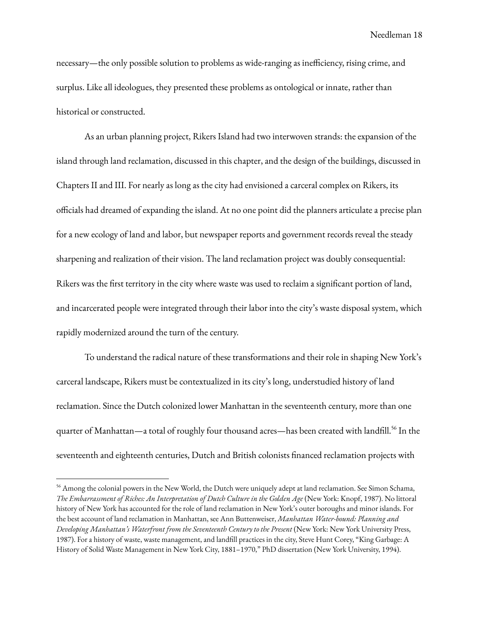necessary—the only possible solution to problems as wide-ranging as inefficiency, rising crime, and surplus. Like all ideologues, they presented these problems as ontological or innate, rather than historical or constructed.

As an urban planning project, Rikers Island had two interwoven strands: the expansion of the island through land reclamation, discussed in this chapter, and the design of the buildings, discussed in Chapters II and III. For nearly as long as the city had envisioned a carceral complex on Rikers, its officials had dreamed of expanding the island. At no one point did the planners articulate a precise plan for a new ecology of land and labor, but newspaper reports and government records reveal the steady sharpening and realization of their vision. The land reclamation project was doubly consequential: Rikers was the first territory in the city where waste was used to reclaim a significant portion of land, and incarcerated people were integrated through their labor into the city's waste disposal system, which rapidly modernized around the turn of the century.

To understand the radical nature of these transformations and their role in shaping New York's carceral landscape, Rikers must be contextualized in its city's long, understudied history of land reclamation. Since the Dutch colonized lower Manhattan in the seventeenth century, more than one quarter of Manhattan—a total of roughly four thousand acres—has been created with landfill.<sup>56</sup> In the seventeenth and eighteenth centuries, Dutch and British colonists financed reclamation projects with

<sup>&</sup>lt;sup>56</sup> Among the colonial powers in the New World, the Dutch were uniquely adept at land reclamation. See Simon Schama, *The Embarrassment of Riches: An Interpretation of Dutch Culture in the Golden Age* (New York: Knopf, 1987). No littoral history of New York has accounted for the role of land reclamation in New York's outer boroughs and minor islands. For the best account of land reclamation in Manhattan, see Ann Buttenweiser, *Manhattan Water-bound: Planning and Developing Manhattan's Waterfront from the Seventeenth Century to the Present* (New York: New York University Press, 1987). For a history of waste, waste management, and landfill practices in the city, Steve Hunt Corey, "King Garbage: A History of Solid Waste Management in New York City, 1881–1970," PhD dissertation (New York University, 1994).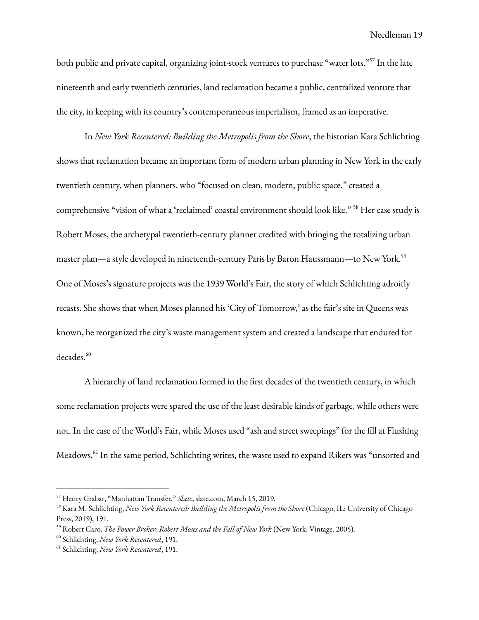both public and private capital, organizing joint-stock ventures to purchase "water lots."<sup>57</sup> In the late nineteenth and early twentieth centuries, land reclamation became a public, centralized venture that the city, in keeping with its country's contemporaneous imperialism, framed as an imperative.

In *New York Recentered: Building the Metropolis from the Shore*, the historian Kara Schlichting shows that reclamation became an important form of modern urban planning in New York in the early twentieth century, when planners, who "focused on clean, modern, public space," created a comprehensive "vision of what a 'reclaimed' coastal environment should look like." <sup>58</sup> Her case study is Robert Moses, the archetypal twentieth-century planner credited with bringing the totalizing urban master plan—a style developed in nineteenth-century Paris by Baron Haussmann—to New York. 59 One of Moses's signature projects was the 1939 World's Fair, the story of which Schlichting adroitly recasts. She shows that when Moses planned his 'City of Tomorrow,' as the fair's site in Queens was known, he reorganized the city's waste management system and created a landscape that endured for decades. 60

A hierarchy of land reclamation formed in the first decades of the twentieth century, in which some reclamation projects were spared the use of the least desirable kinds of garbage, while others were not. In the case of the World's Fair, while Moses used "ash and street sweepings" for the fill at Flushing Meadows. 61 In the same period, Schlichting writes, the waste used to expand Rikers was "unsorted and

<sup>57</sup> Henry Grabar, "Manhattan Transfer," *Slate*, slate.com, March 15, 2019.

<sup>58</sup> Kara M. Schlichting, *New York Recentered: Building the Metropolis from the Shore* (Chicago, IL: University of Chicago Press, 2019), 191.

<sup>59</sup> Robert Caro, *The Power Broker: Robert Moses and the Fall of New York* (New York: Vintage, 2005).

<sup>60</sup> Schlichting, *New York Recentered*, 191.

<sup>61</sup> Schlichting, *New York Recentered*, 191.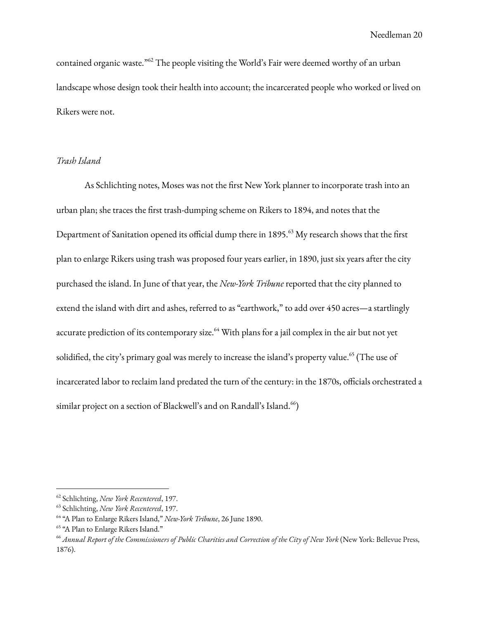contained organic waste." <sup>62</sup> The people visiting the World's Fair were deemed worthy of an urban landscape whose design took their health into account; the incarcerated people who worked or lived on Rikers were not.

### *Trash Island*

As Schlichting notes, Moses was not the first New York planner to incorporate trash into an urban plan; she traces the first trash-dumping scheme on Rikers to 1894, and notes that the Department of Sanitation opened its official dump there in 1895. <sup>63</sup> My research shows that the first plan to enlarge Rikers using trash was proposed four years earlier, in 1890, just six years after the city purchased the island. In June of that year, the *New-York Tribune* reported that the city planned to extend the island with dirt and ashes, referred to as "earthwork," to add over 450 acres—a startlingly accurate prediction of its contemporary size.<sup>64</sup> With plans for a jail complex in the air but not yet solidified, the city's primary goal was merely to increase the island's property value.<sup>65</sup> (The use of incarcerated labor to reclaim land predated the turn of the century: in the 1870s, officials orchestrated a similar project on a section of Blackwell's and on Randall's Island.<sup>66</sup>)

<sup>62</sup> Schlichting, *New York Recentered*, 197.

<sup>63</sup> Schlichting, *New York Recentered*, 197.

<sup>64</sup> "A Plan to Enlarge Rikers Island," *New-York Tribune*, 26 June 1890.

<sup>&</sup>lt;sup>65</sup> "A Plan to Enlarge Rikers Island."

<sup>&</sup>lt;sup>66</sup> Annual Report of the Commissioners of Public Charities and Correction of the City of New York (New York: Bellevue Press, 1876).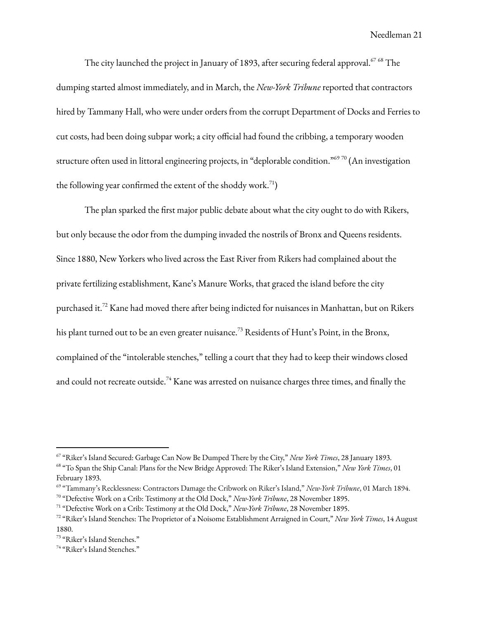The city launched the project in January of 1893, after securing federal approval. $^{67\,68}$  The dumping started almost immediately, and in March, the *New-York Tribune* reported that contractors hired by Tammany Hall, who were under orders from the corrupt Department of Docks and Ferries to cut costs, had been doing subpar work; a city official had found the cribbing, a temporary wooden structure often used in littoral engineering projects, in "deplorable condition."<sup>69 70</sup> (An investigation the following year confirmed the extent of the shoddy work.<sup>71</sup>)

The plan sparked the first major public debate about what the city ought to do with Rikers, but only because the odor from the dumping invaded the nostrils of Bronx and Queens residents. Since 1880, New Yorkers who lived across the East River from Rikers had complained about the private fertilizing establishment, Kane's Manure Works, that graced the island before the city purchased it.<sup>72</sup> Kane had moved there after being indicted for nuisances in Manhattan, but on Rikers his plant turned out to be an even greater nuisance.<sup>73</sup> Residents of Hunt's Point, in the Bronx, complained of the "intolerable stenches," telling a court that they had to keep their windows closed and could not recreate outside. $^{74}$  Kane was arrested on nuisance charges three times, and finally the

<sup>67</sup> "Riker's Island Secured: Garbage Can Now Be Dumped There by the City," *New York Times*, 28 January 1893.

<sup>68</sup> "To Span the Ship Canal: Plans for the New Bridge Approved: The Riker's Island Extension," *New York Times*, 01 February 1893.

<sup>69</sup> "Tammany's Recklessness: Contractors Damage the Cribwork on Riker's Island," *New-York Tribune*, 01 March 1894.

<sup>70</sup> "Defective Work on a Crib: Testimony at the Old Dock," *New-York Tribune*, 28 November 1895.

<sup>71</sup> "Defective Work on a Crib: Testimony at the Old Dock," *New-York Tribune*, 28 November 1895.

<sup>72</sup> "Riker's Island Stenches: The Proprietor of a Noisome Establishment Arraigned in Court," *New York Times*, 14 August 1880.

<sup>73</sup> "Riker's Island Stenches."

<sup>74</sup> "Riker's Island Stenches."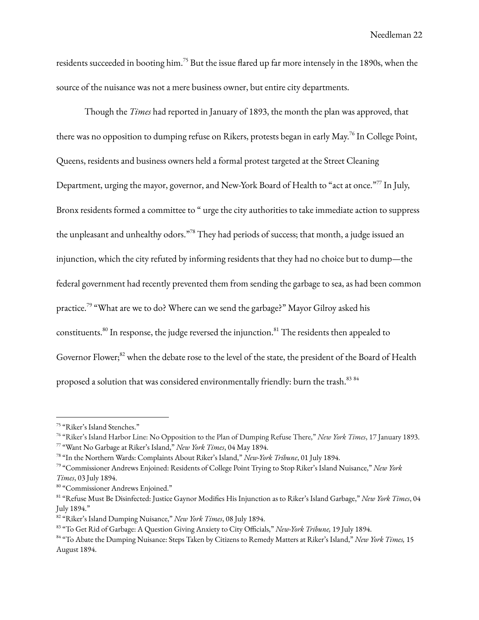residents succeeded in booting him. <sup>75</sup> But the issue flared up far more intensely in the 1890s, when the source of the nuisance was not a mere business owner, but entire city departments.

Though the *Times* had reported in January of 1893, the month the plan was approved, that there was no opposition to dumping refuse on Rikers, protests began in early May.<sup>76</sup> In College Point, Queens, residents and business owners held a formal protest targeted at the Street Cleaning Department, urging the mayor, governor, and New-York Board of Health to "act at once."<sup>77</sup> In July, Bronx residents formed a committee to " urge the city authorities to take immediate action to suppress the unpleasant and unhealthy odors."<sup>78</sup> They had periods of success; that month, a judge issued an injunction, which the city refuted by informing residents that they had no choice but to dump—the federal government had recently prevented them from sending the garbage to sea, as had been common practice.<sup>79</sup> "What are we to do? Where can we send the garbage?" Mayor Gilroy asked his constituents. $^{\text{80}}$  In response, the judge reversed the injunction. $^{\text{81}}$  The residents then appealed to Governor Flower;<sup>82</sup> when the debate rose to the level of the state, the president of the Board of Health proposed a solution that was considered environmentally friendly: burn the trash. $^{\rm 83~84}$ 

<sup>75</sup> "Riker's Island Stenches."

<sup>76</sup> "Riker's Island Harbor Line: No Opposition to the Plan of Dumping Refuse There," *New York Times*, 17 January 1893.

<sup>77</sup> "Want No Garbage at Riker's Island," *New York Times*, 04 May 1894.

<sup>78</sup> "In the Northern Wards: Complaints About Riker's Island," *New-York Tribune*, 01 July 1894.

<sup>79</sup> "Commissioner Andrews Enjoined: Residents of College Point Trying to Stop Riker's Island Nuisance," *New York Times*, 03 July 1894.

<sup>80</sup> "Commissioner Andrews Enjoined."

<sup>81</sup> "Refuse Must Be Disinfected: Justice Gaynor Modifies His Injunction as to Riker's Island Garbage," *New York Times*, 04 July 1894."

<sup>82</sup> "Riker's Island Dumping Nuisance," *New York Times*, 08 July 1894.

<sup>83</sup> "To Get Rid of Garbage: A Question Giving Anxiety to City Officials," *New-York Tribune,* 19 July 1894.

<sup>84</sup> "To Abate the Dumping Nuisance: Steps Taken by Citizens to Remedy Matters at Riker's Island," *New York Times,* 15 August 1894.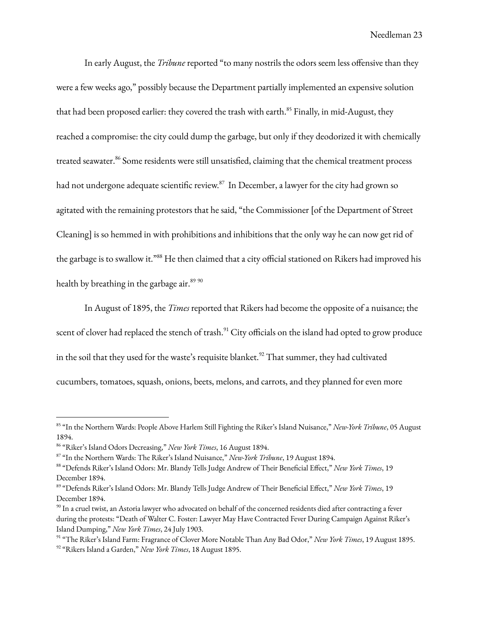In early August, the *Tribune* reported "to many nostrils the odors seem less offensive than they were a few weeks ago," possibly because the Department partially implemented an expensive solution that had been proposed earlier: they covered the trash with earth.<sup>85</sup> Finally, in mid-August, they reached a compromise: the city could dump the garbage, but only if they deodorized it with chemically treated seawater.<sup>86</sup> Some residents were still unsatisfied, claiming that the chemical treatment process had not undergone adequate scientific review. $^{87}$  In December, a lawyer for the city had grown so agitated with the remaining protestors that he said, "the Commissioner [of the Department of Street Cleaning] is so hemmed in with prohibitions and inhibitions that the only way he can now get rid of the garbage is to swallow it."<sup>88</sup> He then claimed that a city official stationed on Rikers had improved his health by breathing in the garbage air.<sup>89 90</sup>

In August of 1895, the *Times* reported that Rikers had become the opposite of a nuisance; the scent of clover had replaced the stench of trash. $^{91}$  City officials on the island had opted to grow produce in the soil that they used for the waste's requisite blanket. $92$  That summer, they had cultivated cucumbers, tomatoes, squash, onions, beets, melons, and carrots, and they planned for even more

<sup>85</sup> "In the Northern Wards: People Above Harlem Still Fighting the Riker's Island Nuisance," *New-York Tribune*, 05 August 1894.

<sup>86</sup> "Riker's Island Odors Decreasing," *New York Times*, 16 August 1894.

<sup>87</sup> "In the Northern Wards: The Riker's Island Nuisance," *New-York Tribune*, 19 August 1894.

<sup>88</sup> "Defends Riker's Island Odors: Mr. Blandy Tells Judge Andrew of Their Beneficial Effect," *New York Times*, 19 December 1894.

<sup>89</sup> "Defends Riker's Island Odors: Mr. Blandy Tells Judge Andrew of Their Beneficial Effect," *New York Times*, 19 December 1894.

 $^{\rm 90}$  In a cruel twist, an Astoria lawyer who advocated on behalf of the concerned residents died after contracting a fever during the protests: "Death of Walter C. Foster: Lawyer May Have Contracted Fever During Campaign Against Riker's Island Dumping," *New York Times*, 24 July 1903.

<sup>92</sup> "Rikers Island a Garden," *New York Times*, 18 August 1895. 91 "The Riker's Island Farm: Fragrance of Clover More Notable Than Any Bad Odor," *New York Times*, 19 August 1895.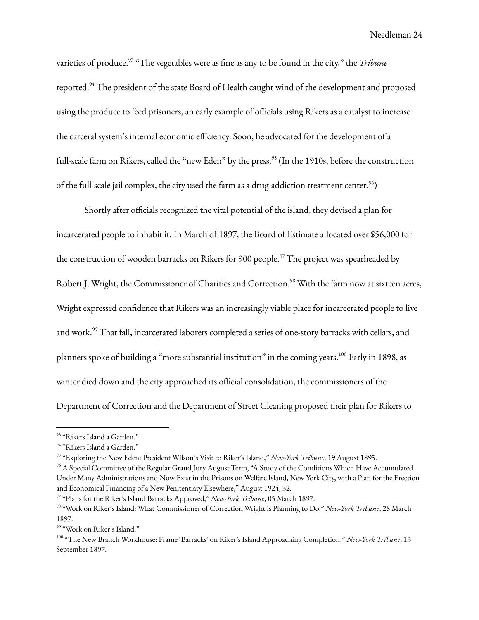varieties of produce. 93 "The vegetables were as fine as any to be found in the city," the *Tribune* reported.<sup>94</sup> The president of the state Board of Health caught wind of the development and proposed using the produce to feed prisoners, an early example of officials using Rikers as a catalyst to increase the carceral system's internal economic efficiency. Soon, he advocated for the development of a full-scale farm on Rikers, called the "new Eden" by the press. 95 (In the 1910s, before the construction of the full-scale jail complex, the city used the farm as a drug-addiction treatment center. $^{96})$ 

Shortly after officials recognized the vital potential of the island, they devised a plan for incarcerated people to inhabit it. In March of 1897, the Board of Estimate allocated over \$56,000 for the construction of wooden barracks on Rikers for 900 people.<sup>97</sup> The project was spearheaded by Robert J. Wright, the Commissioner of Charities and Correction. <sup>98</sup> With the farm now at sixteen acres, Wright expressed confidence that Rikers was an increasingly viable place for incarcerated people to live and work.<sup>99</sup> That fall, incarcerated laborers completed a series of one-story barracks with cellars, and planners spoke of building a "more substantial institution" in the coming years.<sup>100</sup> Early in 1898, as winter died down and the city approached its official consolidation, the commissioners of the Department of Correction and the Department of Street Cleaning proposed their plan for Rikers to

<sup>&</sup>lt;sup>93</sup> "Rikers Island a Garden."

<sup>&</sup>lt;sup>94</sup> "Rikers Island a Garden."

<sup>95</sup> "Exploring the New Eden: President Wilson's Visit to Riker's Island," *New-York Tribune*, 19 August 1895.

<sup>&</sup>lt;sup>96</sup> A Special Committee of the Regular Grand Jury August Term, "A Study of the Conditions Which Have Accumulated Under Many Administrations and Now Exist in the Prisons on Welfare Island, New York City, with a Plan for the Erection and Economical Financing of a New Penitentiary Elsewhere," August 1924, 32.

<sup>97</sup> "Plans for the Riker's Island Barracks Approved," *New-York Tribune*, 05 March 1897.

<sup>98</sup> "Work on Riker's Island: What Commissioner of Correction Wright is Planning to Do," *New-York Tribune*, 28 March 1897.

<sup>99</sup> "Work on Riker's Island."

<sup>100</sup> "The New Branch Workhouse: Frame 'Barracks' on Riker's Island Approaching Completion," *New-York Tribune*, 13 September 1897.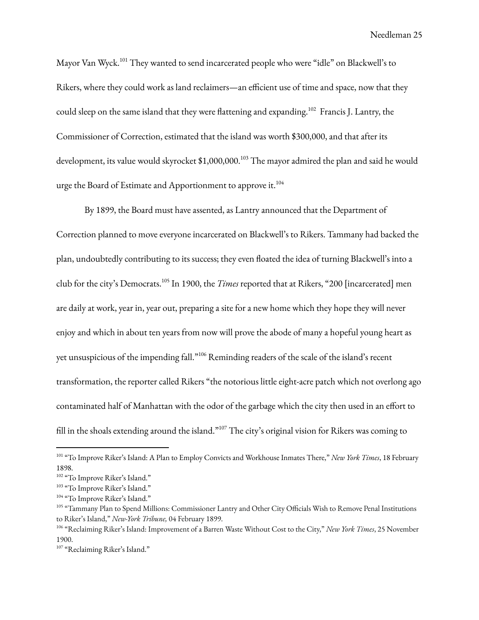Mayor Van Wyck. <sup>101</sup> They wanted to send incarcerated people who were "idle" on Blackwell's to Rikers, where they could work as land reclaimers—an efficient use of time and space, now that they could sleep on the same island that they were flattening and expanding. $^{102}$  Francis J. Lantry, the Commissioner of Correction, estimated that the island was worth \$300,000, and that after its development, its value would skyrocket \$1,000,000. <sup>103</sup> The mayor admired the plan and said he would urge the Board of Estimate and Apportionment to approve it. $^{104}$ 

By 1899, the Board must have assented, as Lantry announced that the Department of Correction planned to move everyone incarcerated on Blackwell's to Rikers. Tammany had backed the plan, undoubtedly contributing to its success; they even floated the idea of turning Blackwell's into a club for the city's Democrats. 105 In 1900, the *Times* reported that at Rikers, "200 [incarcerated] men are daily at work, year in, year out, preparing a site for a new home which they hope they will never enjoy and which in about ten years from now will prove the abode of many a hopeful young heart as yet unsuspicious of the impending fall." <sup>106</sup> Reminding readers of the scale of the island's recent transformation, the reporter called Rikers "the notorious little eight-acre patch which not overlong ago contaminated half of Manhattan with the odor of the garbage which the city then used in an effort to fill in the shoals extending around the island."<sup>107</sup> The city's original vision for Rikers was coming to

<sup>101</sup> "To Improve Riker's Island: A Plan to Employ Convicts and Workhouse Inmates There," *New York Times*, 18 February 1898.

<sup>&</sup>lt;sup>102</sup> "To Improve Riker's Island."

<sup>&</sup>lt;sup>103</sup> "To Improve Riker's Island."

<sup>&</sup>lt;sup>104</sup> "To Improve Riker's Island."

<sup>&</sup>lt;sup>105</sup> "Tammany Plan to Spend Millions: Commissioner Lantry and Other City Officials Wish to Remove Penal Institutions to Riker's Island," *New-York Tribune,* 04 February 1899.

<sup>106</sup> "Reclaiming Riker's Island: Improvement of a Barren Waste Without Cost to the City," *New York Times*, 25 November 1900.

<sup>&</sup>lt;sup>107</sup> "Reclaiming Riker's Island."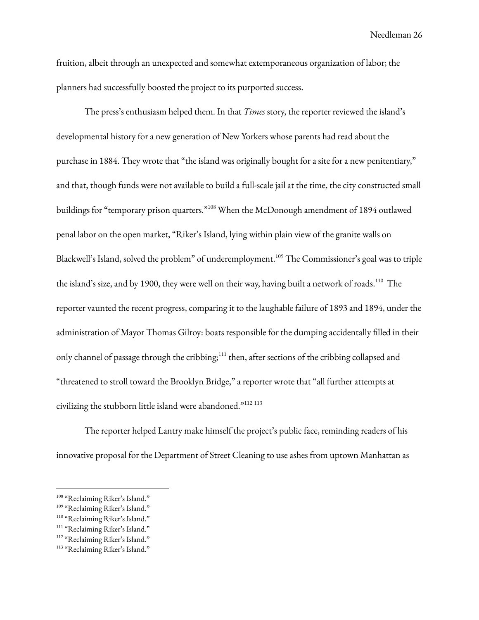fruition, albeit through an unexpected and somewhat extemporaneous organization of labor; the planners had successfully boosted the project to its purported success.

The press's enthusiasm helped them. In that *Times* story, the reporter reviewed the island's developmental history for a new generation of New Yorkers whose parents had read about the purchase in 1884. They wrote that "the island was originally bought for a site for a new penitentiary," and that, though funds were not available to build a full-scale jail at the time, the city constructed small buildings for "temporary prison quarters."<sup>108</sup> When the McDonough amendment of 1894 outlawed penal labor on the open market, "Riker's Island, lying within plain view of the granite walls on Blackwell's Island, solved the problem" of underemployment. <sup>109</sup> The Commissioner's goal was to triple the island's size, and by 1900, they were well on their way, having built a network of roads.<sup>110</sup> The reporter vaunted the recent progress, comparing it to the laughable failure of 1893 and 1894, under the administration of Mayor Thomas Gilroy: boats responsible for the dumping accidentally filled in their only channel of passage through the cribbing;<sup>111</sup> then, after sections of the cribbing collapsed and "threatened to stroll toward the Brooklyn Bridge," a reporter wrote that "all further attempts at civilizing the stubborn little island were abandoned." 112 113

The reporter helped Lantry make himself the project's public face, reminding readers of his innovative proposal for the Department of Street Cleaning to use ashes from uptown Manhattan as

<sup>&</sup>lt;sup>108</sup> "Reclaiming Riker's Island."

<sup>&</sup>lt;sup>109</sup> "Reclaiming Riker's Island."

<sup>&</sup>lt;sup>110</sup> "Reclaiming Riker's Island."

<sup>&</sup>lt;sup>111</sup> "Reclaiming Riker's Island."

<sup>&</sup>lt;sup>112</sup> "Reclaiming Riker's Island."

<sup>&</sup>lt;sup>113</sup> "Reclaiming Riker's Island."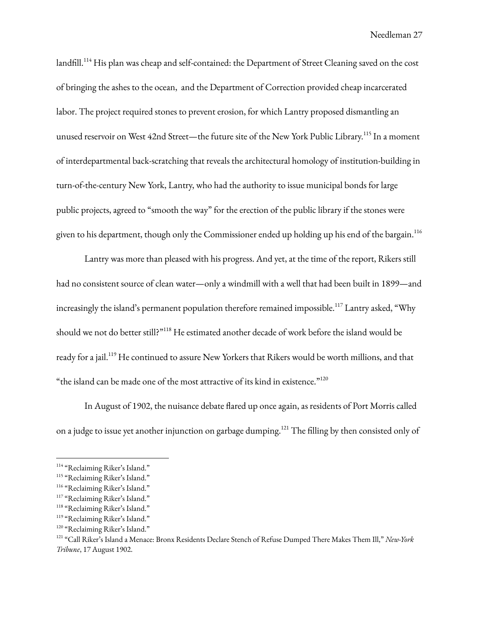landfill.<sup>114</sup> His plan was cheap and self-contained: the Department of Street Cleaning saved on the cost of bringing the ashes to the ocean, and the Department of Correction provided cheap incarcerated labor. The project required stones to prevent erosion, for which Lantry proposed dismantling an unused reservoir on West 42nd Street—the future site of the New York Public Library.<sup>115</sup> In a moment of interdepartmental back-scratching that reveals the architectural homology of institution-building in turn-of-the-century New York, Lantry, who had the authority to issue municipal bonds for large public projects, agreed to "smooth the way" for the erection of the public library if the stones were given to his department, though only the Commissioner ended up holding up his end of the bargain. $^{\rm 116}$ 

Lantry was more than pleased with his progress. And yet, at the time of the report, Rikers still had no consistent source of clean water—only a windmill with a well that had been built in 1899—and increasingly the island's permanent population therefore remained impossible. $^{117}$  Lantry asked, "Why should we not do better still?"<sup>118</sup> He estimated another decade of work before the island would be ready for a jail.<sup>119</sup> He continued to assure New Yorkers that Rikers would be worth millions, and that "the island can be made one of the most attractive of its kind in existence." $^{120}$ 

In August of 1902, the nuisance debate flared up once again, as residents of Port Morris called on a judge to issue yet another injunction on garbage dumping.<sup>121</sup> The filling by then consisted only of

<sup>&</sup>lt;sup>114</sup> "Reclaiming Riker's Island."

<sup>&</sup>lt;sup>115</sup> "Reclaiming Riker's Island."

<sup>&</sup>lt;sup>116</sup> "Reclaiming Riker's Island."

<sup>&</sup>lt;sup>117</sup> "Reclaiming Riker's Island."

<sup>&</sup>lt;sup>118</sup> "Reclaiming Riker's Island."

<sup>&</sup>lt;sup>119</sup> "Reclaiming Riker's Island."

<sup>&</sup>lt;sup>120</sup> "Reclaiming Riker's Island."

<sup>121</sup> "Call Riker's Island a Menace: Bronx Residents Declare Stench of Refuse Dumped There Makes Them Ill," *New-York Tribune*, 17 August 1902.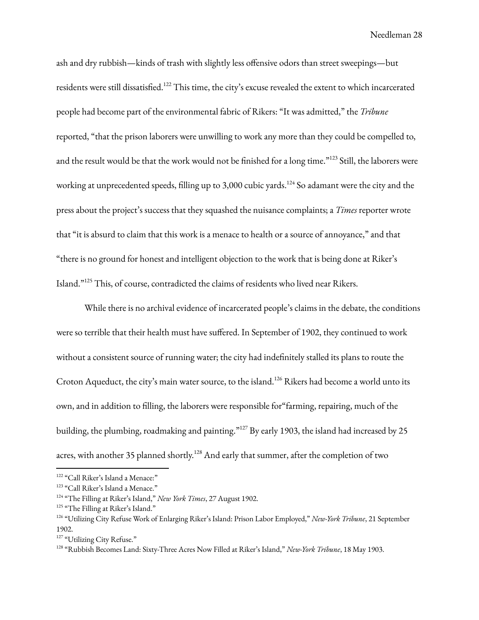ash and dry rubbish—kinds of trash with slightly less offensive odors than street sweepings—but residents were still dissatisfied.<sup>122</sup> This time, the city's excuse revealed the extent to which incarcerated people had become part of the environmental fabric of Rikers: "It was admitted," the *Tribune* reported, "that the prison laborers were unwilling to work any more than they could be compelled to, and the result would be that the work would not be finished for a long time."<sup>123</sup> Still, the laborers were working at unprecedented speeds, filling up to 3,000 cubic yards.<sup>124</sup> So adamant were the city and the press about the project's success that they squashed the nuisance complaints; a *Times* reporter wrote that "it is absurd to claim that this work is a menace to health or a source of annoyance," and that "there is no ground for honest and intelligent objection to the work that is being done at Riker's Island."<sup>125</sup> This, of course, contradicted the claims of residents who lived near Rikers.

While there is no archival evidence of incarcerated people's claims in the debate, the conditions were so terrible that their health must have suffered. In September of 1902, they continued to work without a consistent source of running water; the city had indefinitely stalled its plans to route the Croton Aqueduct, the city's main water source, to the island.<sup>126</sup> Rikers had become a world unto its own, and in addition to filling, the laborers were responsible for"farming, repairing, much of the building, the plumbing, roadmaking and painting." <sup>127</sup> By early 1903, the island had increased by 25 acres, with another 35 planned shortly.<sup>128</sup> And early that summer, after the completion of two

<sup>&</sup>lt;sup>122</sup> "Call Riker's Island a Menace:"

<sup>&</sup>lt;sup>123</sup> "Call Riker's Island a Menace."

<sup>124</sup> "The Filling at Riker's Island," *New York Times*, 27 August 1902.

<sup>&</sup>lt;sup>125</sup> "The Filling at Riker's Island."

<sup>126</sup> "Utilizing City Refuse Work of Enlarging Riker's Island: Prison Labor Employed," *New-York Tribune*, 21 September 1902.

<sup>&</sup>lt;sup>127</sup> "Utilizing City Refuse."

<sup>128</sup> "Rubbish Becomes Land: Sixty-Three Acres Now Filled at Riker's Island," *New-York Tribune*, 18 May 1903.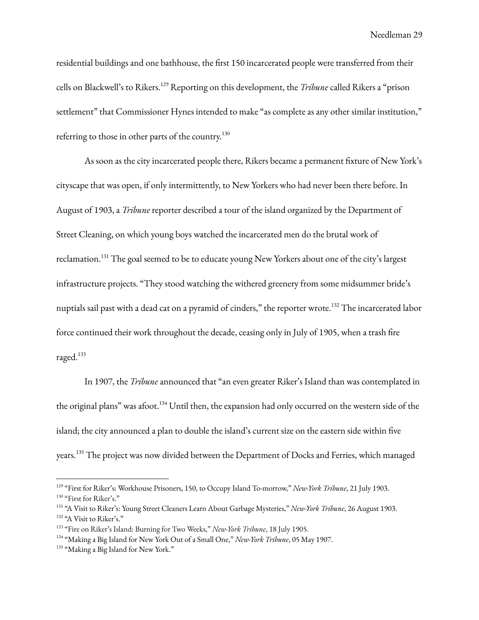residential buildings and one bathhouse, the first 150 incarcerated people were transferred from their cells on Blackwell's to Rikers. <sup>129</sup> Reporting on this development, the *Tribune* called Rikers a "prison settlement" that Commissioner Hynes intended to make "as complete as any other similar institution," referring to those in other parts of the country. $^{130}$ 

As soon as the city incarcerated people there, Rikers became a permanent fixture of New York's cityscape that was open, if only intermittently, to New Yorkers who had never been there before. In August of 1903, a *Tribune* reporter described a tour of the island organized by the Department of Street Cleaning, on which young boys watched the incarcerated men do the brutal work of reclamation.<sup>131</sup> The goal seemed to be to educate young New Yorkers about one of the city's largest infrastructure projects. "They stood watching the withered greenery from some midsummer bride's nuptials sail past with a dead cat on a pyramid of cinders," the reporter wrote.<sup>132</sup> The incarcerated labor force continued their work throughout the decade, ceasing only in July of 1905, when a trash fire raged. 133

In 1907, the *Tribune* announced that "an even greater Riker's Island than was contemplated in the original plans" was afoot.<sup>134</sup> Until then, the expansion had only occurred on the western side of the island; the city announced a plan to double the island's current size on the eastern side within five years.<sup>135</sup> The project was now divided between the Department of Docks and Ferries, which managed

<sup>&</sup>lt;sup>130</sup> "First for Riker's." 129 "First for Riker's: Workhouse Prisoners, 150, to Occupy Island To-morrow," *New-York Tribune*, 21 July 1903.

<sup>&</sup>lt;sup>132</sup> "A Visit to Riker's." 131 "A Visit to Riker's: Young Street Cleaners Learn About Garbage Mysteries," *New-York Tribune*, 26 August 1903.

<sup>133</sup> "Fire on Riker's Island: Burning for Two Weeks," *New-York Tribune*, 18 July 1905.

<sup>134</sup> "Making a Big Island for New York Out of a Small One," *New-York Tribune*, 05 May 1907.

<sup>&</sup>lt;sup>135</sup> "Making a Big Island for New York."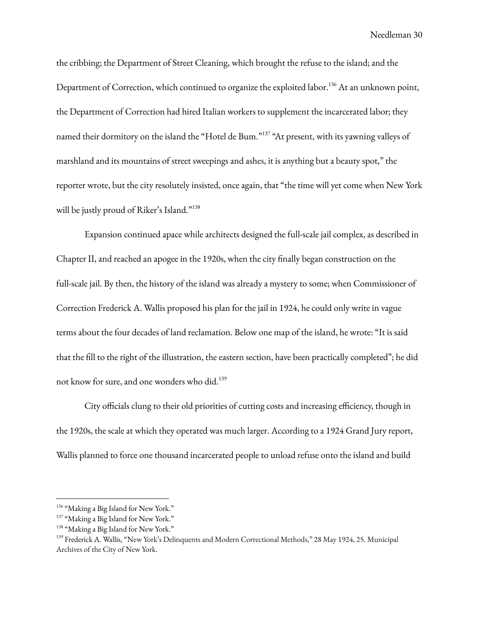the cribbing; the Department of Street Cleaning, which brought the refuse to the island; and the Department of Correction, which continued to organize the exploited labor.<sup>136</sup> At an unknown point, the Department of Correction had hired Italian workers to supplement the incarcerated labor; they named their dormitory on the island the "Hotel de Bum." <sup>137</sup> "At present, with its yawning valleys of marshland and its mountains of street sweepings and ashes, it is anything but a beauty spot," the reporter wrote, but the city resolutely insisted, once again, that "the time will yet come when New York will be justly proud of Riker's Island."<sup>138</sup>

Expansion continued apace while architects designed the full-scale jail complex, as described in Chapter II, and reached an apogee in the 1920s, when the city finally began construction on the full-scale jail. By then, the history of the island was already a mystery to some; when Commissioner of Correction Frederick A. Wallis proposed his plan for the jail in 1924, he could only write in vague terms about the four decades of land reclamation. Below one map of the island, he wrote: "It is said that the fill to the right of the illustration, the eastern section, have been practically completed"; he did not know for sure, and one wonders who did. 139

City officials clung to their old priorities of cutting costs and increasing efficiency, though in the 1920s, the scale at which they operated was much larger. According to a 1924 Grand Jury report, Wallis planned to force one thousand incarcerated people to unload refuse onto the island and build

<sup>&</sup>lt;sup>136</sup> "Making a Big Island for New York."

<sup>&</sup>lt;sup>137</sup> "Making a Big Island for New York."

<sup>&</sup>lt;sup>138</sup> "Making a Big Island for New York."

<sup>139</sup> Frederick A. Wallis, "New York's Delinquents and Modern Correctional Methods," 28 May 1924, 25. Municipal Archives of the City of New York.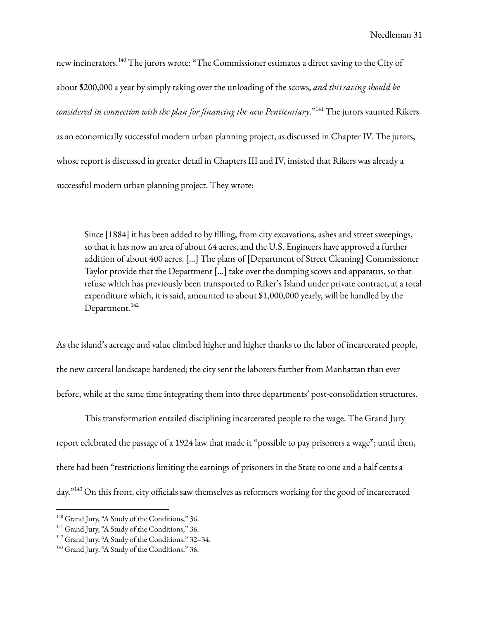new incinerators. $^{\rm 140}$  The jurors wrote: "The Commissioner estimates a direct saving to the City of about \$200,000 a year by simply taking over the unloading of the scows, *and this saving should be considered in connection with the plan for financing the new Penitentiary*." <sup>141</sup> The jurors vaunted Rikers as an economically successful modern urban planning project, as discussed in Chapter IV. The jurors, whose report is discussed in greater detail in Chapters III and IV, insisted that Rikers was already a successful modern urban planning project. They wrote:

Since [1884] it has been added to by filling, from city excavations, ashes and street sweepings, so that it has now an area of about 64 acres, and the U.S. Engineers have approved a further addition of about 400 acres. […] The plans of [Department of Street Cleaning] Commissioner Taylor provide that the Department […] take over the dumping scows and apparatus, so that refuse which has previously been transported to Riker's Island under private contract, at a total expenditure which, it is said, amounted to about \$1,000,000 yearly, will be handled by the Department.<sup>142</sup>

As the island's acreage and value climbed higher and higher thanks to the labor of incarcerated people, the new carceral landscape hardened; the city sent the laborers further from Manhattan than ever before, while at the same time integrating them into three departments' post-consolidation structures.

This transformation entailed disciplining incarcerated people to the wage. The Grand Jury report celebrated the passage of a 1924 law that made it "possible to pay prisoners a wage"; until then, there had been "restrictions limiting the earnings of prisoners in the State to one and a half cents a day."<sup>143</sup> On this front, city officials saw themselves as reformers working for the good of incarcerated

<sup>&</sup>lt;sup>140</sup> Grand Jury, "A Study of the Conditions," 36.

<sup>&</sup>lt;sup>141</sup> Grand Jury, "A Study of the Conditions," 36.

<sup>&</sup>lt;sup>142</sup> Grand Jury, "A Study of the Conditions," 32-34.

<sup>&</sup>lt;sup>143</sup> Grand Jury, "A Study of the Conditions," 36.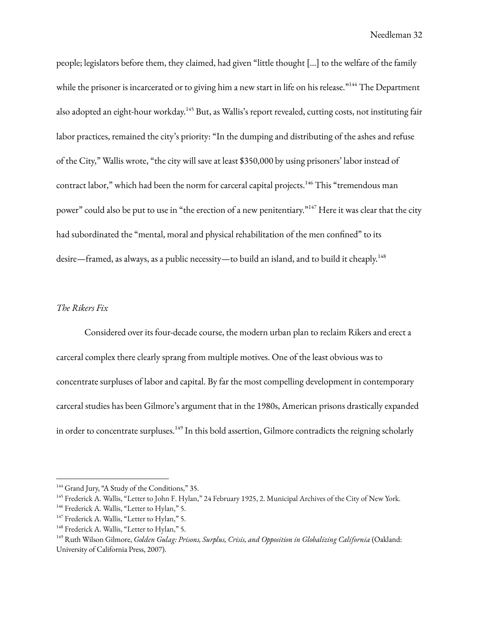people; legislators before them, they claimed, had given "little thought […] to the welfare of the family while the prisoner is incarcerated or to giving him a new start in life on his release."<sup>144</sup> The Department also adopted an eight-hour workday.<sup>145</sup> But, as Wallis's report revealed, cutting costs, not instituting fair labor practices, remained the city's priority: "In the dumping and distributing of the ashes and refuse of the City," Wallis wrote, "the city will save at least \$350,000 by using prisoners' labor instead of contract labor," which had been the norm for carceral capital projects. $^{146}$  This "tremendous man power" could also be put to use in "the erection of a new penitentiary."<sup>147</sup> Here it was clear that the city had subordinated the "mental, moral and physical rehabilitation of the men confined" to its desire—framed, as always, as a public necessity—to build an island, and to build it cheaply. 148

#### *The Rikers Fix*

Considered over its four-decade course, the modern urban plan to reclaim Rikers and erect a carceral complex there clearly sprang from multiple motives. One of the least obvious was to concentrate surpluses of labor and capital. By far the most compelling development in contemporary carceral studies has been Gilmore's argument that in the 1980s, American prisons drastically expanded in order to concentrate surpluses.<sup>149</sup> In this bold assertion, Gilmore contradicts the reigning scholarly

<sup>&</sup>lt;sup>144</sup> Grand Jury, "A Study of the Conditions," 35.

<sup>&</sup>lt;sup>145</sup> Frederick A. Wallis, "Letter to John F. Hylan," 24 February 1925, 2. Municipal Archives of the City of New York.

<sup>&</sup>lt;sup>146</sup> Frederick A. Wallis, "Letter to Hylan," 5.

<sup>&</sup>lt;sup>147</sup> Frederick A. Wallis, "Letter to Hylan," 5.

<sup>&</sup>lt;sup>148</sup> Frederick A. Wallis, "Letter to Hylan," 5.

<sup>149</sup> Ruth Wilson Gilmore, *Golden Gulag: Prisons, Surplus, Crisis, and Opposition in Globalizing California* (Oakland: University of California Press, 2007).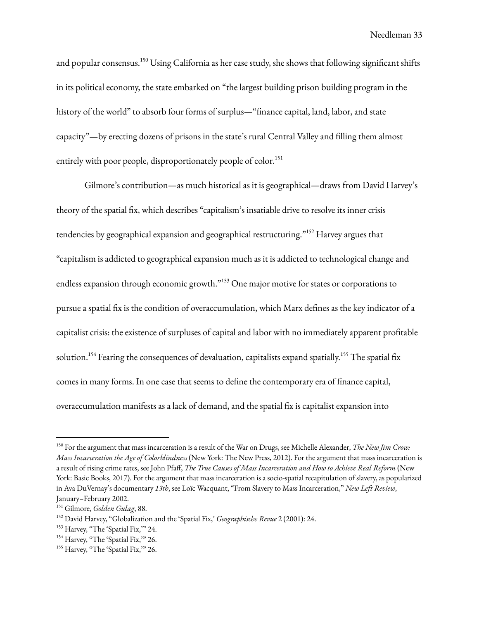and popular consensus.<sup>150</sup> Using California as her case study, she shows that following significant shifts in its political economy, the state embarked on "the largest building prison building program in the history of the world" to absorb four forms of surplus—"finance capital, land, labor, and state capacity"—by erecting dozens of prisons in the state's rural Central Valley and filling them almost entirely with poor people, disproportionately people of color. 151

Gilmore's contribution—as much historical as it is geographical—draws from David Harvey's theory of the spatial fix, which describes "capitalism's insatiable drive to resolve its inner crisis tendencies by geographical expansion and geographical restructuring." <sup>152</sup> Harvey argues that "capitalism is addicted to geographical expansion much as it is addicted to technological change and endless expansion through economic growth."<sup>153</sup> One major motive for states or corporations to pursue a spatial fix is the condition of overaccumulation, which Marx defines as the key indicator of a capitalist crisis: the existence of surpluses of capital and labor with no immediately apparent profitable solution.<sup>154</sup> Fearing the consequences of devaluation, capitalists expand spatially.<sup>155</sup> The spatial fix comes in many forms. In one case that seems to define the contemporary era of finance capital, overaccumulation manifests as a lack of demand, and the spatial fix is capitalist expansion into

<sup>150</sup> For the argument that mass incarceration is a result of the War on Drugs, see Michelle Alexander, *The New Jim Crow: Mass Incarceration the Age of Colorblindness* (New York: The New Press, 2012). For the argument that mass incarceration is a result of rising crime rates, see John Pfaff, *The True Causes of Mass Incarceration and How to Achieve Real Reform* (New York: Basic Books, 2017). For the argument that mass incarceration is a socio-spatial recapitulation of slavery, as popularized in Ava DuVernay's documentary *13th*, see Loïc Wacquant, "From Slavery to Mass Incarceration," *New Left Review*, January–February 2002.

<sup>151</sup> Gilmore, *Golden Gulag*, 88.

<sup>152</sup> David Harvey, "Globalization and the 'Spatial Fix,' *Geographische Revue* 2 (2001): 24.

<sup>&</sup>lt;sup>153</sup> Harvey, "The 'Spatial Fix," 24.

<sup>&</sup>lt;sup>154</sup> Harvey, "The 'Spatial Fix," 26.

<sup>&</sup>lt;sup>155</sup> Harvey, "The 'Spatial Fix," 26.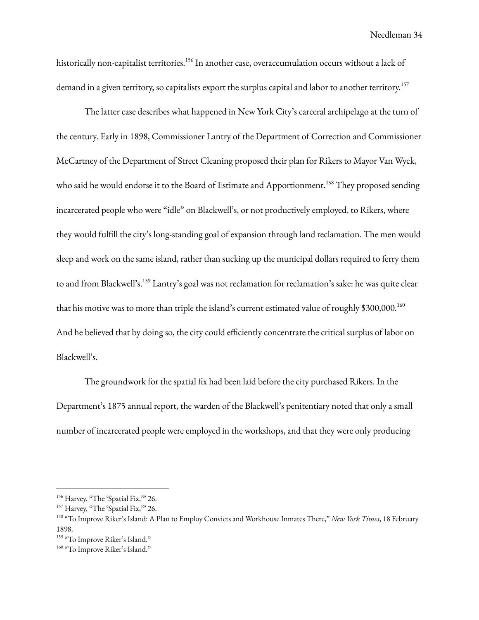historically non-capitalist territories.<sup>156</sup> In another case, overaccumulation occurs without a lack of demand in a given territory, so capitalists export the surplus capital and labor to another territory. 157

The latter case describes what happened in New York City's carceral archipelago at the turn of the century. Early in 1898, Commissioner Lantry of the Department of Correction and Commissioner McCartney of the Department of Street Cleaning proposed their plan for Rikers to Mayor Van Wyck, who said he would endorse it to the Board of Estimate and Apportionment.<sup>158</sup> They proposed sending incarcerated people who were "idle" on Blackwell's, or not productively employed, to Rikers, where they would fulfill the city's long-standing goal of expansion through land reclamation. The men would sleep and work on the same island, rather than sucking up the municipal dollars required to ferry them to and from Blackwell's.<sup>159</sup> Lantry's goal was not reclamation for reclamation's sake: he was quite clear that his motive was to more than triple the island's current estimated value of roughly  $$300,000.^{160}$ And he believed that by doing so, the city could efficiently concentrate the critical surplus of labor on Blackwell's.

The groundwork for the spatial fix had been laid before the city purchased Rikers. In the Department's 1875 annual report, the warden of the Blackwell's penitentiary noted that only a small number of incarcerated people were employed in the workshops, and that they were only producing

<sup>&</sup>lt;sup>156</sup> Harvey, "The 'Spatial Fix," 26.

<sup>&</sup>lt;sup>157</sup> Harvey, "The 'Spatial Fix," 26.

<sup>158</sup> "To Improve Riker's Island: A Plan to Employ Convicts and Workhouse Inmates There," *New York Times*, 18 February 1898.

<sup>&</sup>lt;sup>159</sup> "To Improve Riker's Island."

<sup>&</sup>lt;sup>160</sup> "To Improve Riker's Island."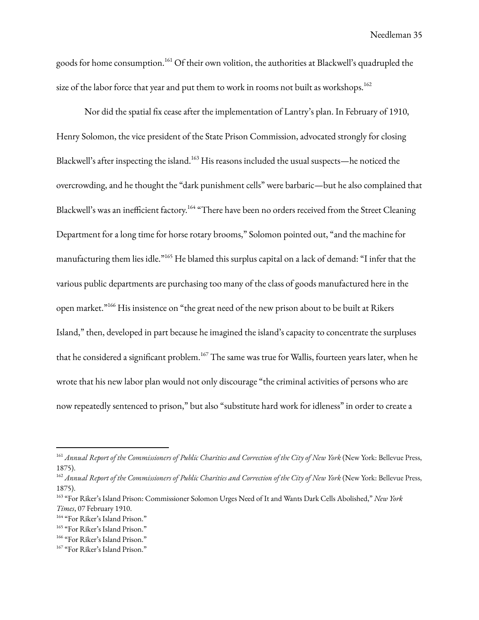goods for home consumption.<sup>161</sup> Of their own volition, the authorities at Blackwell's quadrupled the size of the labor force that year and put them to work in rooms not built as workshops.  $^{162}$ 

Nor did the spatial fix cease after the implementation of Lantry's plan. In February of 1910, Henry Solomon, the vice president of the State Prison Commission, advocated strongly for closing Blackwell's after inspecting the island.<sup>163</sup> His reasons included the usual suspects—he noticed the overcrowding, and he thought the "dark punishment cells" were barbaric—but he also complained that Blackwell's was an inefficient factory.<sup>164</sup> "There have been no orders received from the Street Cleaning Department for a long time for horse rotary brooms," Solomon pointed out, "and the machine for manufacturing them lies idle." <sup>165</sup> He blamed this surplus capital on a lack of demand: "I infer that the various public departments are purchasing too many of the class of goods manufactured here in the open market."<sup>166</sup> His insistence on "the great need of the new prison about to be built at Rikers Island," then, developed in part because he imagined the island's capacity to concentrate the surpluses that he considered a significant problem. <sup>167</sup> The same was true for Wallis, fourteen years later, when he wrote that his new labor plan would not only discourage "the criminal activities of persons who are now repeatedly sentenced to prison," but also "substitute hard work for idleness" in order to create a

<sup>&</sup>lt;sup>161</sup> Annual Report of the Commissioners of Public Charities and Correction of the City of New York (New York: Bellevue Press, 1875).

<sup>&</sup>lt;sup>162</sup> Annual Report of the Commissioners of Public Charities and Correction of the City of New York (New York: Bellevue Press, 1875).

<sup>163</sup> "For Riker's Island Prison: Commissioner Solomon Urges Need of It and Wants Dark Cells Abolished," *New York Times*, 07 February 1910.

<sup>164</sup> "For Riker's Island Prison."

<sup>165</sup> "For Riker's Island Prison."

<sup>166</sup> "For Riker's Island Prison."

<sup>&</sup>lt;sup>167</sup> "For Riker's Island Prison."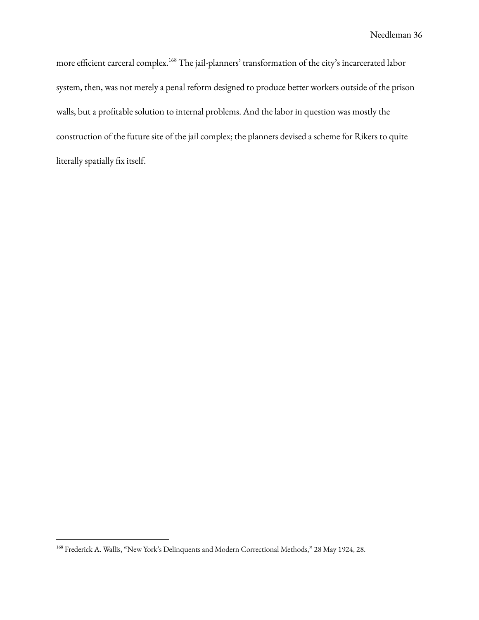more efficient carceral complex. <sup>168</sup> The jail-planners' transformation of the city's incarcerated labor system, then, was not merely a penal reform designed to produce better workers outside of the prison walls, but a profitable solution to internal problems. And the labor in question was mostly the construction of the future site of the jail complex; the planners devised a scheme for Rikers to quite literally spatially fix itself.

<sup>168</sup> Frederick A. Wallis, "New York's Delinquents and Modern Correctional Methods," 28 May 1924, 28.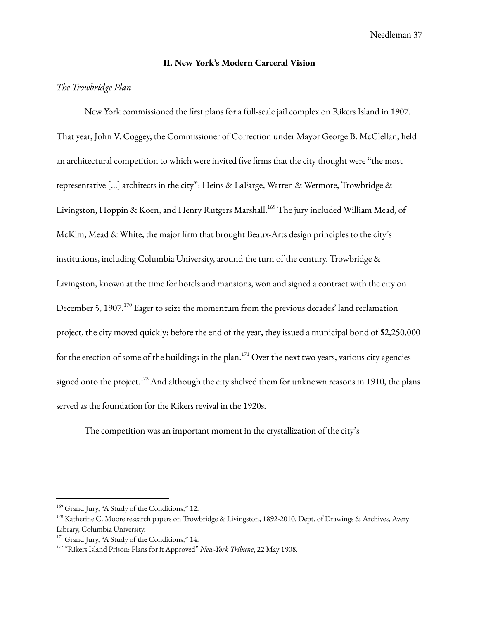# **II. New York's Modern Carceral Vision**

# *The Trowbridge Plan*

New York commissioned the first plans for a full-scale jail complex on Rikers Island in 1907. That year, John V. Coggey, the Commissioner of Correction under Mayor George B. McClellan, held an architectural competition to which were invited five firms that the city thought were "the most representative […] architects in the city": Heins & LaFarge, Warren & Wetmore, Trowbridge & Livingston, Hoppin & Koen, and Henry Rutgers Marshall. <sup>169</sup> The jury included William Mead, of McKim, Mead & White, the major firm that brought Beaux-Arts design principles to the city's institutions, including Columbia University, around the turn of the century. Trowbridge & Livingston, known at the time for hotels and mansions, won and signed a contract with the city on December 5, 1907.<sup>170</sup> Eager to seize the momentum from the previous decades' land reclamation project, the city moved quickly: before the end of the year, they issued a municipal bond of \$2,250,000 for the erection of some of the buildings in the plan.<sup>171</sup> Over the next two years, various city agencies signed onto the project. $^{172}$  And although the city shelved them for unknown reasons in 1910, the plans served as the foundation for the Rikers revival in the 1920s.

The competition was an important moment in the crystallization of the city's

<sup>&</sup>lt;sup>169</sup> Grand Jury, "A Study of the Conditions," 12.

<sup>&</sup>lt;sup>170</sup> Katherine C. Moore research papers on Trowbridge & Livingston, 1892-2010. Dept. of Drawings & Archives, Avery Library, Columbia University.

<sup>&</sup>lt;sup>171</sup> Grand Jury, "A Study of the Conditions," 14.

<sup>172</sup> "Rikers Island Prison: Plans for it Approved" *New-York Tribune*, 22 May 1908.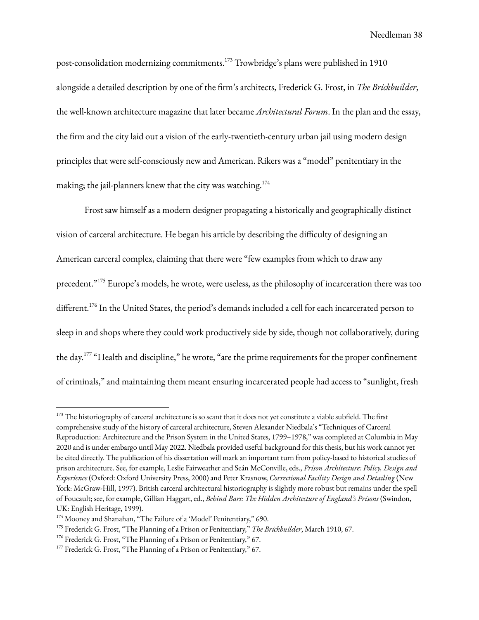post-consolidation modernizing commitments. <sup>173</sup> Trowbridge's plans were published in 1910 alongside a detailed description by one of the firm's architects, Frederick G. Frost, in *The Brickbuilder*, the well-known architecture magazine that later became *Architectural Forum*. In the plan and the essay, the firm and the city laid out a vision of the early-twentieth-century urban jail using modern design principles that were self-consciously new and American. Rikers was a "model" penitentiary in the making; the jail-planners knew that the city was watching. $^{174}$ 

Frost saw himself as a modern designer propagating a historically and geographically distinct vision of carceral architecture. He began his article by describing the difficulty of designing an American carceral complex, claiming that there were "few examples from which to draw any precedent."<sup>175</sup> Europe's models, he wrote, were useless, as the philosophy of incarceration there was too different. 176 In the United States, the period's demands included a cell for each incarcerated person to sleep in and shops where they could work productively side by side, though not collaboratively, during the day. $177$  "Health and discipline," he wrote, "are the prime requirements for the proper confinement of criminals," and maintaining them meant ensuring incarcerated people had access to "sunlight, fresh

<sup>&</sup>lt;sup>173</sup> The historiography of carceral architecture is so scant that it does not yet constitute a viable subfield. The first comprehensive study of the history of carceral architecture, Steven Alexander Niedbala's "Techniques of Carceral Reproduction: Architecture and the Prison System in the United States, 1799–1978," was completed at Columbia in May 2020 and is under embargo until May 2022. Niedbala provided useful background for this thesis, but his work cannot yet be cited directly. The publication of his dissertation will mark an important turn from policy-based to historical studies of prison architecture. See, for example, Leslie Fairweather and Seán McConville, eds., *Prison Architecture: Policy, Design and Experience* (Oxford: Oxford University Press, 2000) and Peter Krasnow, *Correctional Facility Design and Detailing* (New York: McGraw-Hill, 1997). British carceral architectural historiography is slightly more robust but remains under the spell of Foucault; see, for example, Gillian Haggart, ed., *Behind Bars: The Hidden Architecture of England's Prisons* (Swindon, UK: English Heritage, 1999).

<sup>&</sup>lt;sup>174</sup> Mooney and Shanahan, "The Failure of a 'Model' Penitentiary," 690.

<sup>175</sup> Frederick G. Frost, "The Planning of a Prison or Penitentiary," *The Brickbuilder*, March 1910, 67.

<sup>&</sup>lt;sup>176</sup> Frederick G. Frost, "The Planning of a Prison or Penitentiary," 67.

<sup>&</sup>lt;sup>177</sup> Frederick G. Frost, "The Planning of a Prison or Penitentiary," 67.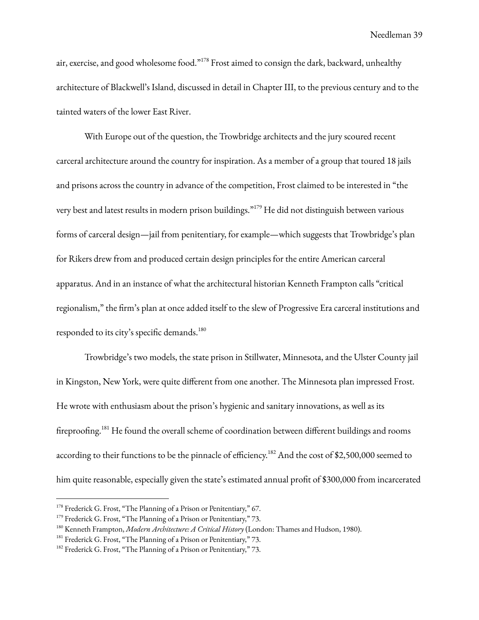air, exercise, and good wholesome food."<sup>178</sup> Frost aimed to consign the dark, backward, unhealthy architecture of Blackwell's Island, discussed in detail in Chapter III, to the previous century and to the tainted waters of the lower East River.

With Europe out of the question, the Trowbridge architects and the jury scoured recent carceral architecture around the country for inspiration. As a member of a group that toured 18 jails and prisons across the country in advance of the competition, Frost claimed to be interested in "the very best and latest results in modern prison buildings." <sup>179</sup> He did not distinguish between various forms of carceral design—jail from penitentiary, for example—which suggests that Trowbridge's plan for Rikers drew from and produced certain design principles for the entire American carceral apparatus. And in an instance of what the architectural historian Kenneth Frampton calls "critical regionalism," the firm's plan at once added itself to the slew of Progressive Era carceral institutions and responded to its city's specific demands.<sup>180</sup>

Trowbridge's two models, the state prison in Stillwater, Minnesota, and the Ulster County jail in Kingston, New York, were quite different from one another. The Minnesota plan impressed Frost. He wrote with enthusiasm about the prison's hygienic and sanitary innovations, as well as its fireproofing.<sup>181</sup> He found the overall scheme of coordination between different buildings and rooms according to their functions to be the pinnacle of efficiency. $^{182}$  And the cost of \$2,500,000 seemed to him quite reasonable, especially given the state's estimated annual profit of \$300,000 from incarcerated

<sup>&</sup>lt;sup>178</sup> Frederick G. Frost, "The Planning of a Prison or Penitentiary," 67.

<sup>&</sup>lt;sup>179</sup> Frederick G. Frost, "The Planning of a Prison or Penitentiary," 73.

<sup>180</sup> Kenneth Frampton, *Modern Architecture: A Critical History* (London: Thames and Hudson, 1980).

<sup>&</sup>lt;sup>181</sup> Frederick G. Frost, "The Planning of a Prison or Penitentiary," 73.

<sup>&</sup>lt;sup>182</sup> Frederick G. Frost, "The Planning of a Prison or Penitentiary," 73.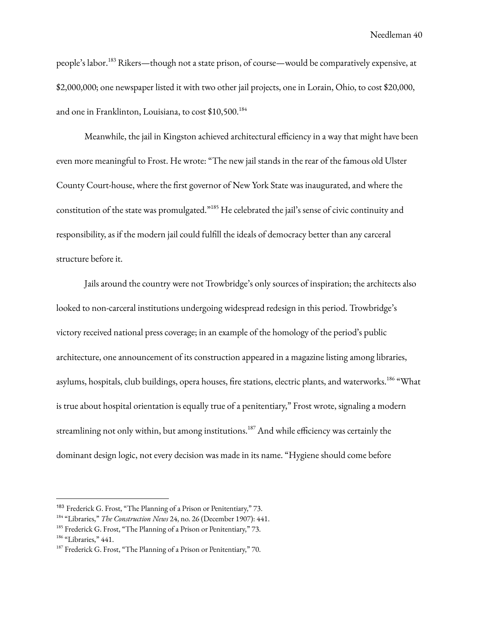people's labor.<sup>183</sup> Rikers—though not a state prison, of course—would be comparatively expensive, at \$2,000,000; one newspaper listed it with two other jail projects, one in Lorain, Ohio, to cost \$20,000, and one in Franklinton, Louisiana, to cost \$10,500. 184

Meanwhile, the jail in Kingston achieved architectural efficiency in a way that might have been even more meaningful to Frost. He wrote: "The new jail stands in the rear of the famous old Ulster County Court-house, where the first governor of New York State was inaugurated, and where the constitution of the state was promulgated."<sup>185</sup> He celebrated the jail's sense of civic continuity and responsibility, as if the modern jail could fulfill the ideals of democracy better than any carceral structure before it.

Jails around the country were not Trowbridge's only sources of inspiration; the architects also looked to non-carceral institutions undergoing widespread redesign in this period. Trowbridge's victory received national press coverage; in an example of the homology of the period's public architecture, one announcement of its construction appeared in a magazine listing among libraries, asylums, hospitals, club buildings, opera houses, fire stations, electric plants, and waterworks.<sup>186</sup> "What is true about hospital orientation is equally true of a penitentiary," Frost wrote, signaling a modern streamlining not only within, but among institutions. $^{187}$  And while efficiency was certainly the dominant design logic, not every decision was made in its name. "Hygiene should come before

<sup>&</sup>lt;sup>183</sup> Frederick G. Frost, "The Planning of a Prison or Penitentiary," 73.

<sup>184</sup> "Libraries," *The Construction News* 24, no. 26 (December 1907): 441.

<sup>&</sup>lt;sup>185</sup> Frederick G. Frost, "The Planning of a Prison or Penitentiary," 73.

<sup>&</sup>lt;sup>186</sup> "Libraries," 441.

 $187$  Frederick G. Frost, "The Planning of a Prison or Penitentiary," 70.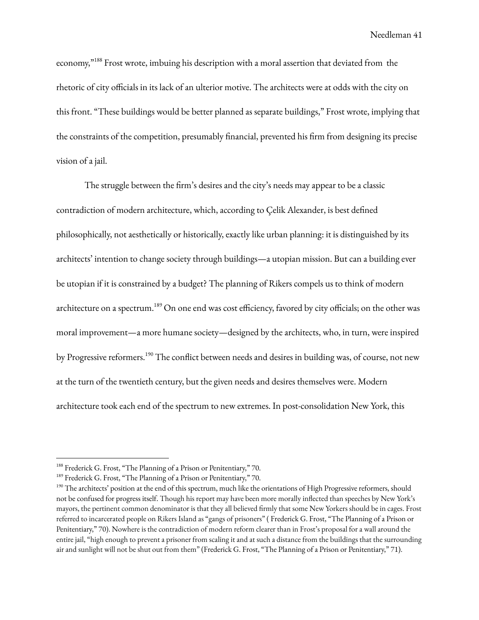economy,"  $^{188}$  Frost wrote, imbuing his description with a moral assertion that deviated from the rhetoric of city officials in its lack of an ulterior motive. The architects were at odds with the city on this front. "These buildings would be better planned as separate buildings," Frost wrote, implying that the constraints of the competition, presumably financial, prevented his firm from designing its precise vision of a jail.

The struggle between the firm's desires and the city's needs may appear to be a classic contradiction of modern architecture, which, according to Çelik Alexander, is best defined philosophically, not aesthetically or historically, exactly like urban planning: it is distinguished by its architects' intention to change society through buildings—a utopian mission. But can a building ever be utopian if it is constrained by a budget? The planning of Rikers compels us to think of modern architecture on a spectrum.<sup>189</sup> On one end was cost efficiency, favored by city officials; on the other was moral improvement—a more humane society—designed by the architects, who, in turn, were inspired by Progressive reformers.<sup>190</sup> The conflict between needs and desires in building was, of course, not new at the turn of the twentieth century, but the given needs and desires themselves were. Modern architecture took each end of the spectrum to new extremes. In post-consolidation New York, this

<sup>&</sup>lt;sup>188</sup> Frederick G. Frost, "The Planning of a Prison or Penitentiary," 70.

<sup>&</sup>lt;sup>189</sup> Frederick G. Frost, "The Planning of a Prison or Penitentiary," 70.

<sup>&</sup>lt;sup>190</sup> The architects' position at the end of this spectrum, much like the orientations of High Progressive reformers, should not be confused for progress itself. Though his report may have been more morally inflected than speeches by New York's mayors, the pertinent common denominator is that they all believed firmly that some New Yorkers should be in cages. Frost referred to incarcerated people on Rikers Island as "gangs of prisoners" ( Frederick G. Frost, "The Planning of a Prison or Penitentiary," 70). Nowhere is the contradiction of modern reform clearer than in Frost's proposal for a wall around the entire jail, "high enough to prevent a prisoner from scaling it and at such a distance from the buildings that the surrounding air and sunlight will not be shut out from them" (Frederick G. Frost, "The Planning of a Prison or Penitentiary," 71).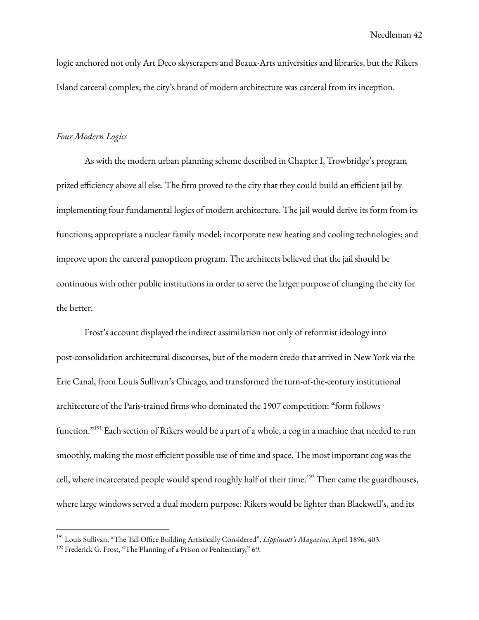logic anchored not only Art Deco skyscrapers and Beaux-Arts universities and libraries, but the Rikers Island carceral complex; the city's brand of modern architecture was carceral from its inception.

#### *Four Modern Logics*

As with the modern urban planning scheme described in Chapter I, Trowbridge's program prized efficiency above all else. The firm proved to the city that they could build an efficient jail by implementing four fundamental logics of modern architecture. The jail would derive its form from its functions; appropriate a nuclear family model; incorporate new heating and cooling technologies; and improve upon the carceral panopticon program. The architects believed that the jail should be continuous with other public institutions in order to serve the larger purpose of changing the city for the better.

Frost's account displayed the indirect assimilation not only of reformist ideology into post-consolidation architectural discourses, but of the modern credo that arrived in New York via the Erie Canal, from Louis Sullivan's Chicago, and transformed the turn-of-the-century institutional architecture of the Paris-trained firms who dominated the 1907 competition: "form follows function."<sup>191</sup> Each section of Rikers would be a part of a whole, a cog in a machine that needed to run smoothly, making the most efficient possible use of time and space. The most important cog was the cell, where incarcerated people would spend roughly half of their time.<sup>192</sup> Then came the guardhouses, where large windows served a dual modern purpose: Rikers would be lighter than Blackwell's, and its

<sup>191</sup> Louis Sullivan, "The Tall Office Building Artistically Considered", *Lippincott's Magazine*, April 1896, 403.

<sup>&</sup>lt;sup>192</sup> Frederick G. Frost, "The Planning of a Prison or Penitentiary," 69.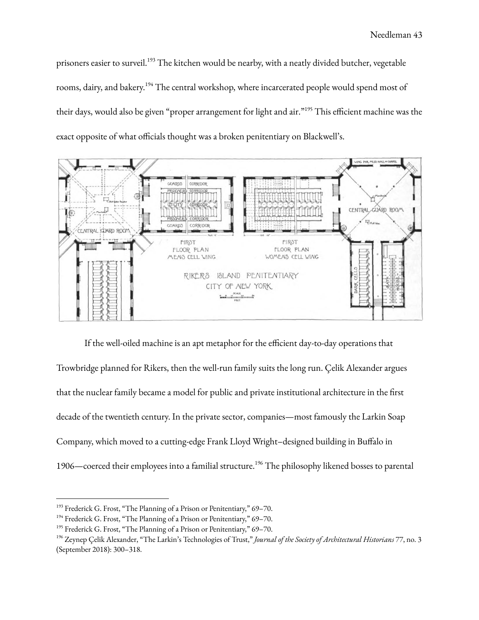prisoners easier to surveil.<sup>193</sup> The kitchen would be nearby, with a neatly divided butcher, vegetable rooms, dairy, and bakery. <sup>194</sup> The central workshop, where incarcerated people would spend most of their days, would also be given "proper arrangement for light and air."<sup>195</sup> This efficient machine was the exact opposite of what officials thought was a broken penitentiary on Blackwell's.



If the well-oiled machine is an apt metaphor for the efficient day-to-day operations that Trowbridge planned for Rikers, then the well-run family suits the long run. Çelik Alexander argues that the nuclear family became a model for public and private institutional architecture in the first decade of the twentieth century. In the private sector, companies—most famously the Larkin Soap Company, which moved to a cutting-edge Frank Lloyd Wright–designed building in Buffalo in 1906—coerced their employees into a familial structure.<sup>196</sup> The philosophy likened bosses to parental

<sup>&</sup>lt;sup>193</sup> Frederick G. Frost, "The Planning of a Prison or Penitentiary," 69-70.

<sup>&</sup>lt;sup>194</sup> Frederick G. Frost, "The Planning of a Prison or Penitentiary," 69-70.

<sup>&</sup>lt;sup>195</sup> Frederick G. Frost, "The Planning of a Prison or Penitentiary," 69-70.

<sup>196</sup> Zeynep Çelik Alexander, "The Larkin's Technologies of Trust," *Journal of the Society of Architectural Historians* 77, no. 3 (September 2018): 300–318.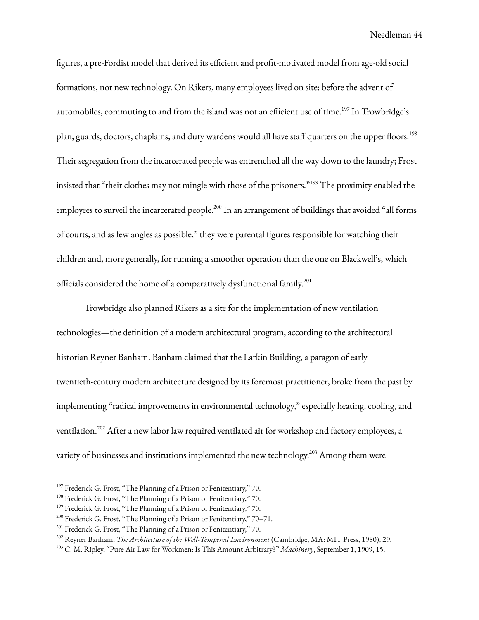figures, a pre-Fordist model that derived its efficient and profit-motivated model from age-old social formations, not new technology. On Rikers, many employees lived on site; before the advent of automobiles, commuting to and from the island was not an efficient use of time.<sup>197</sup> In Trowbridge's plan, guards, doctors, chaplains, and duty wardens would all have staff quarters on the upper floors. 198 Their segregation from the incarcerated people was entrenched all the way down to the laundry; Frost insisted that "their clothes may not mingle with those of the prisoners." <sup>199</sup> The proximity enabled the employees to surveil the incarcerated people.<sup>200</sup> In an arrangement of buildings that avoided "all forms of courts, and as few angles as possible," they were parental figures responsible for watching their children and, more generally, for running a smoother operation than the one on Blackwell's, which officials considered the home of a comparatively dysfunctional family. 201

Trowbridge also planned Rikers as a site for the implementation of new ventilation technologies—the definition of a modern architectural program, according to the architectural historian Reyner Banham. Banham claimed that the Larkin Building, a paragon of early twentieth-century modern architecture designed by its foremost practitioner, broke from the past by implementing "radical improvements in environmental technology," especially heating, cooling, and ventilation.<sup>202</sup> After a new labor law required ventilated air for workshop and factory employees, a variety of businesses and institutions implemented the new technology. $^{203}$  Among them were

<sup>&</sup>lt;sup>197</sup> Frederick G. Frost, "The Planning of a Prison or Penitentiary," 70.

<sup>&</sup>lt;sup>198</sup> Frederick G. Frost, "The Planning of a Prison or Penitentiary," 70.

<sup>&</sup>lt;sup>199</sup> Frederick G. Frost, "The Planning of a Prison or Penitentiary," 70.

<sup>200</sup> Frederick G. Frost, "The Planning of a Prison or Penitentiary," 70–71.

<sup>&</sup>lt;sup>201</sup> Frederick G. Frost, "The Planning of a Prison or Penitentiary," 70.

<sup>202</sup> Reyner Banham, *The Architecture of the Well-Tempered Environment* (Cambridge, MA: MIT Press, 1980), 29.

<sup>203</sup> C. M. Ripley, "Pure Air Law for Workmen: Is This Amount Arbitrary?" *Machinery*, September 1, 1909, 15.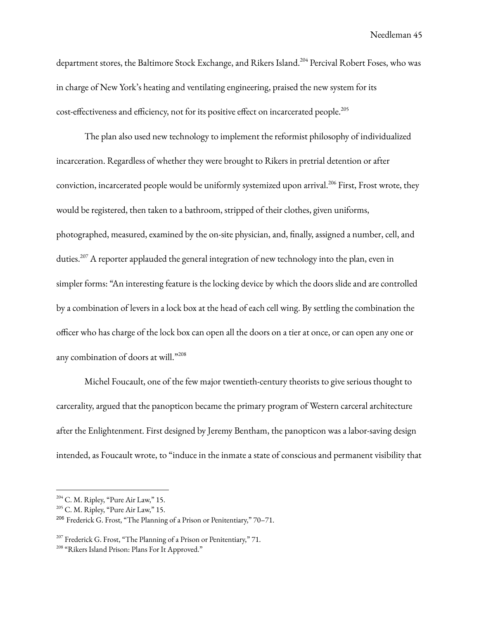department stores, the Baltimore Stock Exchange, and Rikers Island. <sup>204</sup> Percival Robert Foses, who was in charge of New York's heating and ventilating engineering, praised the new system for its cost-effectiveness and efficiency, not for its positive effect on incarcerated people. 205

The plan also used new technology to implement the reformist philosophy of individualized incarceration. Regardless of whether they were brought to Rikers in pretrial detention or after conviction, incarcerated people would be uniformly systemized upon arrival.<sup>206</sup> First, Frost wrote, they would be registered, then taken to a bathroom, stripped of their clothes, given uniforms, photographed, measured, examined by the on-site physician, and, finally, assigned a number, cell, and duties.<sup>207</sup> A reporter applauded the general integration of new technology into the plan, even in simpler forms: "An interesting feature is the locking device by which the doors slide and are controlled by a combination of levers in a lock box at the head of each cell wing. By settling the combination the officer who has charge of the lock box can open all the doors on a tier at once, or can open any one or any combination of doors at will." 208

Michel Foucault, one of the few major twentieth-century theorists to give serious thought to carcerality, argued that the panopticon became the primary program of Western carceral architecture after the Enlightenment. First designed by Jeremy Bentham, the panopticon was a labor-saving design intended, as Foucault wrote, to "induce in the inmate a state of conscious and permanent visibility that

 $204$  C. M. Ripley, "Pure Air Law," 15.

 $205$  C. M. Ripley, "Pure Air Law," 15.

<sup>&</sup>lt;sup>206</sup> Frederick G. Frost, "The Planning of a Prison or Penitentiary,"  $70-71$ .

<sup>&</sup>lt;sup>207</sup> Frederick G. Frost, "The Planning of a Prison or Penitentiary," 71.

<sup>&</sup>lt;sup>208</sup> "Rikers Island Prison: Plans For It Approved."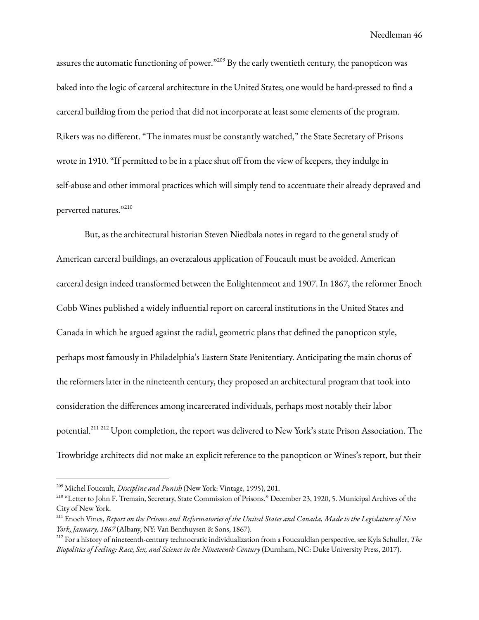assures the automatic functioning of power." $^{209}$  By the early twentieth century, the panopticon was baked into the logic of carceral architecture in the United States; one would be hard-pressed to find a carceral building from the period that did not incorporate at least some elements of the program. Rikers was no different. "The inmates must be constantly watched," the State Secretary of Prisons wrote in 1910. "If permitted to be in a place shut off from the view of keepers, they indulge in self-abuse and other immoral practices which will simply tend to accentuate their already depraved and perverted natures."210

But, as the architectural historian Steven Niedbala notes in regard to the general study of American carceral buildings, an overzealous application of Foucault must be avoided. American carceral design indeed transformed between the Enlightenment and 1907. In 1867, the reformer Enoch Cobb Wines published a widely influential report on carceral institutions in the United States and Canada in which he argued against the radial, geometric plans that defined the panopticon style, perhaps most famously in Philadelphia's Eastern State Penitentiary. Anticipating the main chorus of the reformers later in the nineteenth century, they proposed an architectural program that took into consideration the differences among incarcerated individuals, perhaps most notably their labor potential.<sup>211 212</sup> Upon completion, the report was delivered to New York's state Prison Association. The Trowbridge architects did not make an explicit reference to the panopticon or Wines's report, but their

<sup>209</sup> Michel Foucault, *Discipline and Punish* (New York: Vintage, 1995), 201.

<sup>&</sup>lt;sup>210</sup> "Letter to John F. Tremain, Secretary, State Commission of Prisons." December 23, 1920, 5. Municipal Archives of the City of New York.

<sup>&</sup>lt;sup>211</sup> Enoch Vines, Report on the Prisons and Reformatories of the United States and Canada, Made to the Legislature of New *York, January, 1867* (Albany, NY: Van Benthuysen & Sons, 1867).

<sup>212</sup> For a history of nineteenth-century technocratic individualization from a Foucauldian perspective, see Kyla Schuller, *The Biopolitics of Feeling: Race, Sex, and Science in the Nineteenth Century* (Durnham, NC: Duke University Press, 2017).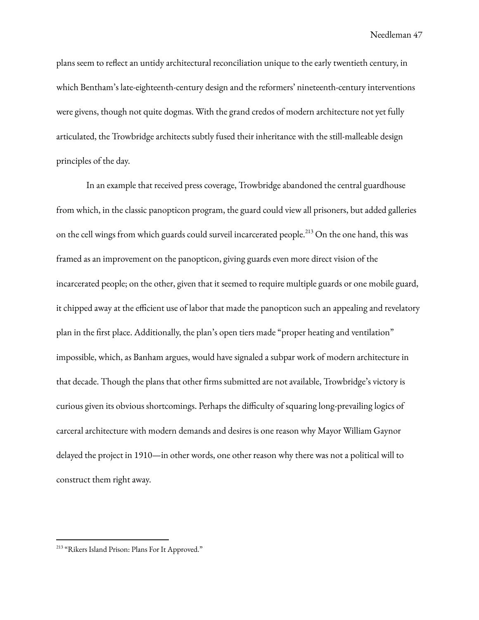plans seem to reflect an untidy architectural reconciliation unique to the early twentieth century, in which Bentham's late-eighteenth-century design and the reformers' nineteenth-century interventions were givens, though not quite dogmas. With the grand credos of modern architecture not yet fully articulated, the Trowbridge architects subtly fused their inheritance with the still-malleable design principles of the day.

In an example that received press coverage, Trowbridge abandoned the central guardhouse from which, in the classic panopticon program, the guard could view all prisoners, but added galleries on the cell wings from which guards could surveil incarcerated people.<sup>213</sup> On the one hand, this was framed as an improvement on the panopticon, giving guards even more direct vision of the incarcerated people; on the other, given that it seemed to require multiple guards or one mobile guard, it chipped away at the efficient use of labor that made the panopticon such an appealing and revelatory plan in the first place. Additionally, the plan's open tiers made "proper heating and ventilation" impossible, which, as Banham argues, would have signaled a subpar work of modern architecture in that decade. Though the plans that other firms submitted are not available, Trowbridge's victory is curious given its obvious shortcomings. Perhaps the difficulty of squaring long-prevailing logics of carceral architecture with modern demands and desires is one reason why Mayor William Gaynor delayed the project in 1910—in other words, one other reason why there was not a political will to construct them right away.

<sup>&</sup>lt;sup>213</sup> "Rikers Island Prison: Plans For It Approved."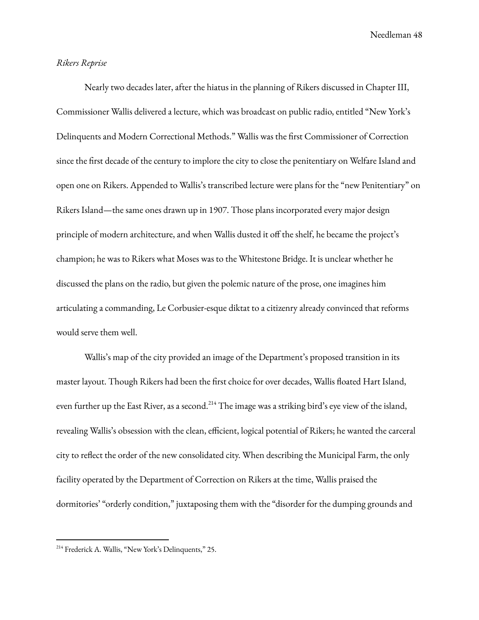# *Rikers Reprise*

Nearly two decades later, after the hiatus in the planning of Rikers discussed in Chapter III, Commissioner Wallis delivered a lecture, which was broadcast on public radio, entitled "New York's Delinquents and Modern Correctional Methods." Wallis was the first Commissioner of Correction since the first decade of the century to implore the city to close the penitentiary on Welfare Island and open one on Rikers. Appended to Wallis's transcribed lecture were plans for the "new Penitentiary" on Rikers Island—the same ones drawn up in 1907. Those plans incorporated every major design principle of modern architecture, and when Wallis dusted it off the shelf, he became the project's champion; he was to Rikers what Moses was to the Whitestone Bridge. It is unclear whether he discussed the plans on the radio, but given the polemic nature of the prose, one imagines him articulating a commanding, Le Corbusier-esque diktat to a citizenry already convinced that reforms would serve them well.

Wallis's map of the city provided an image of the Department's proposed transition in its master layout. Though Rikers had been the first choice for over decades, Wallis floated Hart Island, even further up the East River, as a second.<sup>214</sup> The image was a striking bird's eye view of the island, revealing Wallis's obsession with the clean, efficient, logical potential of Rikers; he wanted the carceral city to reflect the order of the new consolidated city. When describing the Municipal Farm, the only facility operated by the Department of Correction on Rikers at the time, Wallis praised the dormitories' "orderly condition," juxtaposing them with the "disorder for the dumping grounds and

<sup>&</sup>lt;sup>214</sup> Frederick A. Wallis, "New York's Delinquents," 25.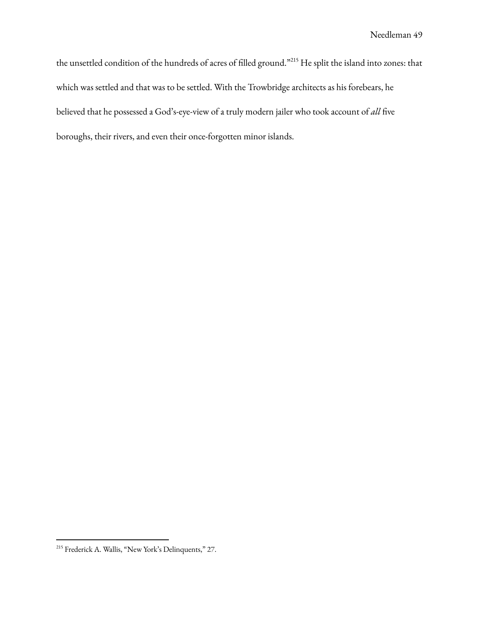the unsettled condition of the hundreds of acres of filled ground."<sup>215</sup> He split the island into zones: that which was settled and that was to be settled. With the Trowbridge architects as his forebears, he believed that he possessed a God's-eye-view of a truly modern jailer who took account of *all* five boroughs, their rivers, and even their once-forgotten minor islands.

<sup>&</sup>lt;sup>215</sup> Frederick A. Wallis, "New York's Delinquents," 27.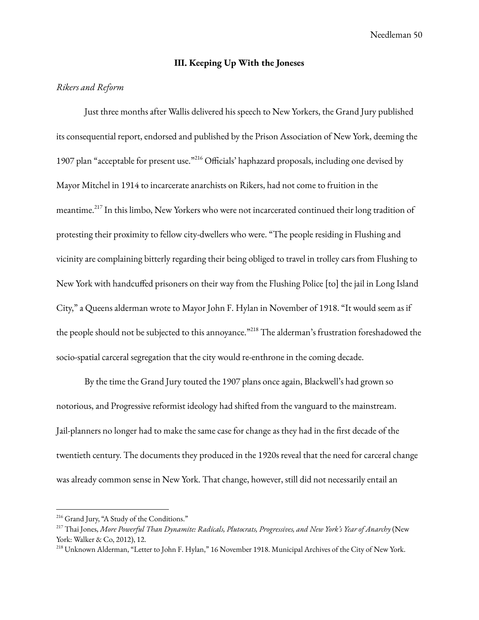### **III. Keeping Up With the Joneses**

# *Rikers and Reform*

Just three months after Wallis delivered his speech to New Yorkers, the Grand Jury published its consequential report, endorsed and published by the Prison Association of New York, deeming the 1907 plan "acceptable for present use."<sup>216</sup> Officials' haphazard proposals, including one devised by Mayor Mitchel in 1914 to incarcerate anarchists on Rikers, had not come to fruition in the meantime.<sup>217</sup> In this limbo, New Yorkers who were not incarcerated continued their long tradition of protesting their proximity to fellow city-dwellers who were. "The people residing in Flushing and vicinity are complaining bitterly regarding their being obliged to travel in trolley cars from Flushing to New York with handcuffed prisoners on their way from the Flushing Police [to] the jail in Long Island City," a Queens alderman wrote to Mayor John F. Hylan in November of 1918. "It would seem as if the people should not be subjected to this annoyance."<sup>218</sup> The alderman's frustration foreshadowed the socio-spatial carceral segregation that the city would re-enthrone in the coming decade.

By the time the Grand Jury touted the 1907 plans once again, Blackwell's had grown so notorious, and Progressive reformist ideology had shifted from the vanguard to the mainstream. Jail-planners no longer had to make the same case for change as they had in the first decade of the twentieth century. The documents they produced in the 1920s reveal that the need for carceral change was already common sense in New York. That change, however, still did not necessarily entail an

<sup>216</sup> Grand Jury, "A Study of the Conditions."

<sup>217</sup> Thai Jones, *More Powerful Than Dynamite: Radicals, Plutocrats, Progressives, and New York's Year of Anarchy* (New York: Walker & Co, 2012), 12.

<sup>218</sup> Unknown Alderman, "Letter to John F. Hylan," 16 November 1918. Municipal Archives of the City of New York.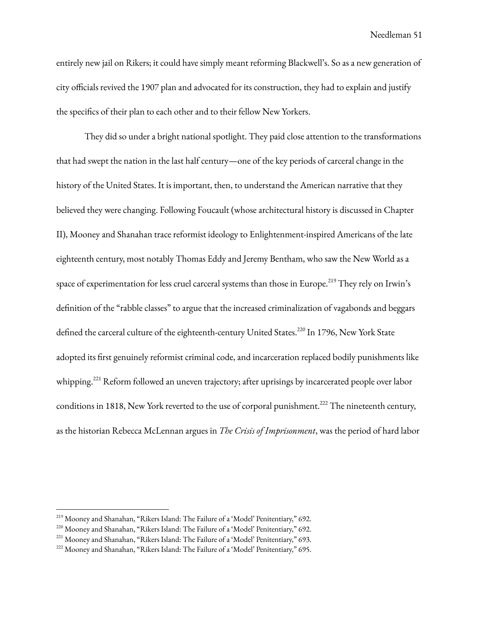entirely new jail on Rikers; it could have simply meant reforming Blackwell's. So as a new generation of city officials revived the 1907 plan and advocated for its construction, they had to explain and justify the specifics of their plan to each other and to their fellow New Yorkers.

They did so under a bright national spotlight. They paid close attention to the transformations that had swept the nation in the last half century—one of the key periods of carceral change in the history of the United States. It is important, then, to understand the American narrative that they believed they were changing. Following Foucault (whose architectural history is discussed in Chapter II), Mooney and Shanahan trace reformist ideology to Enlightenment-inspired Americans of the late eighteenth century, most notably Thomas Eddy and Jeremy Bentham, who saw the New World as a space of experimentation for less cruel carceral systems than those in Europe. $^{219}$  They rely on Irwin's definition of the "rabble classes" to argue that the increased criminalization of vagabonds and beggars defined the carceral culture of the eighteenth-century United States.<sup>220</sup> In 1796, New York State adopted its first genuinely reformist criminal code, and incarceration replaced bodily punishments like whipping. <sup>221</sup> Reform followed an uneven trajectory; after uprisings by incarcerated people over labor conditions in 1818, New York reverted to the use of corporal punishment.<sup>222</sup> The nineteenth century, as the historian Rebecca McLennan argues in *The Crisis of Imprisonment*, was the period of hard labor

<sup>219</sup> Mooney and Shanahan, "Rikers Island: The Failure of a 'Model' Penitentiary," 692.

<sup>220</sup> Mooney and Shanahan, "Rikers Island: The Failure of a 'Model' Penitentiary," 692.

<sup>&</sup>lt;sup>221</sup> Mooney and Shanahan, "Rikers Island: The Failure of a 'Model' Penitentiary," 693.

<sup>222</sup> Mooney and Shanahan, "Rikers Island: The Failure of a 'Model' Penitentiary," 695.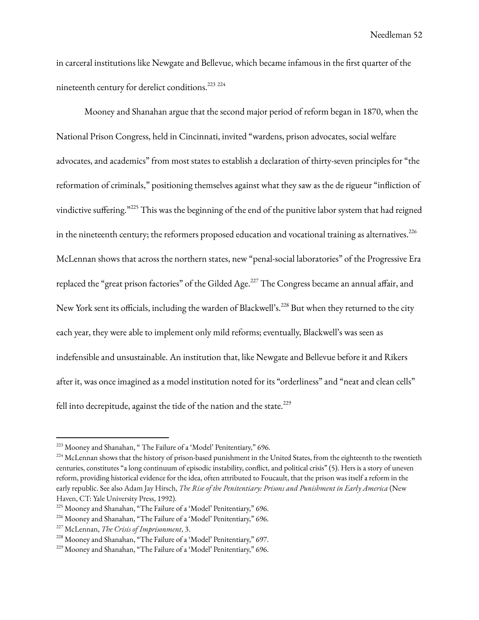in carceral institutions like Newgate and Bellevue, which became infamous in the first quarter of the nineteenth century for derelict conditions.<sup>223 224</sup>

Mooney and Shanahan argue that the second major period of reform began in 1870, when the National Prison Congress, held in Cincinnati, invited "wardens, prison advocates, social welfare advocates, and academics" from most states to establish a declaration of thirty-seven principles for "the reformation of criminals," positioning themselves against what they saw as the de rigueur "infliction of vindictive suffering." <sup>225</sup> This was the beginning of the end of the punitive labor system that had reigned in the nineteenth century; the reformers proposed education and vocational training as alternatives. $^{226}$ McLennan shows that across the northern states, new "penal-social laboratories" of the Progressive Era replaced the "great prison factories" of the Gilded Age.<sup>227</sup> The Congress became an annual affair, and New York sent its officials, including the warden of Blackwell's.<sup>228</sup> But when they returned to the city each year, they were able to implement only mild reforms; eventually, Blackwell's was seen as indefensible and unsustainable. An institution that, like Newgate and Bellevue before it and Rikers after it, was once imagined as a model institution noted for its "orderliness" and "neat and clean cells" fell into decrepitude, against the tide of the nation and the state. $^{229}$ 

<sup>&</sup>lt;sup>223</sup> Mooney and Shanahan, "The Failure of a 'Model' Penitentiary," 696.

<sup>&</sup>lt;sup>224</sup> McLennan shows that the history of prison-based punishment in the United States, from the eighteenth to the twentieth centuries, constitutes "a long continuum of episodic instability, conflict, and political crisis" (5). Hers is a story of uneven reform, providing historical evidence for the idea, often attributed to Foucault, that the prison was itself a reform in the early republic. See also Adam Jay Hirsch, *The Rise of the Penitentiary: Prisons and Punishment in Early America* (New Haven, CT: Yale University Press, 1992).

<sup>&</sup>lt;sup>225</sup> Mooney and Shanahan, "The Failure of a 'Model' Penitentiary," 696.

<sup>226</sup> Mooney and Shanahan, "The Failure of a 'Model' Penitentiary," 696.

<sup>227</sup> McLennan, *The Crisis of Imprisonment*, 3.

<sup>228</sup> Mooney and Shanahan, "The Failure of a 'Model' Penitentiary," 697.

<sup>&</sup>lt;sup>229</sup> Mooney and Shanahan, "The Failure of a 'Model' Penitentiary," 696.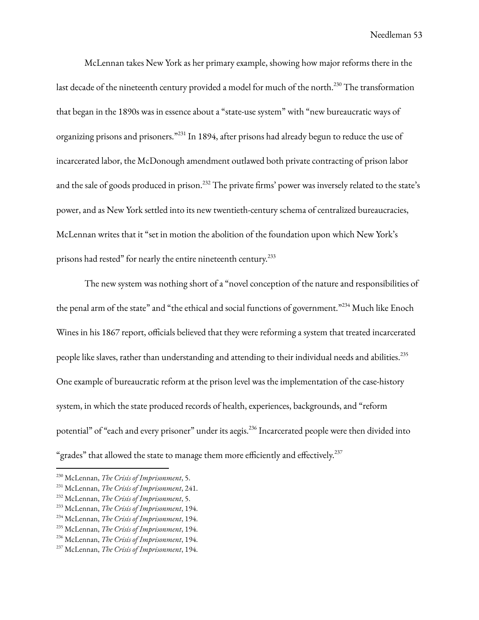McLennan takes New York as her primary example, showing how major reforms there in the last decade of the nineteenth century provided a model for much of the north.<sup>230</sup> The transformation that began in the 1890s was in essence about a "state-use system" with "new bureaucratic ways of organizing prisons and prisoners."<sup>231</sup> In 1894, after prisons had already begun to reduce the use of incarcerated labor, the McDonough amendment outlawed both private contracting of prison labor and the sale of goods produced in prison. $^{232}$  The private firms' power was inversely related to the state's power, and as New York settled into its new twentieth-century schema of centralized bureaucracies, McLennan writes that it "set in motion the abolition of the foundation upon which New York's prisons had rested" for nearly the entire nineteenth century.<sup>233</sup>

The new system was nothing short of a "novel conception of the nature and responsibilities of the penal arm of the state" and "the ethical and social functions of government."234 Much like Enoch Wines in his 1867 report, officials believed that they were reforming a system that treated incarcerated people like slaves, rather than understanding and attending to their individual needs and abilities.<sup>235</sup> One example of bureaucratic reform at the prison level was the implementation of the case-history system, in which the state produced records of health, experiences, backgrounds, and "reform potential" of "each and every prisoner" under its aegis.<sup>236</sup> Incarcerated people were then divided into "grades" that allowed the state to manage them more efficiently and effectively. $^{237}$ 

<sup>230</sup> McLennan, *The Crisis of Imprisonment*, 5.

<sup>231</sup> McLennan, *The Crisis of Imprisonment*, 241.

<sup>232</sup> McLennan, *The Crisis of Imprisonment*, 5.

<sup>233</sup> McLennan, *The Crisis of Imprisonment*, 194.

<sup>234</sup> McLennan, *The Crisis of Imprisonment*, 194.

<sup>235</sup> McLennan, *The Crisis of Imprisonment*, 194.

<sup>236</sup> McLennan, *The Crisis of Imprisonment*, 194.

<sup>237</sup> McLennan, *The Crisis of Imprisonment*, 194.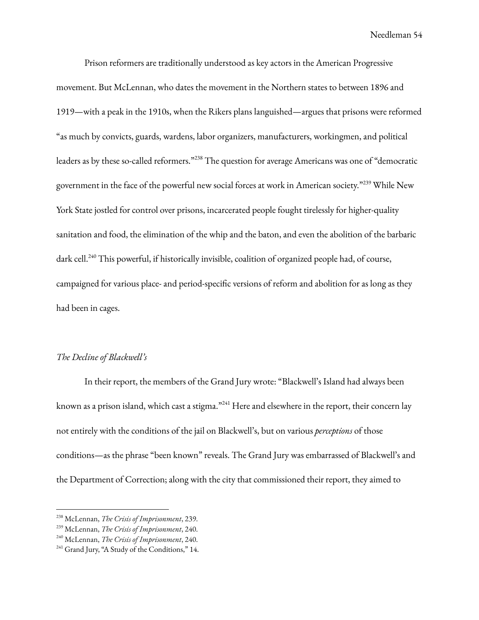Prison reformers are traditionally understood as key actors in the American Progressive movement. But McLennan, who dates the movement in the Northern states to between 1896 and 1919—with a peak in the 1910s, when the Rikers plans languished—argues that prisons were reformed "as much by convicts, guards, wardens, labor organizers, manufacturers, workingmen, and political leaders as by these so-called reformers." <sup>238</sup> The question for average Americans was one of "democratic government in the face of the powerful new social forces at work in American society."<sup>239</sup> While New York State jostled for control over prisons, incarcerated people fought tirelessly for higher-quality sanitation and food, the elimination of the whip and the baton, and even the abolition of the barbaric dark cell. <sup>240</sup> This powerful, if historically invisible, coalition of organized people had, of course, campaigned for various place- and period-specific versions of reform and abolition for as long as they had been in cages.

# *The Decline of Blackwell's*

In their report, the members of the Grand Jury wrote: "Blackwell's Island had always been known as a prison island, which cast a stigma."<sup>241</sup> Here and elsewhere in the report, their concern lay not entirely with the conditions of the jail on Blackwell's, but on various *perceptions* of those conditions—as the phrase "been known" reveals. The Grand Jury was embarrassed of Blackwell's and the Department of Correction; along with the city that commissioned their report, they aimed to

<sup>238</sup> McLennan, *The Crisis of Imprisonment*, 239.

<sup>239</sup> McLennan, *The Crisis of Imprisonment*, 240.

<sup>240</sup> McLennan, *The Crisis of Imprisonment*, 240.

<sup>&</sup>lt;sup>241</sup> Grand Jury, "A Study of the Conditions," 14.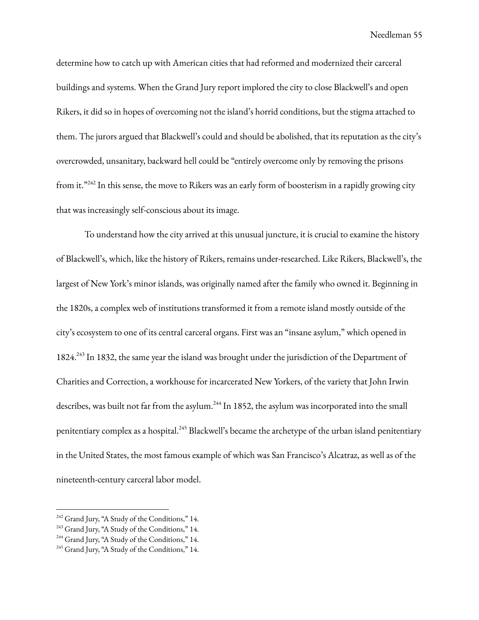determine how to catch up with American cities that had reformed and modernized their carceral buildings and systems. When the Grand Jury report implored the city to close Blackwell's and open Rikers, it did so in hopes of overcoming not the island's horrid conditions, but the stigma attached to them. The jurors argued that Blackwell's could and should be abolished, that its reputation as the city's overcrowded, unsanitary, backward hell could be "entirely overcome only by removing the prisons from it."<sup>242</sup> In this sense, the move to Rikers was an early form of boosterism in a rapidly growing city that was increasingly self-conscious about its image.

To understand how the city arrived at this unusual juncture, it is crucial to examine the history of Blackwell's, which, like the history of Rikers, remains under-researched. Like Rikers, Blackwell's, the largest of New York's minor islands, was originally named after the family who owned it. Beginning in the 1820s, a complex web of institutions transformed it from a remote island mostly outside of the city's ecosystem to one of its central carceral organs. First was an "insane asylum," which opened in 1824.<sup>243</sup> In 1832, the same year the island was brought under the jurisdiction of the Department of Charities and Correction, a workhouse for incarcerated New Yorkers, of the variety that John Irwin describes, was built not far from the asylum.<sup>244</sup> In 1852, the asylum was incorporated into the small penitentiary complex as a hospital.<sup>245</sup> Blackwell's became the archetype of the urban island penitentiary in the United States, the most famous example of which was San Francisco's Alcatraz, as well as of the nineteenth-century carceral labor model.

<sup>&</sup>lt;sup>242</sup> Grand Jury, "A Study of the Conditions," 14.

<sup>&</sup>lt;sup>243</sup> Grand Jury, "A Study of the Conditions," 14.

<sup>&</sup>lt;sup>244</sup> Grand Jury, "A Study of the Conditions," 14.

<sup>&</sup>lt;sup>245</sup> Grand Jury, "A Study of the Conditions," 14.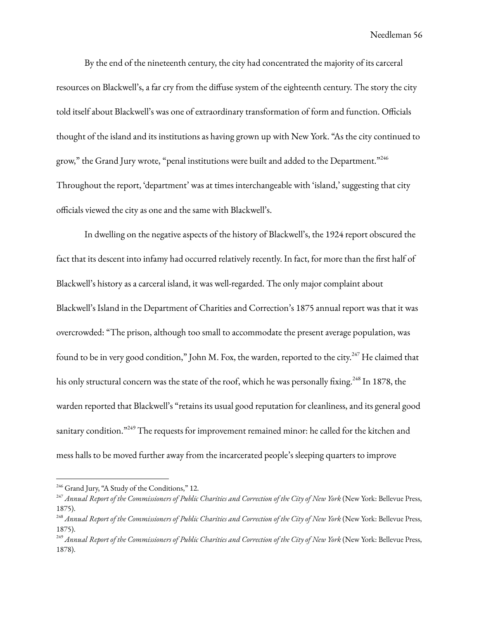By the end of the nineteenth century, the city had concentrated the majority of its carceral resources on Blackwell's, a far cry from the diffuse system of the eighteenth century. The story the city told itself about Blackwell's was one of extraordinary transformation of form and function. Officials thought of the island and its institutions as having grown up with New York. "As the city continued to grow," the Grand Jury wrote, "penal institutions were built and added to the Department."<sup>246</sup> Throughout the report, 'department' was at times interchangeable with 'island,' suggesting that city officials viewed the city as one and the same with Blackwell's.

In dwelling on the negative aspects of the history of Blackwell's, the 1924 report obscured the fact that its descent into infamy had occurred relatively recently. In fact, for more than the first half of Blackwell's history as a carceral island, it was well-regarded. The only major complaint about Blackwell's Island in the Department of Charities and Correction's 1875 annual report was that it was overcrowded: "The prison, although too small to accommodate the present average population, was found to be in very good condition," John M. Fox, the warden, reported to the city. $^{247}$  He claimed that his only structural concern was the state of the roof, which he was personally fixing.<sup>248</sup> In 1878, the warden reported that Blackwell's "retains its usual good reputation for cleanliness, and its general good sanitary condition."<sup>249</sup> The requests for improvement remained minor: he called for the kitchen and mess halls to be moved further away from the incarcerated people's sleeping quarters to improve

<sup>&</sup>lt;sup>246</sup> Grand Jury, "A Study of the Conditions," 12.

<sup>&</sup>lt;sup>247</sup> Annual Report of the Commissioners of Public Charities and Correction of the City of New York (New York: Bellevue Press, 1875).

<sup>&</sup>lt;sup>248</sup> Annual Report of the Commissioners of Public Charities and Correction of the City of New York (New York: Bellevue Press, 1875).

<sup>&</sup>lt;sup>249</sup> Annual Report of the Commissioners of Public Charities and Correction of the City of New York (New York: Bellevue Press, 1878).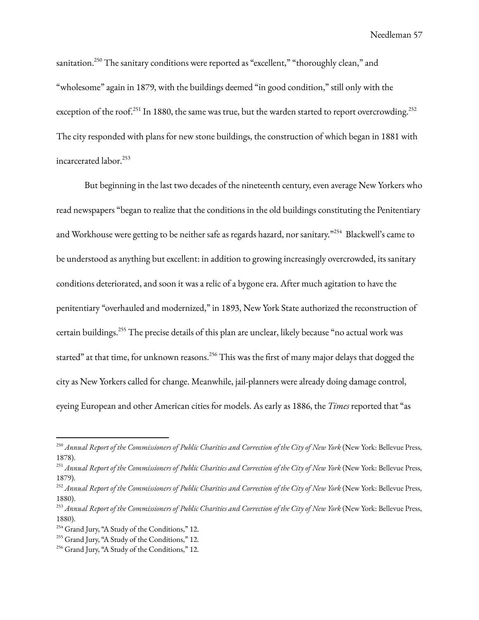sanitation.<sup>250</sup> The sanitary conditions were reported as "excellent," "thoroughly clean," and "wholesome" again in 1879, with the buildings deemed "in good condition," still only with the exception of the roof.<sup>251</sup> In 1880, the same was true, but the warden started to report overcrowding.<sup>252</sup> The city responded with plans for new stone buildings, the construction of which began in 1881 with incarcerated labor. 253

But beginning in the last two decades of the nineteenth century, even average New Yorkers who read newspapers "began to realize that the conditions in the old buildings constituting the Penitentiary and Workhouse were getting to be neither safe as regards hazard, nor sanitary." <sup>254</sup> Blackwell's came to be understood as anything but excellent: in addition to growing increasingly overcrowded, its sanitary conditions deteriorated, and soon it was a relic of a bygone era. After much agitation to have the penitentiary "overhauled and modernized," in 1893, New York State authorized the reconstruction of certain buildings. <sup>255</sup> The precise details of this plan are unclear, likely because "no actual work was started" at that time, for unknown reasons.<sup>256</sup> This was the first of many major delays that dogged the city as New Yorkers called for change. Meanwhile, jail-planners were already doing damage control, eyeing European and other American cities for models. As early as 1886, the *Times* reported that "as

<sup>&</sup>lt;sup>250</sup> Annual Report of the Commissioners of Public Charities and Correction of the City of New York (New York: Bellevue Press, 1878).

<sup>&</sup>lt;sup>251</sup> Annual Report of the Commissioners of Public Charities and Correction of the City of New York (New York: Bellevue Press, 1879).

<sup>&</sup>lt;sup>252</sup> Annual Report of the Commissioners of Public Charities and Correction of the City of New York (New York: Bellevue Press, 1880).

<sup>&</sup>lt;sup>253</sup> Annual Report of the Commissioners of Public Charities and Correction of the City of New York (New York: Bellevue Press, 1880).

<sup>&</sup>lt;sup>254</sup> Grand Jury, "A Study of the Conditions," 12.

<sup>&</sup>lt;sup>255</sup> Grand Jury, "A Study of the Conditions," 12.

<sup>&</sup>lt;sup>256</sup> Grand Jury, "A Study of the Conditions," 12.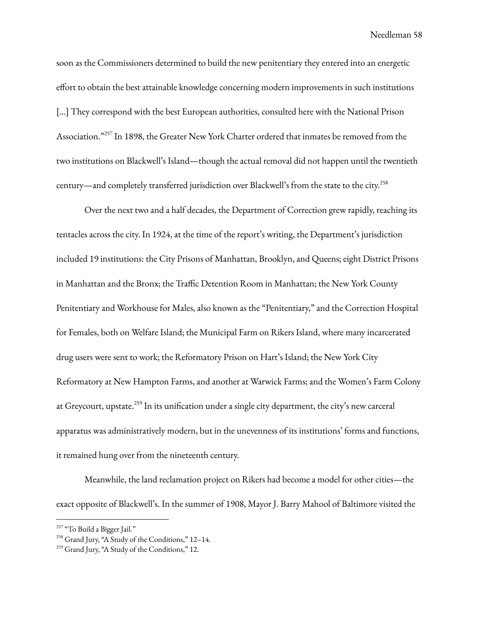soon as the Commissioners determined to build the new penitentiary they entered into an energetic effort to obtain the best attainable knowledge concerning modern improvements in such institutions [...] They correspond with the best European authorities, consulted here with the National Prison Association."<sup>257</sup> In 1898, the Greater New York Charter ordered that inmates be removed from the two institutions on Blackwell's Island—though the actual removal did not happen until the twentieth century—and completely transferred jurisdiction over Blackwell's from the state to the city. 258

Over the next two and a half decades, the Department of Correction grew rapidly, reaching its tentacles across the city. In 1924, at the time of the report's writing, the Department's jurisdiction included 19 institutions: the City Prisons of Manhattan, Brooklyn, and Queens; eight District Prisons in Manhattan and the Bronx; the Traffic Detention Room in Manhattan; the New York County Penitentiary and Workhouse for Males, also known as the "Penitentiary," and the Correction Hospital for Females, both on Welfare Island; the Municipal Farm on Rikers Island, where many incarcerated drug users were sent to work; the Reformatory Prison on Hart's Island; the New York City Reformatory at New Hampton Farms, and another at Warwick Farms; and the Women's Farm Colony at Greycourt, upstate.<sup>259</sup> In its unification under a single city department, the city's new carceral apparatus was administratively modern, but in the unevenness of its institutions' forms and functions, it remained hung over from the nineteenth century.

Meanwhile, the land reclamation project on Rikers had become a model for other cities—the exact opposite of Blackwell's. In the summer of 1908, Mayor J. Barry Mahool of Baltimore visited the

<sup>&</sup>lt;sup>257</sup> "To Build a Bigger Jail."

<sup>258</sup> Grand Jury, "A Study of the Conditions," 12–14.

<sup>&</sup>lt;sup>259</sup> Grand Jury, "A Study of the Conditions," 12.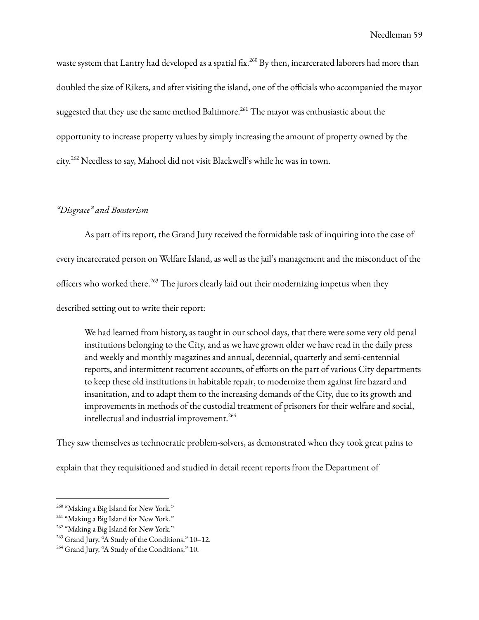waste system that Lantry had developed as a spatial fix. <sup>260</sup> By then, incarcerated laborers had more than doubled the size of Rikers, and after visiting the island, one of the officials who accompanied the mayor suggested that they use the same method Baltimore. $^{261}$  The mayor was enthusiastic about the opportunity to increase property values by simply increasing the amount of property owned by the city. <sup>262</sup> Needless to say, Mahool did not visit Blackwell's while he was in town.

### *"Disgrace" and Boosterism*

As part of its report, the Grand Jury received the formidable task of inquiring into the case of every incarcerated person on Welfare Island, as well as the jail's management and the misconduct of the officers who worked there.<sup>263</sup> The jurors clearly laid out their modernizing impetus when they described setting out to write their report:

We had learned from history, as taught in our school days, that there were some very old penal institutions belonging to the City, and as we have grown older we have read in the daily press and weekly and monthly magazines and annual, decennial, quarterly and semi-centennial reports, and intermittent recurrent accounts, of efforts on the part of various City departments to keep these old institutions in habitable repair, to modernize them against fire hazard and insanitation, and to adapt them to the increasing demands of the City, due to its growth and improvements in methods of the custodial treatment of prisoners for their welfare and social, intellectual and industrial improvement. 264

They saw themselves as technocratic problem-solvers, as demonstrated when they took great pains to

explain that they requisitioned and studied in detail recent reports from the Department of

<sup>&</sup>lt;sup>260</sup> "Making a Big Island for New York."

<sup>&</sup>lt;sup>261</sup> "Making a Big Island for New York."

<sup>&</sup>lt;sup>262</sup> "Making a Big Island for New York."

<sup>&</sup>lt;sup>263</sup> Grand Jury, "A Study of the Conditions," 10-12.

<sup>&</sup>lt;sup>264</sup> Grand Jury, "A Study of the Conditions," 10.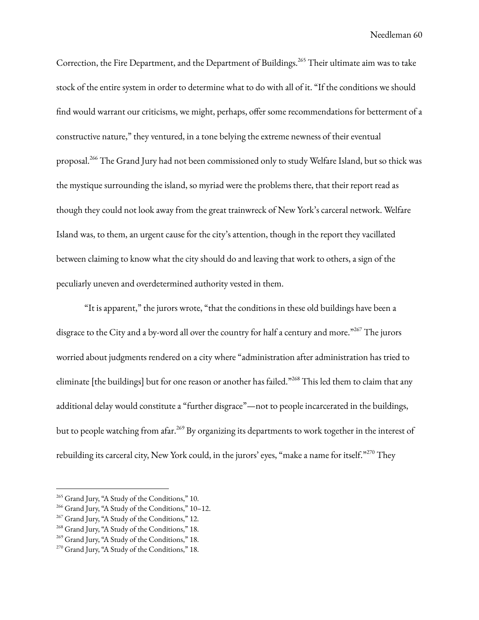Correction, the Fire Department, and the Department of Buildings.<sup>265</sup> Their ultimate aim was to take stock of the entire system in order to determine what to do with all of it. "If the conditions we should find would warrant our criticisms, we might, perhaps, offer some recommendations for betterment of a constructive nature," they ventured, in a tone belying the extreme newness of their eventual proposal.<sup>266</sup> The Grand Jury had not been commissioned only to study Welfare Island, but so thick was the mystique surrounding the island, so myriad were the problems there, that their report read as though they could not look away from the great trainwreck of New York's carceral network. Welfare Island was, to them, an urgent cause for the city's attention, though in the report they vacillated between claiming to know what the city should do and leaving that work to others, a sign of the peculiarly uneven and overdetermined authority vested in them.

"It is apparent," the jurors wrote, "that the conditions in these old buildings have been a disgrace to the City and a by-word all over the country for half a century and more." <sup>267</sup> The jurors worried about judgments rendered on a city where "administration after administration has tried to eliminate [the buildings] but for one reason or another has failed."<sup>268</sup> This led them to claim that any additional delay would constitute a "further disgrace"—not to people incarcerated in the buildings, but to people watching from afar.<sup>269</sup> By organizing its departments to work together in the interest of rebuilding its carceral city, New York could, in the jurors' eyes, "make a name for itself."<sup>270</sup> They

<sup>&</sup>lt;sup>265</sup> Grand Jury, "A Study of the Conditions," 10.

<sup>266</sup> Grand Jury, "A Study of the Conditions," 10–12.

<sup>&</sup>lt;sup>267</sup> Grand Jury, "A Study of the Conditions," 12.

<sup>&</sup>lt;sup>268</sup> Grand Jury, "A Study of the Conditions," 18.

<sup>&</sup>lt;sup>269</sup> Grand Jury, "A Study of the Conditions," 18.

<sup>&</sup>lt;sup>270</sup> Grand Jury, "A Study of the Conditions," 18.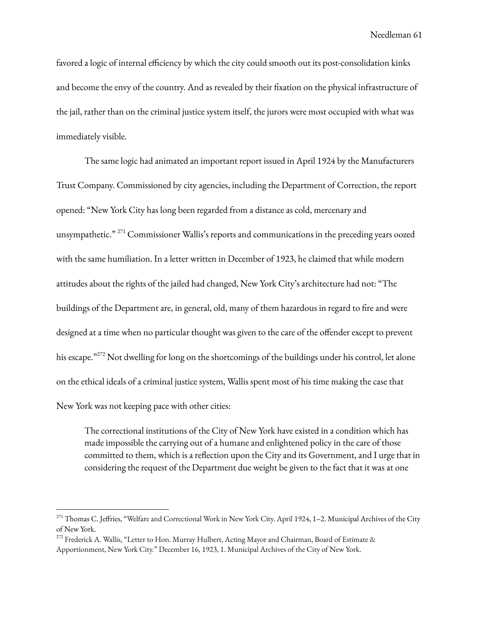favored a logic of internal efficiency by which the city could smooth out its post-consolidation kinks and become the envy of the country. And as revealed by their fixation on the physical infrastructure of the jail, rather than on the criminal justice system itself, the jurors were most occupied with what was immediately visible.

The same logic had animated an important report issued in April 1924 by the Manufacturers Trust Company. Commissioned by city agencies, including the Department of Correction, the report opened: "New York City has long been regarded from a distance as cold, mercenary and unsympathetic."<sup>271</sup> Commissioner Wallis's reports and communications in the preceding years oozed with the same humiliation. In a letter written in December of 1923, he claimed that while modern attitudes about the rights of the jailed had changed, New York City's architecture had not: "The buildings of the Department are, in general, old, many of them hazardous in regard to fire and were designed at a time when no particular thought was given to the care of the offender except to prevent his escape."<sup>272</sup> Not dwelling for long on the shortcomings of the buildings under his control, let alone on the ethical ideals of a criminal justice system, Wallis spent most of his time making the case that New York was not keeping pace with other cities:

The correctional institutions of the City of New York have existed in a condition which has made impossible the carrying out of a humane and enlightened policy in the care of those committed to them, which is a reflection upon the City and its Government, and I urge that in considering the request of the Department due weight be given to the fact that it was at one

<sup>&</sup>lt;sup>271</sup> Thomas C. Jeffries, "Welfare and Correctional Work in New York City. April 1924, 1–2. Municipal Archives of the City of New York.

<sup>&</sup>lt;sup>272</sup> Frederick A. Wallis, "Letter to Hon. Murray Hulbert, Acting Mayor and Chairman, Board of Estimate & Apportionment, New York City." December 16, 1923, 1. Municipal Archives of the City of New York.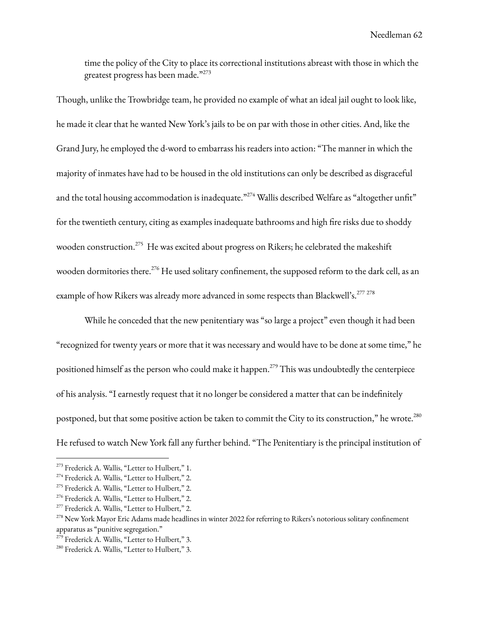time the policy of the City to place its correctional institutions abreast with those in which the greatest progress has been made." 273

Though, unlike the Trowbridge team, he provided no example of what an ideal jail ought to look like, he made it clear that he wanted New York's jails to be on par with those in other cities. And, like the Grand Jury, he employed the d-word to embarrass his readers into action: "The manner in which the majority of inmates have had to be housed in the old institutions can only be described as disgraceful and the total housing accommodation is inadequate." $^{274}$  Wallis described Welfare as "altogether unfit" for the twentieth century, citing as examples inadequate bathrooms and high fire risks due to shoddy wooden construction.<sup>275</sup> He was excited about progress on Rikers; he celebrated the makeshift wooden dormitories there.<sup>276</sup> He used solitary confinement, the supposed reform to the dark cell, as an example of how Rikers was already more advanced in some respects than Blackwell's.<sup>277 278</sup>

While he conceded that the new penitentiary was "so large a project" even though it had been "recognized for twenty years or more that it was necessary and would have to be done at some time," he positioned himself as the person who could make it happen. <sup>279</sup> This was undoubtedly the centerpiece of his analysis. "I earnestly request that it no longer be considered a matter that can be indefinitely postponed, but that some positive action be taken to commit the City to its construction," he wrote.<sup>280</sup> He refused to watch New York fall any further behind. "The Penitentiary is the principal institution of

<sup>&</sup>lt;sup>273</sup> Frederick A. Wallis, "Letter to Hulbert," 1.

<sup>&</sup>lt;sup>274</sup> Frederick A. Wallis, "Letter to Hulbert," 2.

<sup>&</sup>lt;sup>275</sup> Frederick A. Wallis, "Letter to Hulbert," 2.

<sup>&</sup>lt;sup>276</sup> Frederick A. Wallis, "Letter to Hulbert," 2.

<sup>&</sup>lt;sup>277</sup> Frederick A. Wallis, "Letter to Hulbert," 2.

<sup>&</sup>lt;sup>278</sup> New York Mayor Eric Adams made headlines in winter 2022 for referring to Rikers's notorious solitary confinement apparatus as "punitive segregation."

<sup>&</sup>lt;sup>279</sup> Frederick A. Wallis, "Letter to Hulbert," 3.

<sup>&</sup>lt;sup>280</sup> Frederick A. Wallis, "Letter to Hulbert," 3.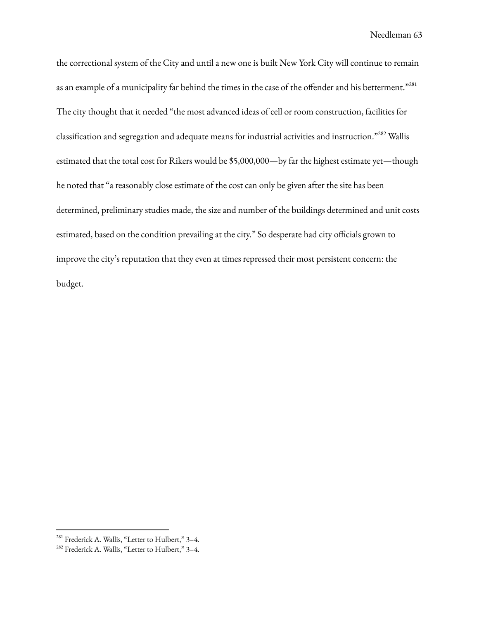the correctional system of the City and until a new one is built New York City will continue to remain as an example of a municipality far behind the times in the case of the offender and his betterment." $^{281}$ The city thought that it needed "the most advanced ideas of cell or room construction, facilities for classification and segregation and adequate means for industrial activities and instruction." <sup>282</sup> Wallis estimated that the total cost for Rikers would be \$5,000,000—by far the highest estimate yet—though he noted that "a reasonably close estimate of the cost can only be given after the site has been determined, preliminary studies made, the size and number of the buildings determined and unit costs estimated, based on the condition prevailing at the city." So desperate had city officials grown to improve the city's reputation that they even at times repressed their most persistent concern: the budget.

<sup>&</sup>lt;sup>281</sup> Frederick A. Wallis, "Letter to Hulbert," 3-4.

<sup>282</sup> Frederick A. Wallis, "Letter to Hulbert," 3–4.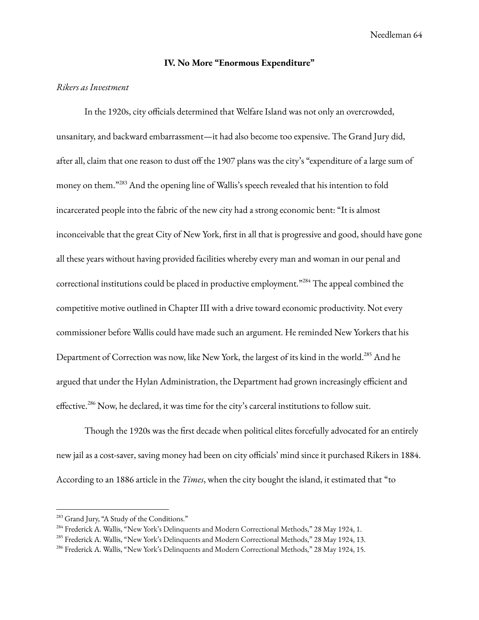### **IV. No More "Enormous Expenditure"**

### *Rikers as Investment*

In the 1920s, city officials determined that Welfare Island was not only an overcrowded, unsanitary, and backward embarrassment—it had also become too expensive. The Grand Jury did, after all, claim that one reason to dust off the 1907 plans was the city's "expenditure of a large sum of money on them."<sup>283</sup> And the opening line of Wallis's speech revealed that his intention to fold incarcerated people into the fabric of the new city had a strong economic bent: "It is almost inconceivable that the great City of New York, first in all that is progressive and good, should have gone all these years without having provided facilities whereby every man and woman in our penal and correctional institutions could be placed in productive employment."<sup>284</sup> The appeal combined the competitive motive outlined in Chapter III with a drive toward economic productivity. Not every commissioner before Wallis could have made such an argument. He reminded New Yorkers that his Department of Correction was now, like New York, the largest of its kind in the world.<sup>285</sup> And he argued that under the Hylan Administration, the Department had grown increasingly efficient and effective.<sup>286</sup> Now, he declared, it was time for the city's carceral institutions to follow suit.

Though the 1920s was the first decade when political elites forcefully advocated for an entirely new jail as a cost-saver, saving money had been on city officials' mind since it purchased Rikers in 1884. According to an 1886 article in the *Times*, when the city bought the island, it estimated that "to

<sup>&</sup>lt;sup>283</sup> Grand Jury, "A Study of the Conditions."

<sup>&</sup>lt;sup>284</sup> Frederick A. Wallis, "New York's Delinquents and Modern Correctional Methods," 28 May 1924, 1.

<sup>285</sup> Frederick A. Wallis, "New York's Delinquents and Modern Correctional Methods," 28 May 1924, 13.

<sup>&</sup>lt;sup>286</sup> Frederick A. Wallis, "New York's Delinquents and Modern Correctional Methods," 28 May 1924, 15.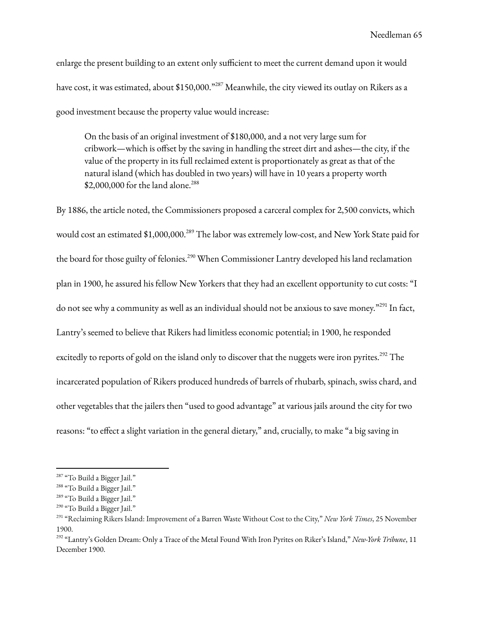enlarge the present building to an extent only sufficient to meet the current demand upon it would have cost, it was estimated, about \$150,000."<sup>287</sup> Meanwhile, the city viewed its outlay on Rikers as a good investment because the property value would increase:

On the basis of an original investment of \$180,000, and a not very large sum for cribwork—which is offset by the saving in handling the street dirt and ashes—the city, if the value of the property in its full reclaimed extent is proportionately as great as that of the natural island (which has doubled in two years) will have in 10 years a property worth \$2,000,000 for the land alone.<sup>288</sup>

By 1886, the article noted, the Commissioners proposed a carceral complex for 2,500 convicts, which would cost an estimated \$1,000,000.<sup>289</sup> The labor was extremely low-cost, and New York State paid for the board for those guilty of felonies.<sup>290</sup> When Commissioner Lantry developed his land reclamation plan in 1900, he assured his fellow New Yorkers that they had an excellent opportunity to cut costs: "I do not see why a community as well as an individual should not be anxious to save money."<sup>291</sup> In fact, Lantry's seemed to believe that Rikers had limitless economic potential; in 1900, he responded excitedly to reports of gold on the island only to discover that the nuggets were iron pyrites.<sup>292</sup> The incarcerated population of Rikers produced hundreds of barrels of rhubarb, spinach, swiss chard, and other vegetables that the jailers then "used to good advantage" at various jails around the city for two reasons: "to effect a slight variation in the general dietary," and, crucially, to make "a big saving in

<sup>&</sup>lt;sup>287</sup> "To Build a Bigger Jail."

<sup>&</sup>lt;sup>288</sup> "To Build a Bigger Jail."

<sup>&</sup>lt;sup>289</sup> "To Build a Bigger Jail."

<sup>&</sup>lt;sup>290</sup> "To Build a Bigger Jail."

<sup>291</sup> "Reclaiming Rikers Island: Improvement of a Barren Waste Without Cost to the City," *New York Times*, 25 November 1900.

<sup>292</sup> "Lantry's Golden Dream: Only a Trace of the Metal Found With Iron Pyrites on Riker's Island," *New-York Tribune*, 11 December 1900.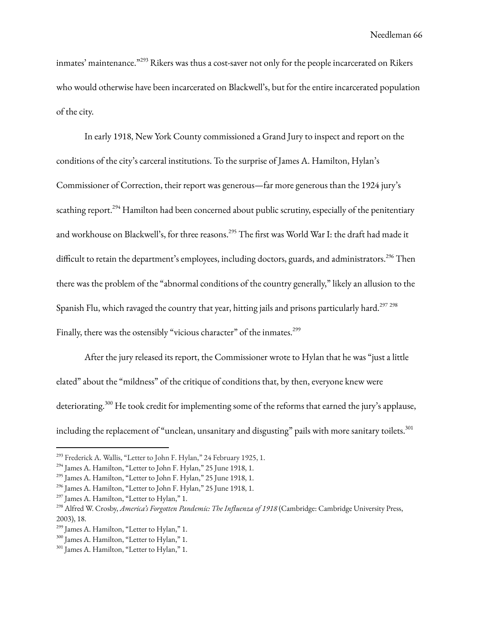inmates' maintenance."<sup>293</sup> Rikers was thus a cost-saver not only for the people incarcerated on Rikers who would otherwise have been incarcerated on Blackwell's, but for the entire incarcerated population of the city.

In early 1918, New York County commissioned a Grand Jury to inspect and report on the conditions of the city's carceral institutions. To the surprise of James A. Hamilton, Hylan's Commissioner of Correction, their report was generous—far more generous than the 1924 jury's scathing report.<sup>294</sup> Hamilton had been concerned about public scrutiny, especially of the penitentiary and workhouse on Blackwell's, for three reasons.<sup>295</sup> The first was World War I: the draft had made it difficult to retain the department's employees, including doctors, guards, and administrators. <sup>296</sup> Then there was the problem of the "abnormal conditions of the country generally," likely an allusion to the Spanish Flu, which ravaged the country that year, hitting jails and prisons particularly hard. $^{297\;298}$ Finally, there was the ostensibly "vicious character" of the inmates.<sup>299</sup>

After the jury released its report, the Commissioner wrote to Hylan that he was "just a little elated" about the "mildness" of the critique of conditions that, by then, everyone knew were deteriorating. <sup>300</sup> He took credit for implementing some of the reforms that earned the jury's applause, including the replacement of "unclean, unsanitary and disgusting" pails with more sanitary toilets. $^{\rm 301}$ 

<sup>&</sup>lt;sup>293</sup> Frederick A. Wallis, "Letter to John F. Hylan," 24 February 1925, 1.

<sup>294</sup> James A. Hamilton, "Letter to John F. Hylan," 25 June 1918, 1.

<sup>&</sup>lt;sup>295</sup> James A. Hamilton, "Letter to John F. Hylan," 25 June 1918, 1.

<sup>296</sup> James A. Hamilton, "Letter to John F. Hylan," 25 June 1918, 1.

<sup>&</sup>lt;sup>297</sup> James A. Hamilton, "Letter to Hylan," 1.

<sup>298</sup> Alfred W. Crosby, *America's Forgotten Pandemic: The Influenza of 1918* (Cambridge: Cambridge University Press, 2003), 18.

<sup>&</sup>lt;sup>299</sup> James A. Hamilton, "Letter to Hylan," 1.

<sup>300</sup> James A. Hamilton, "Letter to Hylan," 1.

<sup>301</sup> James A. Hamilton, "Letter to Hylan," 1.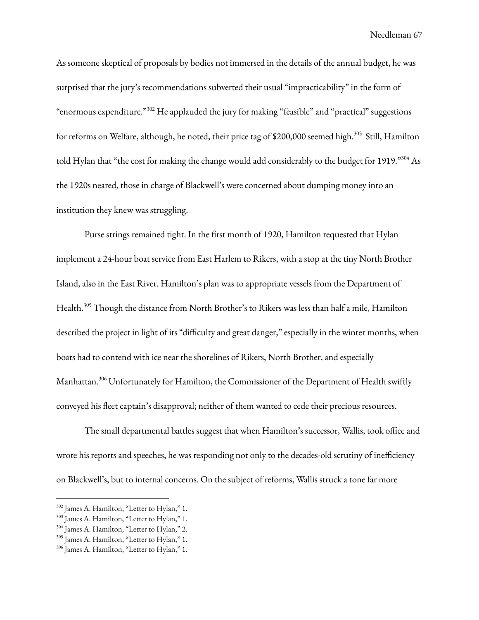As someone skeptical of proposals by bodies not immersed in the details of the annual budget, he was surprised that the jury's recommendations subverted their usual "impracticability" in the form of "enormous expenditure." <sup>302</sup> He applauded the jury for making "feasible" and "practical" suggestions for reforms on Welfare, although, he noted, their price tag of \$200,000 seemed high.<sup>303</sup> Still, Hamilton told Hylan that "the cost for making the change would add considerably to the budget for 1919."304 As the 1920s neared, those in charge of Blackwell's were concerned about dumping money into an institution they knew was struggling.

Purse strings remained tight. In the first month of 1920, Hamilton requested that Hylan implement a 24-hour boat service from East Harlem to Rikers, with a stop at the tiny North Brother Island, also in the East River. Hamilton's plan was to appropriate vessels from the Department of Health. <sup>305</sup> Though the distance from North Brother's to Rikers was less than half a mile, Hamilton described the project in light of its "difficulty and great danger," especially in the winter months, when boats had to contend with ice near the shorelines of Rikers, North Brother, and especially Manhattan. <sup>306</sup> Unfortunately for Hamilton, the Commissioner of the Department of Health swiftly conveyed his fleet captain's disapproval; neither of them wanted to cede their precious resources.

The small departmental battles suggest that when Hamilton's successor, Wallis, took office and wrote his reports and speeches, he was responding not only to the decades-old scrutiny of inefficiency on Blackwell's, but to internal concerns. On the subject of reforms, Wallis struck a tone far more

<sup>302</sup> James A. Hamilton, "Letter to Hylan," 1.

<sup>303</sup> James A. Hamilton, "Letter to Hylan," 1.

<sup>304</sup> James A. Hamilton, "Letter to Hylan," 2.

<sup>305</sup> James A. Hamilton, "Letter to Hylan," 1.

<sup>306</sup> James A. Hamilton, "Letter to Hylan," 1.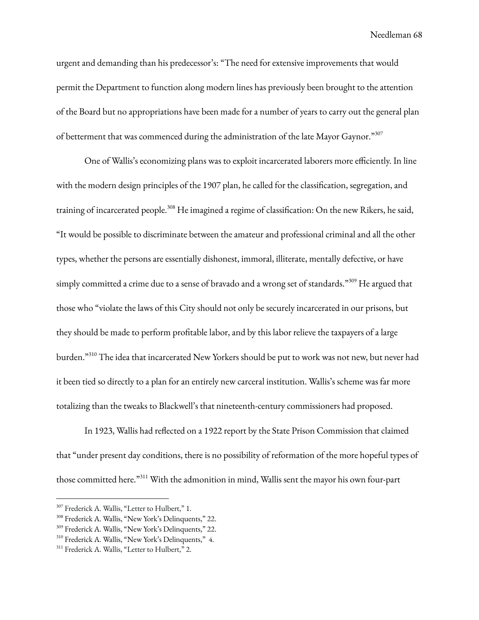urgent and demanding than his predecessor's: "The need for extensive improvements that would permit the Department to function along modern lines has previously been brought to the attention of the Board but no appropriations have been made for a number of years to carry out the general plan of betterment that was commenced during the administration of the late Mayor Gaynor."<sup>307</sup>

One of Wallis's economizing plans was to exploit incarcerated laborers more efficiently. In line with the modern design principles of the 1907 plan, he called for the classification, segregation, and training of incarcerated people.<sup>308</sup> He imagined a regime of classification: On the new Rikers, he said, "It would be possible to discriminate between the amateur and professional criminal and all the other types, whether the persons are essentially dishonest, immoral, illiterate, mentally defective, or have simply committed a crime due to a sense of bravado and a wrong set of standards."<sup>309</sup> He argued that those who "violate the laws of this City should not only be securely incarcerated in our prisons, but they should be made to perform profitable labor, and by this labor relieve the taxpayers of a large burden." <sup>310</sup> The idea that incarcerated New Yorkers should be put to work was not new, but never had it been tied so directly to a plan for an entirely new carceral institution. Wallis's scheme was far more totalizing than the tweaks to Blackwell's that nineteenth-century commissioners had proposed.

In 1923, Wallis had reflected on a 1922 report by the State Prison Commission that claimed that "under present day conditions, there is no possibility of reformation of the more hopeful types of those committed here." <sup>311</sup> With the admonition in mind, Wallis sent the mayor his own four-part

<sup>&</sup>lt;sup>307</sup> Frederick A. Wallis, "Letter to Hulbert," 1.

<sup>308</sup> Frederick A. Wallis, "New York's Delinquents," 22.

<sup>309</sup> Frederick A. Wallis, "New York's Delinquents," 22.

<sup>310</sup> Frederick A. Wallis, "New York's Delinquents," 4.

<sup>&</sup>lt;sup>311</sup> Frederick A. Wallis, "Letter to Hulbert," 2.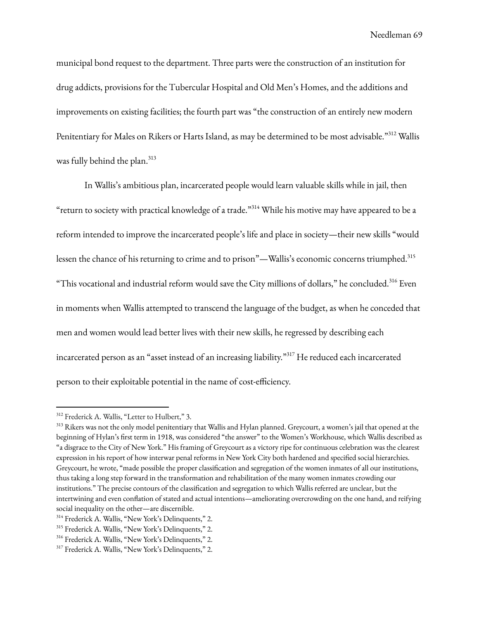municipal bond request to the department. Three parts were the construction of an institution for drug addicts, provisions for the Tubercular Hospital and Old Men's Homes, and the additions and improvements on existing facilities; the fourth part was "the construction of an entirely new modern Penitentiary for Males on Rikers or Harts Island, as may be determined to be most advisable." <sup>312</sup> Wallis was fully behind the plan. 313

In Wallis's ambitious plan, incarcerated people would learn valuable skills while in jail, then "return to society with practical knowledge of a trade." <sup>314</sup> While his motive may have appeared to be a reform intended to improve the incarcerated people's life and place in society—their new skills "would lessen the chance of his returning to crime and to prison"—Wallis's economic concerns triumphed. 315 "This vocational and industrial reform would save the City millions of dollars," he concluded. $^{316}$  Even in moments when Wallis attempted to transcend the language of the budget, as when he conceded that men and women would lead better lives with their new skills, he regressed by describing each incarcerated person as an "asset instead of an increasing liability." <sup>317</sup> He reduced each incarcerated person to their exploitable potential in the name of cost-efficiency.

<sup>&</sup>lt;sup>312</sup> Frederick A. Wallis, "Letter to Hulbert," 3.

<sup>&</sup>lt;sup>313</sup> Rikers was not the only model penitentiary that Wallis and Hylan planned. Greycourt, a women's jail that opened at the beginning of Hylan's first term in 1918, was considered "the answer" to the Women's Workhouse, which Wallis described as "a disgrace to the City of New York." His framing of Greycourt as a victory ripe for continuous celebration was the clearest expression in his report of how interwar penal reforms in New York City both hardened and specified social hierarchies. Greycourt, he wrote, "made possible the proper classification and segregation of the women inmates of all our institutions, thus taking a long step forward in the transformation and rehabilitation of the many women inmates crowding our institutions." The precise contours of the classification and segregation to which Wallis referred are unclear, but the intertwining and even conflation of stated and actual intentions—ameliorating overcrowding on the one hand, and reifying social inequality on the other—are discernible.

<sup>314</sup> Frederick A. Wallis, "New York's Delinquents," 2.

<sup>315</sup> Frederick A. Wallis, "New York's Delinquents," 2.

<sup>316</sup> Frederick A. Wallis, "New York's Delinquents," 2.

<sup>317</sup> Frederick A. Wallis, "New York's Delinquents," 2.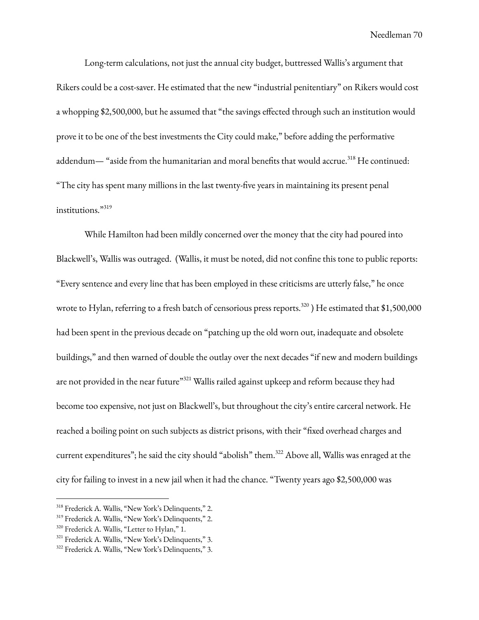Long-term calculations, not just the annual city budget, buttressed Wallis's argument that Rikers could be a cost-saver. He estimated that the new "industrial penitentiary" on Rikers would cost a whopping \$2,500,000, but he assumed that "the savings effected through such an institution would prove it to be one of the best investments the City could make," before adding the performative addendum— "aside from the humanitarian and moral benefits that would accrue.<sup>318</sup> He continued: "The city has spent many millions in the last twenty-five years in maintaining its present penal institutions." 319

While Hamilton had been mildly concerned over the money that the city had poured into Blackwell's, Wallis was outraged. (Wallis, it must be noted, did not confine this tone to public reports: "Every sentence and every line that has been employed in these criticisms are utterly false," he once wrote to Hylan, referring to a fresh batch of censorious press reports. $^{320}$  ) He estimated that \$1,500,000 had been spent in the previous decade on "patching up the old worn out, inadequate and obsolete buildings," and then warned of double the outlay over the next decades "if new and modern buildings are not provided in the near future"<sup>321</sup> Wallis railed against upkeep and reform because they had become too expensive, not just on Blackwell's, but throughout the city's entire carceral network. He reached a boiling point on such subjects as district prisons, with their "fixed overhead charges and current expenditures"; he said the city should "abolish" them. <sup>322</sup> Above all, Wallis was enraged at the city for failing to invest in a new jail when it had the chance. "Twenty years ago \$2,500,000 was

<sup>318</sup> Frederick A. Wallis, "New York's Delinquents," 2.

<sup>319</sup> Frederick A. Wallis, "New York's Delinquents," 2.

<sup>&</sup>lt;sup>320</sup> Frederick A. Wallis, "Letter to Hylan," 1.

<sup>321</sup> Frederick A. Wallis, "New York's Delinquents," 3.

<sup>322</sup> Frederick A. Wallis, "New York's Delinquents," 3.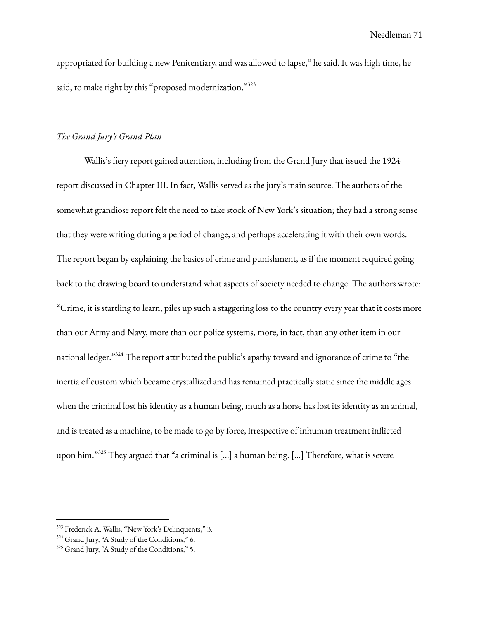appropriated for building a new Penitentiary, and was allowed to lapse," he said. It was high time, he said, to make right by this "proposed modernization."323

# *The Grand Jury's Grand Plan*

Wallis's fiery report gained attention, including from the Grand Jury that issued the 1924 report discussed in Chapter III. In fact, Wallis served as the jury's main source. The authors of the somewhat grandiose report felt the need to take stock of New York's situation; they had a strong sense that they were writing during a period of change, and perhaps accelerating it with their own words. The report began by explaining the basics of crime and punishment, as if the moment required going back to the drawing board to understand what aspects of society needed to change. The authors wrote: "Crime, it is startling to learn, piles up such a staggering loss to the country every year that it costs more than our Army and Navy, more than our police systems, more, in fact, than any other item in our national ledger."<sup>324</sup> The report attributed the public's apathy toward and ignorance of crime to "the inertia of custom which became crystallized and has remained practically static since the middle ages when the criminal lost his identity as a human being, much as a horse has lost its identity as an animal, and is treated as a machine, to be made to go by force, irrespective of inhuman treatment inflicted upon him."325 They argued that "a criminal is [...] a human being. [...] Therefore, what is severe

<sup>323</sup> Frederick A. Wallis, "New York's Delinquents," 3.

<sup>324</sup> Grand Jury, "A Study of the Conditions," 6.

<sup>325</sup> Grand Jury, "A Study of the Conditions," 5.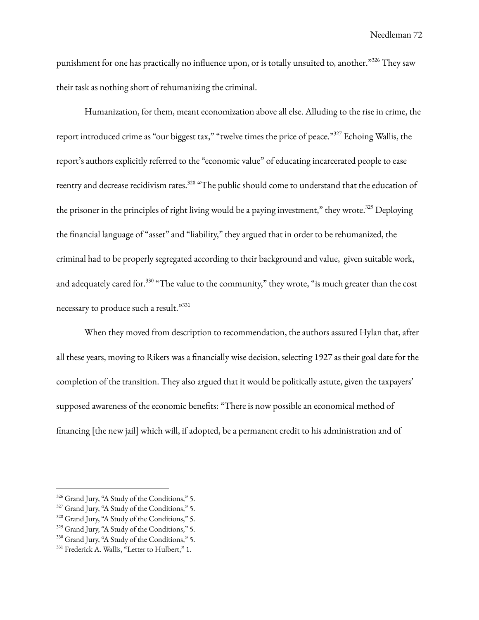punishment for one has practically no influence upon, or is totally unsuited to, another."326 They saw their task as nothing short of rehumanizing the criminal.

Humanization, for them, meant economization above all else. Alluding to the rise in crime, the report introduced crime as "our biggest tax," "twelve times the price of peace."<sup>327</sup> Echoing Wallis, the report's authors explicitly referred to the "economic value" of educating incarcerated people to ease reentry and decrease recidivism rates.<sup>328</sup> "The public should come to understand that the education of the prisoner in the principles of right living would be a paying investment," they wrote.<sup>329</sup> Deploying the financial language of "asset" and "liability," they argued that in order to be rehumanized, the criminal had to be properly segregated according to their background and value, given suitable work, and adequately cared for. $^{330}$  "The value to the community," they wrote, "is much greater than the cost necessary to produce such a result."331

When they moved from description to recommendation, the authors assured Hylan that, after all these years, moving to Rikers was a financially wise decision, selecting 1927 as their goal date for the completion of the transition. They also argued that it would be politically astute, given the taxpayers' supposed awareness of the economic benefits: "There is now possible an economical method of financing [the new jail] which will, if adopted, be a permanent credit to his administration and of

<sup>326</sup> Grand Jury, "A Study of the Conditions," 5.

<sup>&</sup>lt;sup>327</sup> Grand Jury, "A Study of the Conditions," 5.

<sup>328</sup> Grand Jury, "A Study of the Conditions," 5.

<sup>&</sup>lt;sup>329</sup> Grand Jury, "A Study of the Conditions," 5.

<sup>330</sup> Grand Jury, "A Study of the Conditions," 5.

<sup>&</sup>lt;sup>331</sup> Frederick A. Wallis, "Letter to Hulbert," 1.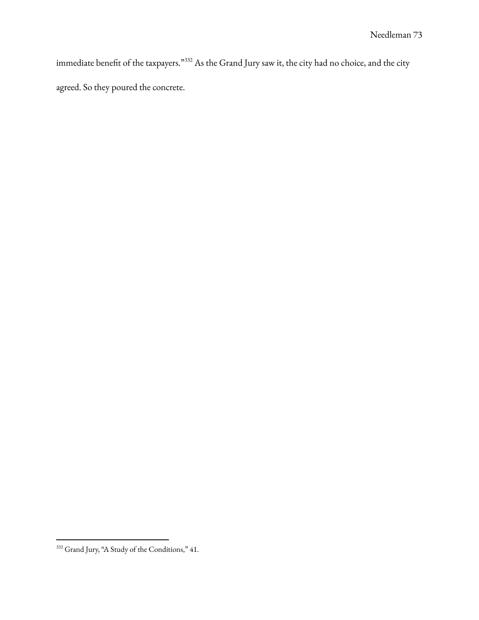immediate benefit of the taxpayers."  $332$  As the Grand Jury saw it, the city had no choice, and the city agreed. So they poured the concrete.

<sup>332</sup> Grand Jury, "A Study of the Conditions," 41.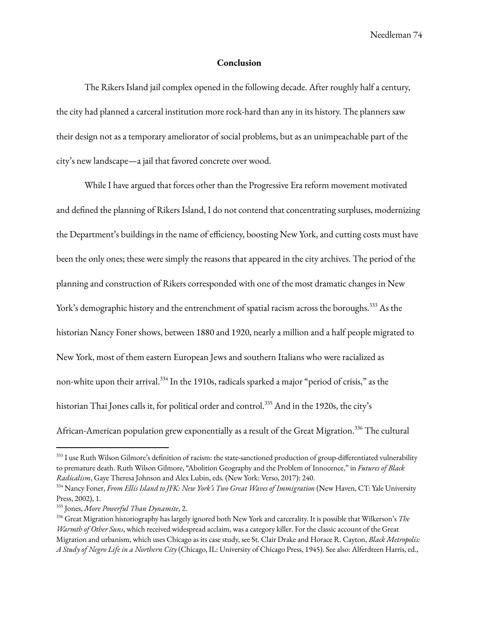Needleman 74

### **Conclusion**

The Rikers Island jail complex opened in the following decade. After roughly half a century, the city had planned a carceral institution more rock-hard than any in its history. The planners saw their design not as a temporary ameliorator of social problems, but as an unimpeachable part of the city's new landscape—a jail that favored concrete over wood.

While I have argued that forces other than the Progressive Era reform movement motivated and defined the planning of Rikers Island, I do not contend that concentrating surpluses, modernizing the Department's buildings in the name of efficiency, boosting New York, and cutting costs must have been the only ones; these were simply the reasons that appeared in the city archives. The period of the planning and construction of Rikers corresponded with one of the most dramatic changes in New York's demographic history and the entrenchment of spatial racism across the boroughs. <sup>333</sup> As the historian Nancy Foner shows, between 1880 and 1920, nearly a million and a half people migrated to New York, most of them eastern European Jews and southern Italians who were racialized as non-white upon their arrival. $^{334}$  In the 1910s, radicals sparked a major "period of crisis," as the historian Thai Jones calls it, for political order and control. <sup>335</sup> And in the 1920s, the city's African-American population grew exponentially as a result of the Great Migration.<sup>336</sup> The cultural

 $333$  I use Ruth Wilson Gilmore's definition of racism: the state-sanctioned production of group-differentiated vulnerability to premature death. Ruth Wilson Gilmore, "Abolition Geography and the Problem of Innocence," in *Futures of Black Radicalism*, Gaye Theresa Johnson and Alex Lubin, eds. (New York: Verso, 2017): 240.

<sup>334</sup> Nancy Foner, *From Ellis Island to JFK: New York's Two Great Waves of Immigration* (New Haven, CT: Yale University Press, 2002), 1.

<sup>335</sup> Jones, *More Powerful Than Dynamite*, 2.

<sup>336</sup> Great Migration historiography has largely ignored both New York and carcerality. It is possible that Wilkerson's *The Warmth of Other Suns*, which received widespread acclaim, was a category killer. For the classic account of the Great Migration and urbanism, which uses Chicago as its case study, see St. Clair Drake and Horace R. Cayton, *Black Metropolis: A Study of Negro Life in a Northern City* (Chicago, IL: University of Chicago Press, 1945). See also: Alferdteen Harris, ed.,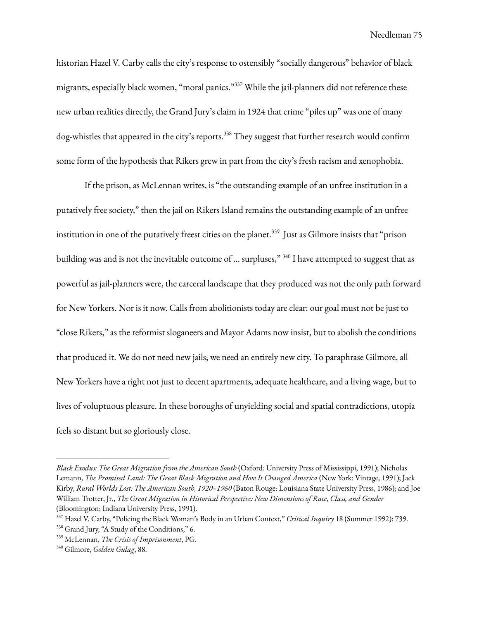Needleman 75

historian Hazel V. Carby calls the city's response to ostensibly "socially dangerous" behavior of black migrants, especially black women, "moral panics." <sup>337</sup> While the jail-planners did not reference these new urban realities directly, the Grand Jury's claim in 1924 that crime "piles up" was one of many dog-whistles that appeared in the city's reports. <sup>338</sup> They suggest that further research would confirm some form of the hypothesis that Rikers grew in part from the city's fresh racism and xenophobia.

If the prison, as McLennan writes, is "the outstanding example of an unfree institution in a putatively free society," then the jail on Rikers Island remains the outstanding example of an unfree institution in one of the putatively freest cities on the planet. 339 Just as Gilmore insists that "prison building was and is not the inevitable outcome of ... surpluses," <sup>340</sup> I have attempted to suggest that as powerful as jail-planners were, the carceral landscape that they produced was not the only path forward for New Yorkers. Nor is it now. Calls from abolitionists today are clear: our goal must not be just to "close Rikers," as the reformist sloganeers and Mayor Adams now insist, but to abolish the conditions that produced it. We do not need new jails; we need an entirely new city. To paraphrase Gilmore, all New Yorkers have a right not just to decent apartments, adequate healthcare, and a living wage, but to lives of voluptuous pleasure. In these boroughs of unyielding social and spatial contradictions, utopia feels so distant but so gloriously close.

*Black Exodus: The Great Migration from the American South* (Oxford: University Press of Mississippi, 1991); Nicholas Lemann, *The Promised Land: The Great Black Migration and How It Changed America* (New York: Vintage, 1991); Jack Kirby, *Rural Worlds Lost: The American South, 1920–1960* (Baton Rouge: Louisiana State University Press, 1986); and Joe William Trotter, Jr., *The Great Migration in Historical Perspective: New Dimensions of Race, Class, and Gender* (Bloomington: Indiana University Press, 1991).

<sup>337</sup> Hazel V. Carby, "Policing the Black Woman's Body in an Urban Context," *Critical Inquiry* 18 (Summer 1992): 739.

<sup>&</sup>lt;sup>338</sup> Grand Jury, "A Study of the Conditions," 6.

<sup>339</sup> McLennan, *The Crisis of Imprisonment*, PG.

<sup>340</sup> Gilmore, *Golden Gulag*, 88.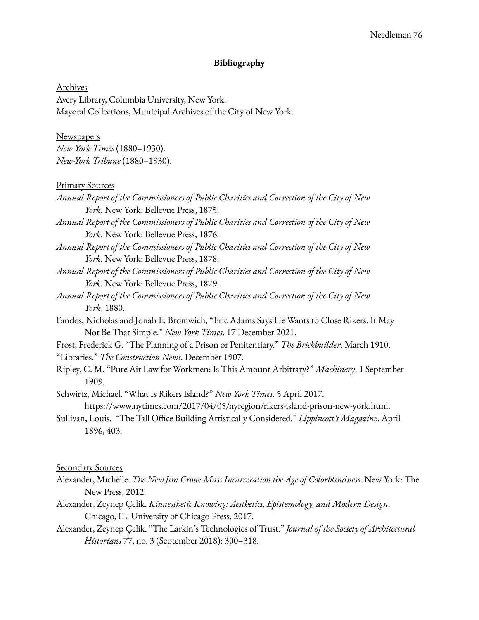### **Bibliography**

Archives Avery Library, Columbia University, New York. Mayoral Collections, Municipal Archives of the City of New York.

# **Newspapers**

*New York Times* (1880–1930). *New-York Tribune* (1880–1930).

#### Primary Sources

- *Annual Report of the Commissioners of Public Charities and Correction of the City of New York*. New York: Bellevue Press, 1875.
- *Annual Report of the Commissioners of Public Charities and Correction of the City of New York*. New York: Bellevue Press, 1876.
- *Annual Report of the Commissioners of Public Charities and Correction of the City of New York*. New York: Bellevue Press, 1878.
- *Annual Report of the Commissioners of Public Charities and Correction of the City of New York*. New York: Bellevue Press, 1879.
- *Annual Report of the Commissioners of Public Charities and Correction of the City of New York*, 1880.
- Fandos, Nicholas and Jonah E. Bromwich, "Eric Adams Says He Wants to Close Rikers. It May Not Be That Simple." *New York Times*. 17 December 2021.
- Frost, Frederick G. "The Planning of a Prison or Penitentiary." *The Brickbuilder*. March 1910.

"Libraries." *The Construction News*. December 1907.

Ripley, C. M. "Pure Air Law for Workmen: Is This Amount Arbitrary?" *Machinery*. 1 September 1909.

Schwirtz, Michael. "What Is Rikers Island?" *New York Times.* 5 April 2017. https://www.nytimes.com/2017/04/05/nyregion/rikers-island-prison-new-york.html.

Sullivan, Louis. "The Tall Office Building Artistically Considered." *Lippincott's Magazine*. April 1896, 403.

#### Secondary Sources

- Alexander, Michelle. *The New Jim Crow: Mass Incarceration the Age of Colorblindness*. New York: The New Press, 2012.
- Alexander, Zeynep Çelik. *Kinaesthetic Knowing: Aesthetics, Epistemology, and Modern Design*. Chicago, IL: University of Chicago Press, 2017.
- Alexander, Zeynep Çelik. "The Larkin's Technologies of Trust." *Journal of the Society of Architectural Historians* 77, no. 3 (September 2018): 300–318.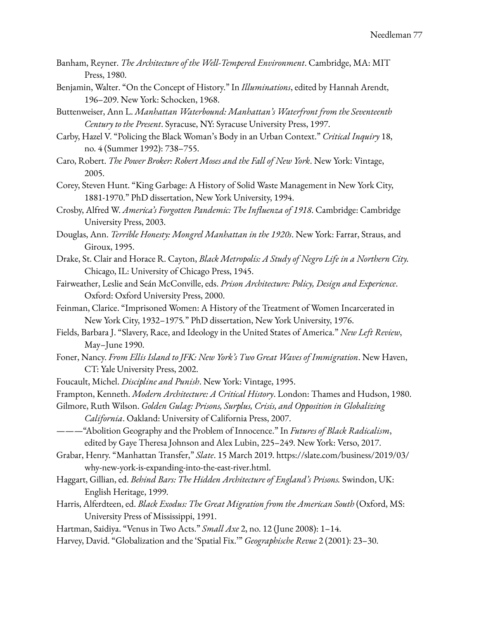- Banham, Reyner. *The Architecture of the Well-Tempered Environment*. Cambridge, MA: MIT Press, 1980.
- Benjamin, Walter. "On the Concept of History." In *Illuminations*, edited by Hannah Arendt, 196–209. New York: Schocken, 1968.
- Buttenweiser, Ann L. *Manhattan Waterbound: Manhattan's Waterfront from the Seventeenth Century to the Present*. Syracuse, NY: Syracuse University Press, 1997.
- Carby, Hazel V. "Policing the Black Woman's Body in an Urban Context." *Critical Inquiry* 18, no. 4 (Summer 1992): 738–755.
- Caro, Robert. *The Power Broker: Robert Moses and the Fall of New York*. New York: Vintage, 2005.
- Corey, Steven Hunt. "King Garbage: A History of Solid Waste Management in New York City, 1881-1970." PhD dissertation, New York University, 1994.
- Crosby, Alfred W. *America's Forgotten Pandemic: The Influenza of 1918*. Cambridge: Cambridge University Press, 2003.
- Douglas, Ann. *Terrible Honesty: Mongrel Manhattan in the 1920s*. New York: Farrar, Straus, and Giroux, 1995.
- Drake, St. Clair and Horace R. Cayton, *Black Metropolis: A Study of Negro Life in a Northern City.* Chicago, IL: University of Chicago Press, 1945.
- Fairweather, Leslie and Seán McConville, eds. *Prison Architecture: Policy, Design and Experience*. Oxford: Oxford University Press, 2000.
- Feinman, Clarice. "Imprisoned Women: A History of the Treatment of Women Incarcerated in New York City, 1932–1975*.*" PhD dissertation, New York University, 1976.
- Fields, Barbara J. "Slavery, Race, and Ideology in the United States of America." *New Left Review*, May–June 1990.
- Foner, Nancy. *From Ellis Island to JFK: New York's Two Great Waves of Immigration*. New Haven, CT: Yale University Press, 2002.
- Foucault, Michel. *Discipline and Punish*. New York: Vintage, 1995.
- Frampton, Kenneth. *Modern Architecture: A Critical History*. London: Thames and Hudson, 1980.
- Gilmore, Ruth Wilson. *Golden Gulag: Prisons, Surplus, Crisis, and Opposition in Globalizing*

*California*. Oakland: University of California Press, 2007.

- ———"Abolition Geography and the Problem of Innocence." In *Futures of Black Radicalism*, edited by Gaye Theresa Johnson and Alex Lubin, 225–249. New York: Verso, 2017.
- Grabar, Henry. "Manhattan Transfer," *Slate*. 15 March 2019. https://slate.com/business/2019/03/ why-new-york-is-expanding-into-the-east-river.html.
- Haggart, Gillian, ed. *Behind Bars: The Hidden Architecture of England's Prisons.* Swindon, UK: English Heritage, 1999.
- Harris, Alferdteen, ed. *Black Exodus: The Great Migration from the American South* (Oxford, MS: University Press of Mississippi, 1991.
- Hartman, Saidiya. "Venus in Two Acts." *Small Axe* 2, no. 12 (June 2008): 1–14.
- Harvey, David. "Globalization and the 'Spatial Fix.'" *Geographische Revue* 2 (2001): 23–30.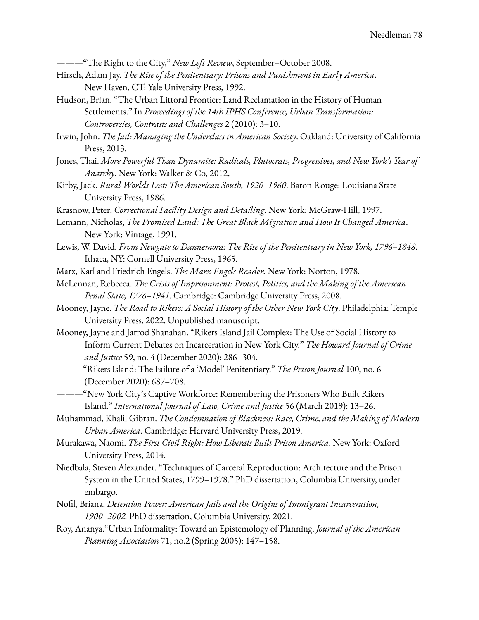———"The Right to the City," *New Left Review*, September–October 2008.

- Hirsch, Adam Jay. *The Rise of the Penitentiary: Prisons and Punishment in Early America*. New Haven, CT: Yale University Press, 1992.
- Hudson, Brian. "The Urban Littoral Frontier: Land Reclamation in the History of Human Settlements." In *Proceedings of the 14th IPHS Conference, Urban Transformation: Controversies, Contrasts and Challenges* 2 (2010): 3–10.
- Irwin, John. *The Jail: Managing the Underclass in American Society*. Oakland: University of California Press, 2013.
- Jones, Thai. *More Powerful Than Dynamite: Radicals, Plutocrats, Progressives, and New York's Year of Anarchy*. New York: Walker & Co, 2012,
- Kirby, Jack. *Rural Worlds Lost: The American South, 1920–1960*. Baton Rouge: Louisiana State University Press, 1986.
- Krasnow, Peter. *Correctional Facility Design and Detailing*. New York: McGraw-Hill, 1997.
- Lemann, Nicholas, *The Promised Land: The Great Black Migration and How It Changed America*. New York: Vintage, 1991.
- Lewis, W. David. *From Newgate to Dannemora: The Rise of the Penitentiary in New York, 1796–1848*. Ithaca, NY: Cornell University Press, 1965.
- Marx, Karl and Friedrich Engels. *The Marx-Engels Reader.* New York: Norton, 1978.
- McLennan, Rebecca. *The Crisis of Imprisonment: Protest, Politics, and the Making of the American Penal State, 1776–1941*. Cambridge: Cambridge University Press, 2008.
- Mooney, Jayne. *The Road to Rikers: A Social History of the Other New York City*. Philadelphia: Temple University Press, 2022. Unpublished manuscript.
- Mooney, Jayne and Jarrod Shanahan. "Rikers Island Jail Complex: The Use of Social History to Inform Current Debates on Incarceration in New York City." *The Howard Journal of Crime and Justice* 59, no. 4 (December 2020): 286–304.
- ———"Rikers Island: The Failure of a 'Model' Penitentiary." *The Prison Journal* 100, no. 6 (December 2020): 687–708.
- ———"New York City's Captive Workforce: Remembering the Prisoners Who Built Rikers Island." *International Journal of Law, Crime and Justice* 56 (March 2019): 13–26.
- Muhammad, Khalil Gibran. *The Condemnation of Blackness: Race, Crime, and the Making of Modern Urban America*. Cambridge: Harvard University Press, 2019.
- Murakawa, Naomi. *The First Civil Right: How Liberals Built Prison America*. New York: Oxford University Press, 2014.
- Niedbala, Steven Alexander. "Techniques of Carceral Reproduction: Architecture and the Prison System in the United States, 1799–1978." PhD dissertation, Columbia University, under embargo.
- Nofil, Briana. *Detention Power: American Jails and the Origins of Immigrant Incarceration, 1900–2002.* PhD dissertation, Columbia University, 2021.
- Roy, Ananya."Urban Informality: Toward an Epistemology of Planning. *Journal of the American Planning Association* 71, no.2 (Spring 2005): 147–158.